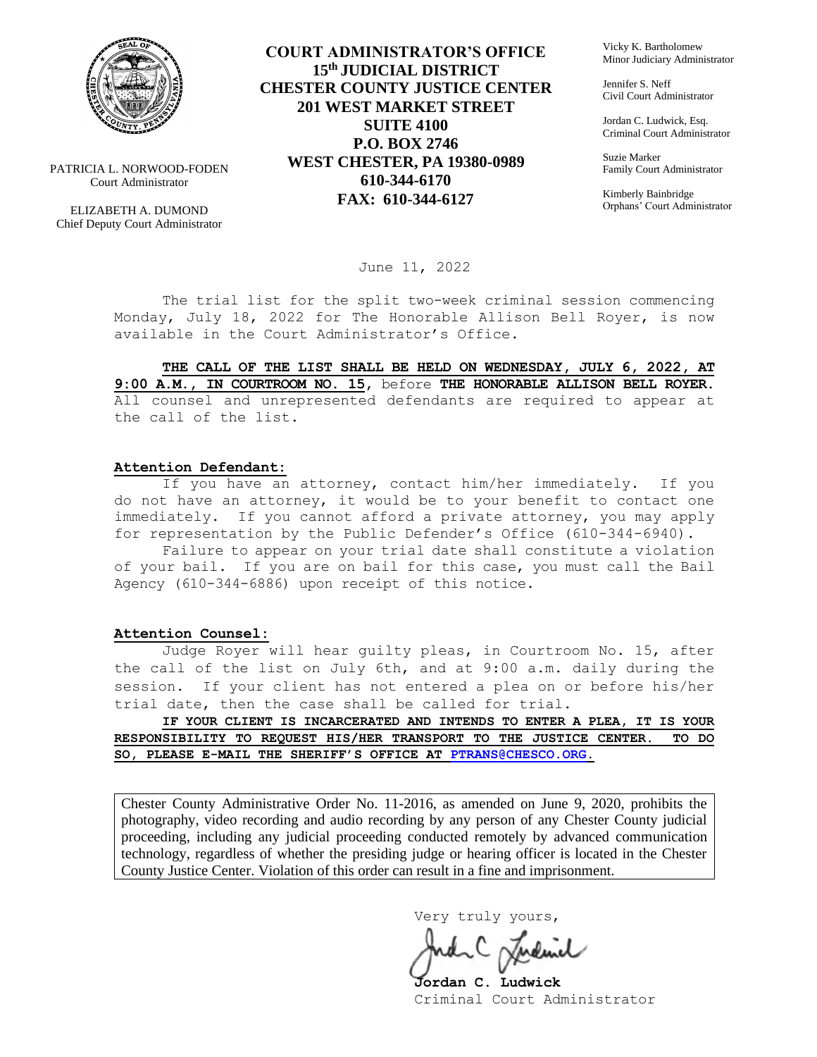

PATRICIA L. NORWOOD-FODEN Court Administrator

ELIZABETH A. DUMOND Chief Deputy Court Administrator

**COURT ADMINISTRATOR'S OFFICE 15th JUDICIAL DISTRICT CHESTER COUNTY JUSTICE CENTER 201 WEST MARKET STREET SUITE 4100 P.O. BOX 2746 WEST CHESTER, PA 19380-0989 610-344-6170 FAX: 610-344-6127**

Vicky K. Bartholomew Minor Judiciary Administrator

Jennifer S. Neff Civil Court Administrator

Jordan C. Ludwick, Esq. Criminal Court Administrator

Suzie Marker Family Court Administrator

Kimberly Bainbridge Orphans' Court Administrator

June 11, 2022

The trial list for the split two-week criminal session commencing Monday, July 18, 2022 for The Honorable Allison Bell Royer, is now available in the Court Administrator's Office.

**THE CALL OF THE LIST SHALL BE HELD ON WEDNESDAY, JULY 6, 2022, AT 9:00 A.M., IN COURTROOM NO. 15,** before **THE HONORABLE ALLISON BELL ROYER.**  All counsel and unrepresented defendants are required to appear at the call of the list.

#### **Attention Defendant:**

If you have an attorney, contact him/her immediately. If you do not have an attorney, it would be to your benefit to contact one immediately. If you cannot afford a private attorney, you may apply for representation by the Public Defender's Office (610-344-6940).

Failure to appear on your trial date shall constitute a violation of your bail. If you are on bail for this case, you must call the Bail Agency (610-344-6886) upon receipt of this notice.

#### **Attention Counsel:**

Judge Royer will hear guilty pleas, in Courtroom No. 15, after the call of the list on July 6th, and at 9:00 a.m. daily during the session. If your client has not entered a plea on or before his/her trial date, then the case shall be called for trial.

**IF YOUR CLIENT IS INCARCERATED AND INTENDS TO ENTER A PLEA, IT IS YOUR RESPONSIBILITY TO REQUEST HIS/HER TRANSPORT TO THE JUSTICE CENTER. TO DO SO, PLEASE E-MAIL THE SHERIFF'S OFFICE AT [PTRANS@CHESCO.ORG.](mailto:PTRANS@CHESCO.ORG)**

Chester County Administrative Order No. 11-2016, as amended on June 9, 2020, prohibits the photography, video recording and audio recording by any person of any Chester County judicial proceeding, including any judicial proceeding conducted remotely by advanced communication technology, regardless of whether the presiding judge or hearing officer is located in the Chester County Justice Center. Violation of this order can result in a fine and imprisonment.

Very truly yours,

**Jordan C. Ludwick** Criminal Court Administrator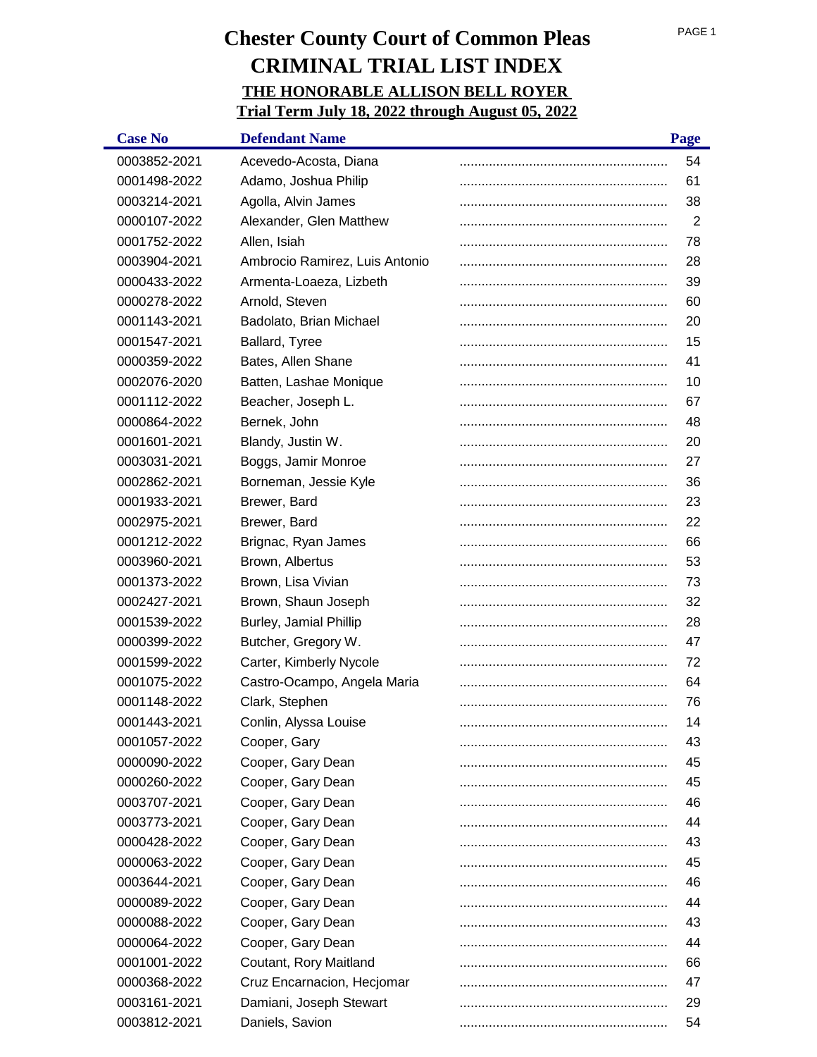| <b>Case No</b> | <b>Defendant Name</b>          | Page |
|----------------|--------------------------------|------|
| 0003852-2021   | Acevedo-Acosta, Diana          | 54   |
| 0001498-2022   | Adamo, Joshua Philip           | 61   |
| 0003214-2021   | Agolla, Alvin James            | 38   |
| 0000107-2022   | Alexander, Glen Matthew        | 2    |
| 0001752-2022   | Allen, Isiah                   | 78   |
| 0003904-2021   | Ambrocio Ramirez, Luis Antonio | 28   |
| 0000433-2022   | Armenta-Loaeza, Lizbeth        | 39   |
| 0000278-2022   | Arnold, Steven                 | 60   |
| 0001143-2021   | Badolato, Brian Michael        | 20   |
| 0001547-2021   | Ballard, Tyree                 | 15   |
| 0000359-2022   | Bates, Allen Shane             | 41   |
| 0002076-2020   | Batten, Lashae Monique         | 10   |
| 0001112-2022   | Beacher, Joseph L.             | 67   |
| 0000864-2022   | Bernek, John                   | 48   |
| 0001601-2021   | Blandy, Justin W.              | 20   |
| 0003031-2021   | Boggs, Jamir Monroe            | 27   |
| 0002862-2021   | Borneman, Jessie Kyle          | 36   |
| 0001933-2021   | Brewer, Bard                   | 23   |
| 0002975-2021   | Brewer, Bard                   | 22   |
| 0001212-2022   | Brignac, Ryan James            | 66   |
| 0003960-2021   | Brown, Albertus                | 53   |
| 0001373-2022   | Brown, Lisa Vivian             | 73   |
| 0002427-2021   | Brown, Shaun Joseph            | 32   |
| 0001539-2022   | Burley, Jamial Phillip         | 28   |
| 0000399-2022   | Butcher, Gregory W.            | 47   |
| 0001599-2022   | Carter, Kimberly Nycole        | 72   |
| 0001075-2022   | Castro-Ocampo, Angela Maria    | 64   |
| 0001148-2022   | Clark, Stephen                 | 76   |
| 0001443-2021   | Conlin, Alyssa Louise          | 14   |
| 0001057-2022   | Cooper, Gary                   | 43   |
| 0000090-2022   | Cooper, Gary Dean              | 45   |
| 0000260-2022   | Cooper, Gary Dean              | 45   |
| 0003707-2021   | Cooper, Gary Dean              | 46   |
| 0003773-2021   | Cooper, Gary Dean              | 44   |
| 0000428-2022   | Cooper, Gary Dean              | 43   |
| 0000063-2022   | Cooper, Gary Dean              | 45   |
| 0003644-2021   | Cooper, Gary Dean              | 46   |
| 0000089-2022   | Cooper, Gary Dean              | 44   |
| 0000088-2022   | Cooper, Gary Dean              | 43   |
| 0000064-2022   | Cooper, Gary Dean              | 44   |
| 0001001-2022   | Coutant, Rory Maitland         | 66   |
| 0000368-2022   | Cruz Encarnacion, Hecjomar     | 47   |
| 0003161-2021   | Damiani, Joseph Stewart        | 29   |
| 0003812-2021   | Daniels, Savion                | 54   |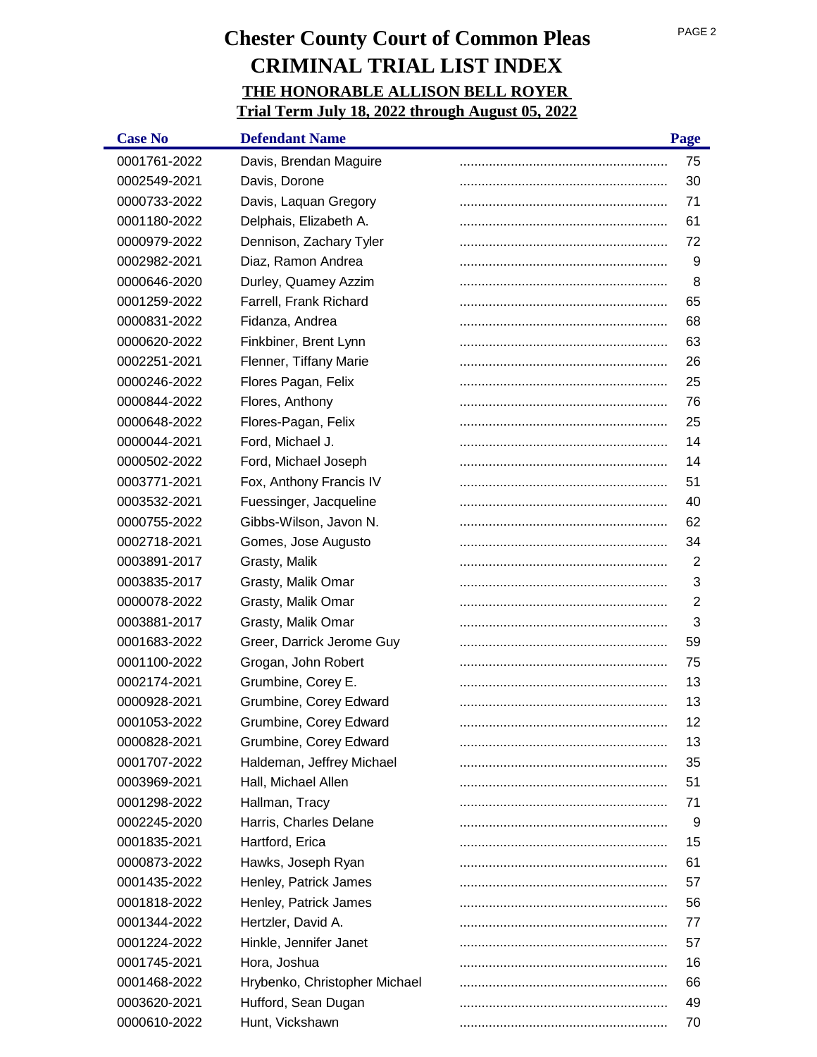| <b>Case No</b> | <b>Defendant Name</b>         | Page           |
|----------------|-------------------------------|----------------|
| 0001761-2022   | Davis, Brendan Maguire        | 75             |
| 0002549-2021   | Davis, Dorone                 | 30             |
| 0000733-2022   | Davis, Laquan Gregory         | 71             |
| 0001180-2022   | Delphais, Elizabeth A.        | 61             |
| 0000979-2022   | Dennison, Zachary Tyler       | 72             |
| 0002982-2021   | Diaz, Ramon Andrea            | 9              |
| 0000646-2020   | Durley, Quamey Azzim          | 8              |
| 0001259-2022   | Farrell, Frank Richard        | 65             |
| 0000831-2022   | Fidanza, Andrea               | 68             |
| 0000620-2022   | Finkbiner, Brent Lynn         | 63             |
| 0002251-2021   | Flenner, Tiffany Marie        | 26             |
| 0000246-2022   | Flores Pagan, Felix           | 25             |
| 0000844-2022   | Flores, Anthony               | 76             |
| 0000648-2022   | Flores-Pagan, Felix           | 25             |
| 0000044-2021   | Ford, Michael J.              | 14             |
| 0000502-2022   | Ford, Michael Joseph          | 14             |
| 0003771-2021   | Fox, Anthony Francis IV       | 51             |
| 0003532-2021   | Fuessinger, Jacqueline        | 40             |
| 0000755-2022   | Gibbs-Wilson, Javon N.        | 62             |
| 0002718-2021   | Gomes, Jose Augusto           | 34             |
| 0003891-2017   | Grasty, Malik                 | $\overline{2}$ |
| 0003835-2017   | Grasty, Malik Omar            | 3              |
| 0000078-2022   | Grasty, Malik Omar            | $\overline{2}$ |
| 0003881-2017   | Grasty, Malik Omar            | 3              |
| 0001683-2022   | Greer, Darrick Jerome Guy     | 59             |
| 0001100-2022   | Grogan, John Robert           | 75             |
| 0002174-2021   | Grumbine, Corey E.            | 13             |
| 0000928-2021   | Grumbine, Corey Edward        | 13             |
| 0001053-2022   | Grumbine, Corey Edward        | 12             |
| 0000828-2021   | Grumbine, Corey Edward        | 13             |
| 0001707-2022   | Haldeman, Jeffrey Michael     | 35             |
| 0003969-2021   | Hall, Michael Allen           | 51             |
| 0001298-2022   | Hallman, Tracy                | 71             |
| 0002245-2020   | Harris, Charles Delane        | 9              |
| 0001835-2021   | Hartford, Erica               | 15             |
| 0000873-2022   | Hawks, Joseph Ryan            | 61             |
| 0001435-2022   | Henley, Patrick James         | 57             |
| 0001818-2022   | Henley, Patrick James         | 56             |
| 0001344-2022   | Hertzler, David A.            | 77             |
| 0001224-2022   | Hinkle, Jennifer Janet        | 57             |
| 0001745-2021   | Hora, Joshua                  | 16             |
| 0001468-2022   | Hrybenko, Christopher Michael | 66             |
| 0003620-2021   | Hufford, Sean Dugan           | 49             |
| 0000610-2022   | Hunt, Vickshawn               | 70             |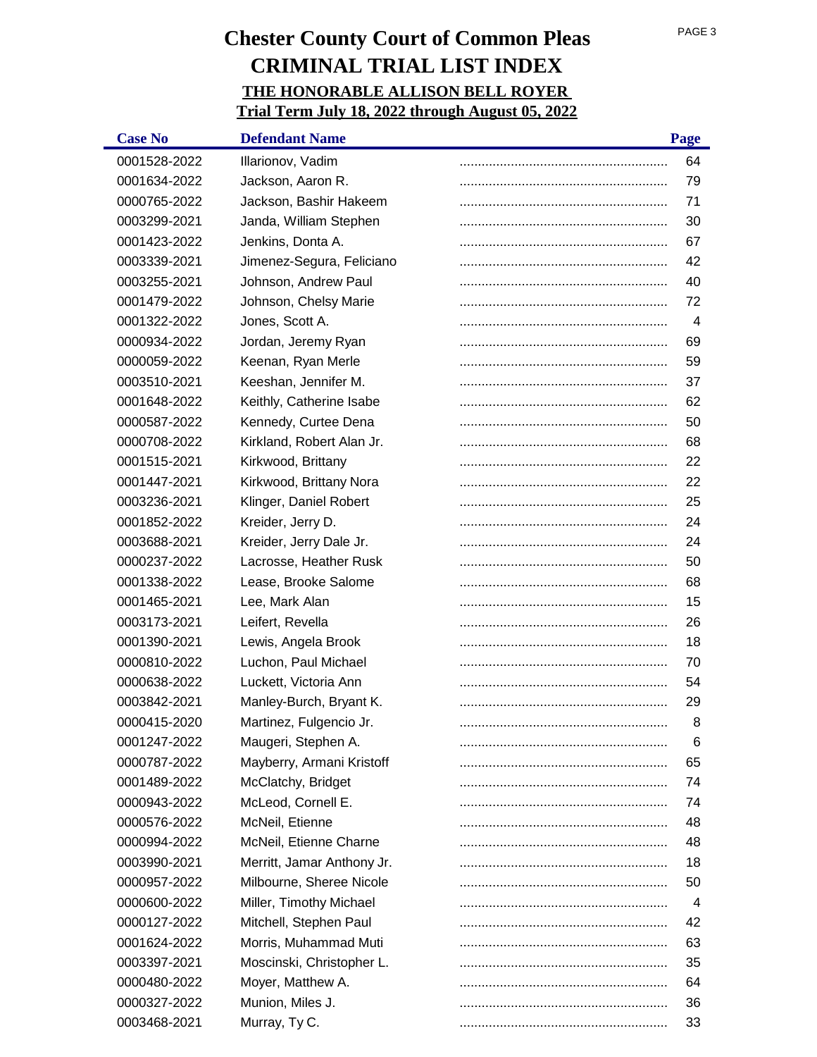| <b>Case No</b> | <b>Defendant Name</b>      | Page |
|----------------|----------------------------|------|
| 0001528-2022   | Illarionov, Vadim          | 64   |
| 0001634-2022   | Jackson, Aaron R.          | 79   |
| 0000765-2022   | Jackson, Bashir Hakeem     | 71   |
| 0003299-2021   | Janda, William Stephen     | 30   |
| 0001423-2022   | Jenkins, Donta A.          | 67   |
| 0003339-2021   | Jimenez-Segura, Feliciano  | 42   |
| 0003255-2021   | Johnson, Andrew Paul       | 40   |
| 0001479-2022   | Johnson, Chelsy Marie      | 72   |
| 0001322-2022   | Jones, Scott A.            | 4    |
| 0000934-2022   | Jordan, Jeremy Ryan        | 69   |
| 0000059-2022   | Keenan, Ryan Merle         | 59   |
| 0003510-2021   | Keeshan, Jennifer M.       | 37   |
| 0001648-2022   | Keithly, Catherine Isabe   | 62   |
| 0000587-2022   | Kennedy, Curtee Dena       | 50   |
| 0000708-2022   | Kirkland, Robert Alan Jr.  | 68   |
| 0001515-2021   | Kirkwood, Brittany         | 22   |
| 0001447-2021   | Kirkwood, Brittany Nora    | 22   |
| 0003236-2021   | Klinger, Daniel Robert     | 25   |
| 0001852-2022   | Kreider, Jerry D.          | 24   |
| 0003688-2021   | Kreider, Jerry Dale Jr.    | 24   |
| 0000237-2022   | Lacrosse, Heather Rusk     | 50   |
| 0001338-2022   | Lease, Brooke Salome       | 68   |
| 0001465-2021   | Lee, Mark Alan             | 15   |
| 0003173-2021   | Leifert, Revella           | 26   |
| 0001390-2021   | Lewis, Angela Brook        | 18   |
| 0000810-2022   | Luchon, Paul Michael       | 70   |
| 0000638-2022   | Luckett, Victoria Ann      | 54   |
| 0003842-2021   | Manley-Burch, Bryant K.    | 29   |
| 0000415-2020   | Martinez, Fulgencio Jr.    | 8    |
| 0001247-2022   | Maugeri, Stephen A.        | 6    |
| 0000787-2022   | Mayberry, Armani Kristoff  | 65   |
| 0001489-2022   | McClatchy, Bridget         | 74   |
| 0000943-2022   | McLeod, Cornell E.         | 74   |
| 0000576-2022   | McNeil, Etienne            | 48   |
| 0000994-2022   | McNeil, Etienne Charne     | 48   |
| 0003990-2021   | Merritt, Jamar Anthony Jr. | 18   |
| 0000957-2022   | Milbourne, Sheree Nicole   | 50   |
| 0000600-2022   | Miller, Timothy Michael    | 4    |
| 0000127-2022   | Mitchell, Stephen Paul     | 42   |
| 0001624-2022   | Morris, Muhammad Muti      | 63   |
| 0003397-2021   | Moscinski, Christopher L.  | 35   |
| 0000480-2022   | Moyer, Matthew A.          | 64   |
| 0000327-2022   | Munion, Miles J.           | 36   |
| 0003468-2021   | Murray, Ty C.              | 33   |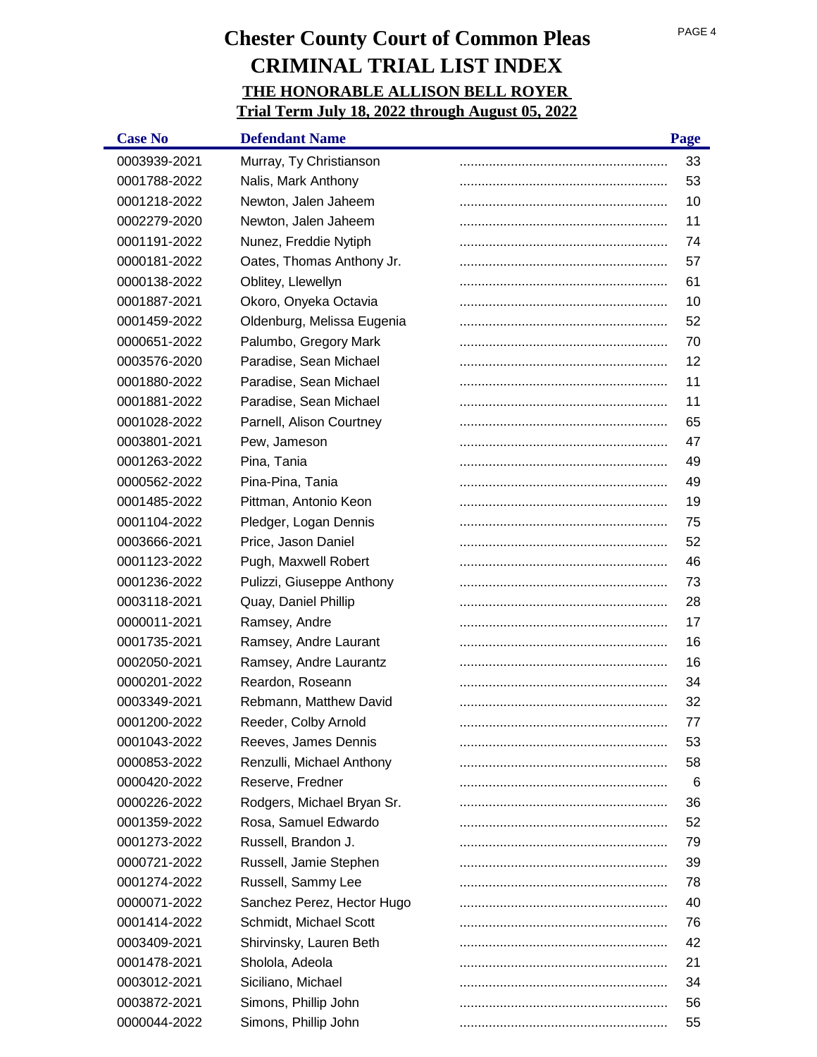| <b>Case No</b> | <b>Defendant Name</b>      | Page |
|----------------|----------------------------|------|
| 0003939-2021   | Murray, Ty Christianson    | 33   |
| 0001788-2022   | Nalis, Mark Anthony        | 53   |
| 0001218-2022   | Newton, Jalen Jaheem       | 10   |
| 0002279-2020   | Newton, Jalen Jaheem       | 11   |
| 0001191-2022   | Nunez, Freddie Nytiph      | 74   |
| 0000181-2022   | Oates, Thomas Anthony Jr.  | 57   |
| 0000138-2022   | Oblitey, Llewellyn         | 61   |
| 0001887-2021   | Okoro, Onyeka Octavia      | 10   |
| 0001459-2022   | Oldenburg, Melissa Eugenia | 52   |
| 0000651-2022   | Palumbo, Gregory Mark      | 70   |
| 0003576-2020   | Paradise, Sean Michael     | 12   |
| 0001880-2022   | Paradise, Sean Michael     | 11   |
| 0001881-2022   | Paradise, Sean Michael     | 11   |
| 0001028-2022   | Parnell, Alison Courtney   | 65   |
| 0003801-2021   | Pew, Jameson               | 47   |
| 0001263-2022   | Pina, Tania                | 49   |
| 0000562-2022   | Pina-Pina, Tania           | 49   |
| 0001485-2022   | Pittman, Antonio Keon      | 19   |
| 0001104-2022   | Pledger, Logan Dennis      | 75   |
| 0003666-2021   | Price, Jason Daniel        | 52   |
| 0001123-2022   | Pugh, Maxwell Robert       | 46   |
| 0001236-2022   | Pulizzi, Giuseppe Anthony  | 73   |
| 0003118-2021   | Quay, Daniel Phillip       | 28   |
| 0000011-2021   | Ramsey, Andre              | 17   |
| 0001735-2021   | Ramsey, Andre Laurant      | 16   |
| 0002050-2021   | Ramsey, Andre Laurantz     | 16   |
| 0000201-2022   | Reardon, Roseann           | 34   |
| 0003349-2021   | Rebmann, Matthew David     | 32   |
| 0001200-2022   | Reeder, Colby Arnold       | 77   |
| 0001043-2022   | Reeves, James Dennis       | 53   |
| 0000853-2022   | Renzulli, Michael Anthony  | 58   |
| 0000420-2022   | Reserve, Fredner           | 6    |
| 0000226-2022   | Rodgers, Michael Bryan Sr. | 36   |
| 0001359-2022   | Rosa, Samuel Edwardo       | 52   |
| 0001273-2022   | Russell, Brandon J.        | 79   |
| 0000721-2022   | Russell, Jamie Stephen     | 39   |
| 0001274-2022   | Russell, Sammy Lee         | 78   |
| 0000071-2022   | Sanchez Perez, Hector Hugo | 40   |
| 0001414-2022   | Schmidt, Michael Scott     | 76   |
| 0003409-2021   | Shirvinsky, Lauren Beth    | 42   |
| 0001478-2021   | Sholola, Adeola            | 21   |
| 0003012-2021   | Siciliano, Michael         | 34   |
| 0003872-2021   | Simons, Phillip John       | 56   |
| 0000044-2022   | Simons, Phillip John       | 55   |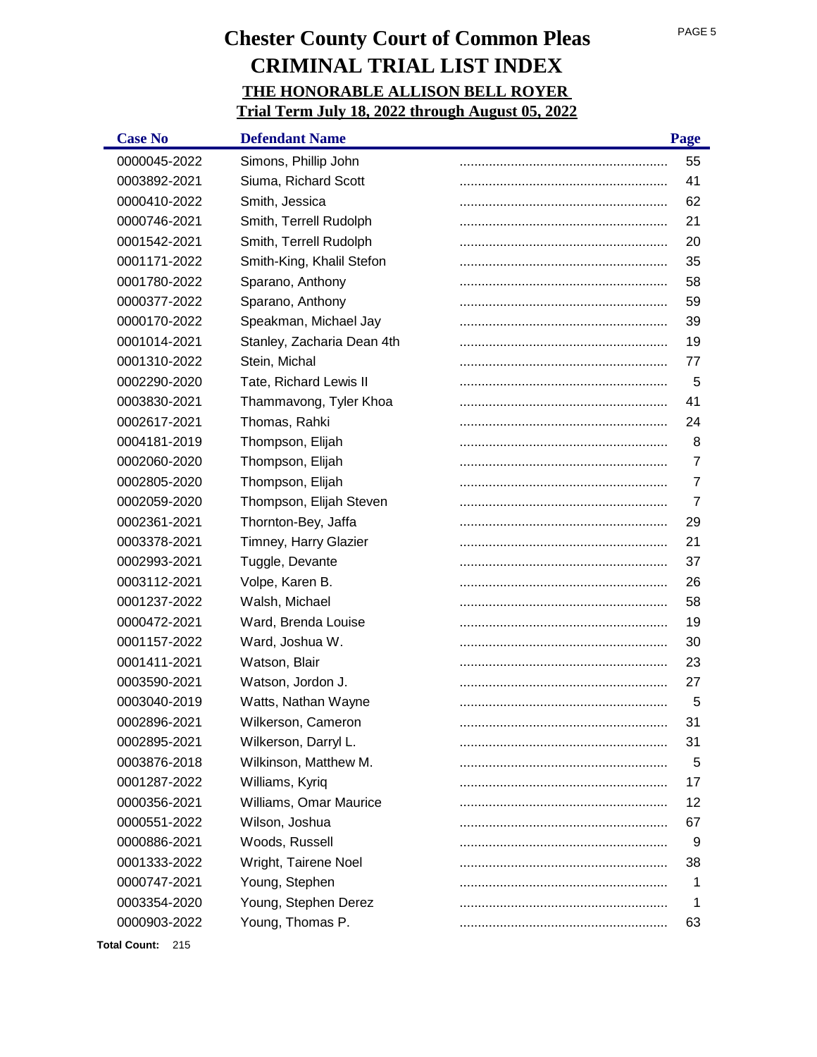| <b>Case No</b> | <b>Defendant Name</b>      | Page |
|----------------|----------------------------|------|
| 0000045-2022   | Simons, Phillip John       | 55   |
| 0003892-2021   | Siuma, Richard Scott       | 41   |
| 0000410-2022   | Smith, Jessica             | 62   |
| 0000746-2021   | Smith, Terrell Rudolph     | 21   |
| 0001542-2021   | Smith, Terrell Rudolph     | 20   |
| 0001171-2022   | Smith-King, Khalil Stefon  | 35   |
| 0001780-2022   | Sparano, Anthony           | 58   |
| 0000377-2022   | Sparano, Anthony           | 59   |
| 0000170-2022   | Speakman, Michael Jay      | 39   |
| 0001014-2021   | Stanley, Zacharia Dean 4th | 19   |
| 0001310-2022   | Stein, Michal              | 77   |
| 0002290-2020   | Tate, Richard Lewis II     | 5    |
| 0003830-2021   | Thammavong, Tyler Khoa     | 41   |
| 0002617-2021   | Thomas, Rahki              | 24   |
| 0004181-2019   | Thompson, Elijah           | 8    |
| 0002060-2020   | Thompson, Elijah           | 7    |
| 0002805-2020   | Thompson, Elijah           | 7    |
| 0002059-2020   | Thompson, Elijah Steven    | 7    |
| 0002361-2021   | Thornton-Bey, Jaffa        | 29   |
| 0003378-2021   | Timney, Harry Glazier      | 21   |
| 0002993-2021   | Tuggle, Devante            | 37   |
| 0003112-2021   | Volpe, Karen B.            | 26   |
| 0001237-2022   | Walsh, Michael             | 58   |
| 0000472-2021   | Ward, Brenda Louise        | 19   |
| 0001157-2022   | Ward, Joshua W.            | 30   |
| 0001411-2021   | Watson, Blair              | 23   |
| 0003590-2021   | Watson, Jordon J.          | 27   |
| 0003040-2019   | Watts, Nathan Wayne        | 5    |
| 0002896-2021   | Wilkerson, Cameron         | 31   |
| 0002895-2021   | Wilkerson, Darryl L.       | 31   |
| 0003876-2018   | Wilkinson, Matthew M.      | 5    |
| 0001287-2022   | Williams, Kyriq            | 17   |
| 0000356-2021   | Williams, Omar Maurice     | 12   |
| 0000551-2022   | Wilson, Joshua             | 67   |
| 0000886-2021   | Woods, Russell             | 9    |
| 0001333-2022   | Wright, Tairene Noel       | 38   |
| 0000747-2021   | Young, Stephen             | 1    |
| 0003354-2020   | Young, Stephen Derez       | 1    |
| 0000903-2022   | Young, Thomas P.           | 63   |

**Total Count:** 215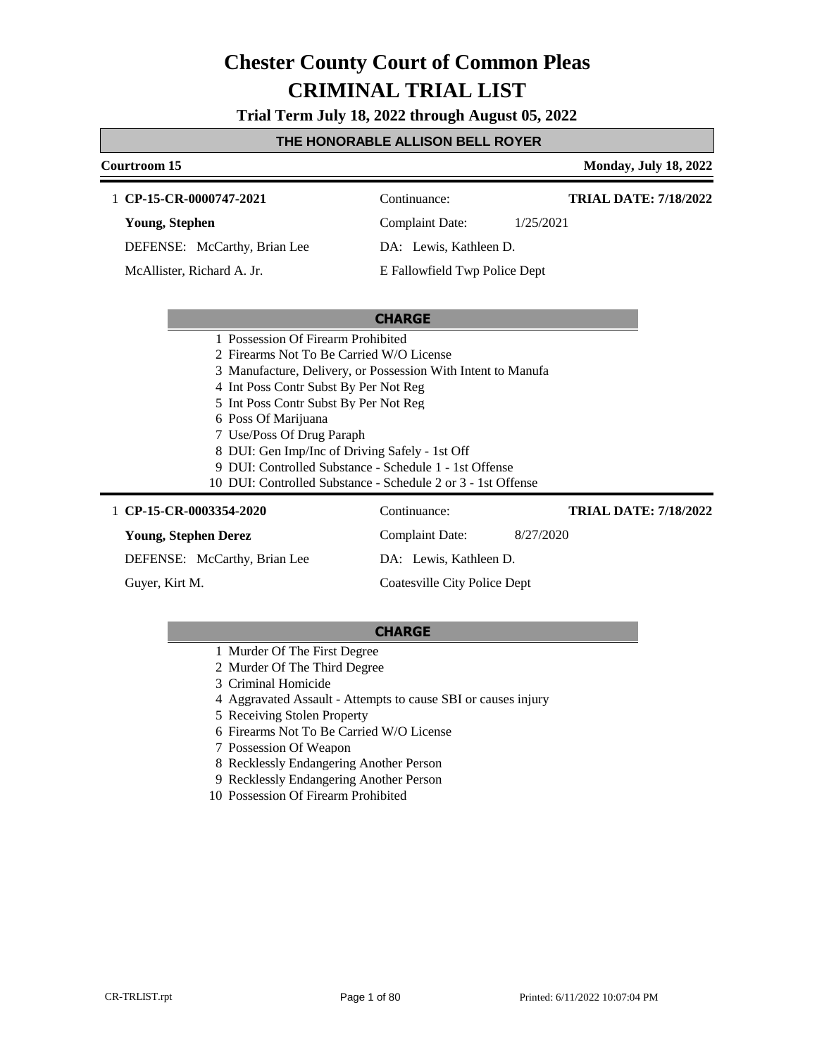**Trial Term July 18, 2022 through August 05, 2022**

#### **THE HONORABLE ALLISON BELL ROYER**

| Courtroom 15                                                 |                               | <b>Monday, July 18, 2022</b> |
|--------------------------------------------------------------|-------------------------------|------------------------------|
| 1 CP-15-CR-0000747-2021                                      | Continuance:                  | <b>TRIAL DATE: 7/18/2022</b> |
| Young, Stephen                                               | <b>Complaint Date:</b>        | 1/25/2021                    |
| DEFENSE: McCarthy, Brian Lee                                 | DA: Lewis, Kathleen D.        |                              |
| McAllister, Richard A. Jr.                                   | E Fallowfield Twp Police Dept |                              |
|                                                              |                               |                              |
|                                                              | <b>CHARGE</b>                 |                              |
| 1 Possession Of Firearm Prohibited                           |                               |                              |
| 2. Firearms Not To Be Carried W/O License                    |                               |                              |
| 3 Manufacture, Delivery, or Possession With Intent to Manufa |                               |                              |
| 4 Int Poss Contr Subst By Per Not Reg                        |                               |                              |
| 5 Int Poss Contr Subst By Per Not Reg                        |                               |                              |
| 6 Poss Of Marijuana                                          |                               |                              |
| 7 Use/Poss Of Drug Paraph                                    |                               |                              |
| 8 DUI: Gen Imp/Inc of Driving Safely - 1st Off               |                               |                              |
| 9 DUI: Controlled Substance - Schedule 1 - 1st Offense       |                               |                              |
| 10 DUI: Controlled Substance - Schedule 2 or 3 - 1st Offense |                               |                              |
| 1 CP-15-CR-0003354-2020                                      | Continuance:                  | <b>TRIAL DATE: 7/18/2022</b> |
| <b>Young, Stephen Derez</b>                                  | <b>Complaint Date:</b>        | 8/27/2020                    |
| DEFENSE: McCarthy, Brian Lee                                 | DA: Lewis, Kathleen D.        |                              |

Guyer, Kirt M.

**CHARGE**

Coatesville City Police Dept

- 1 Murder Of The First Degree
- 2 Murder Of The Third Degree
- 3 Criminal Homicide
- 4 Aggravated Assault Attempts to cause SBI or causes injury
- 5 Receiving Stolen Property
- 6 Firearms Not To Be Carried W/O License
- 7 Possession Of Weapon
- 8 Recklessly Endangering Another Person
- 9 Recklessly Endangering Another Person
- 10 Possession Of Firearm Prohibited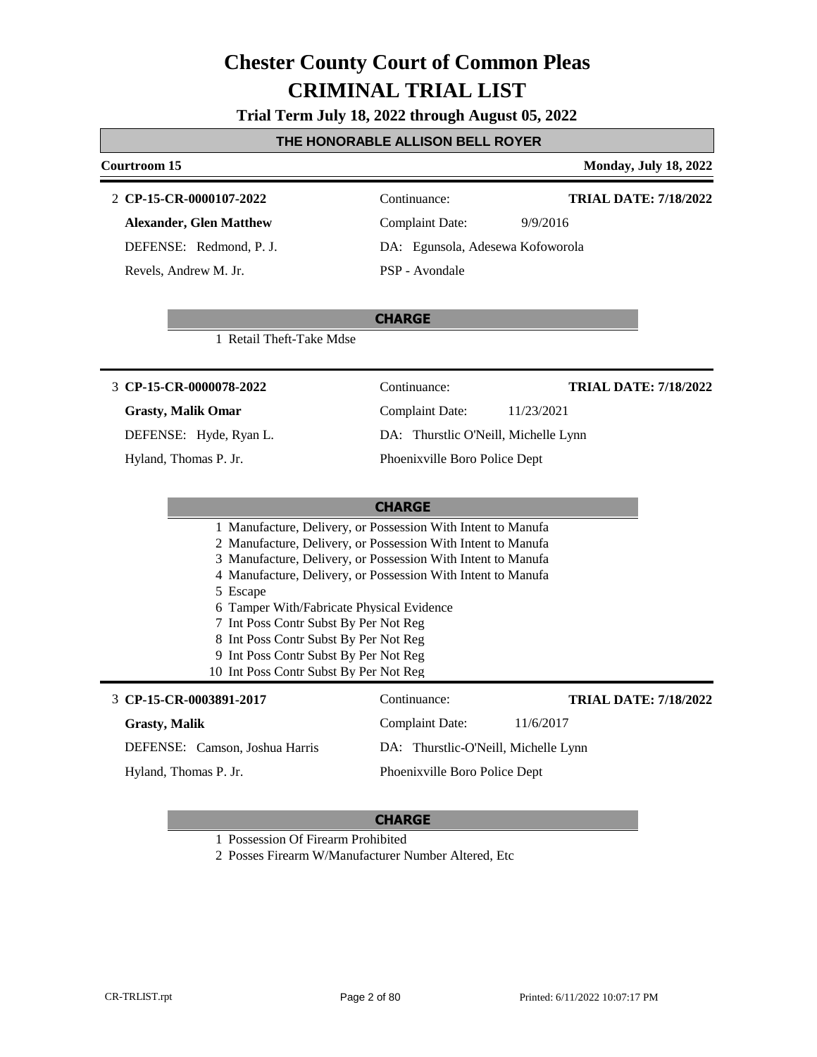**Trial Term July 18, 2022 through August 05, 2022**

#### **THE HONORABLE ALLISON BELL ROYER**

### **Courtroom 15 Monday, July 18, 2022 CHARGE CP-15-CR-0000107-2022** 2 Continuance: **Alexander, Glen Matthew** DEFENSE: Redmond, P. J. Complaint Date: 9/9/2016 DA: Egunsola, Adesewa Kofoworola PSP - Avondale **TRIAL DATE: 7/18/2022** Revels, Andrew M. Jr. 1 Retail Theft-Take Mdse **CHARGE CP-15-CR-0000078-2022** 3 Continuance: **Grasty, Malik Omar** DEFENSE: Hyde, Ryan L. Complaint Date: 11/23/2021 DA: Thurstlic O'Neill, Michelle Lynn Phoenixville Boro Police Dept **TRIAL DATE: 7/18/2022** Hyland, Thomas P. Jr. 1 Manufacture, Delivery, or Possession With Intent to Manufa 2 Manufacture, Delivery, or Possession With Intent to Manufa 3 Manufacture, Delivery, or Possession With Intent to Manufa 4 Manufacture, Delivery, or Possession With Intent to Manufa 5 Escape 6 Tamper With/Fabricate Physical Evidence 7 Int Poss Contr Subst By Per Not Reg 8 Int Poss Contr Subst By Per Not Reg 9 Int Poss Contr Subst By Per Not Reg 10 Int Poss Contr Subst By Per Not Reg **CHARGE CP-15-CR-0003891-2017** 3 Continuance: **Grasty, Malik** DEFENSE: Camson, Joshua Harris Complaint Date: 11/6/2017 DA: Thurstlic-O'Neill, Michelle Lynn Phoenixville Boro Police Dept **TRIAL DATE: 7/18/2022** Hyland, Thomas P. Jr. 1 Possession Of Firearm Prohibited

2 Posses Firearm W/Manufacturer Number Altered, Etc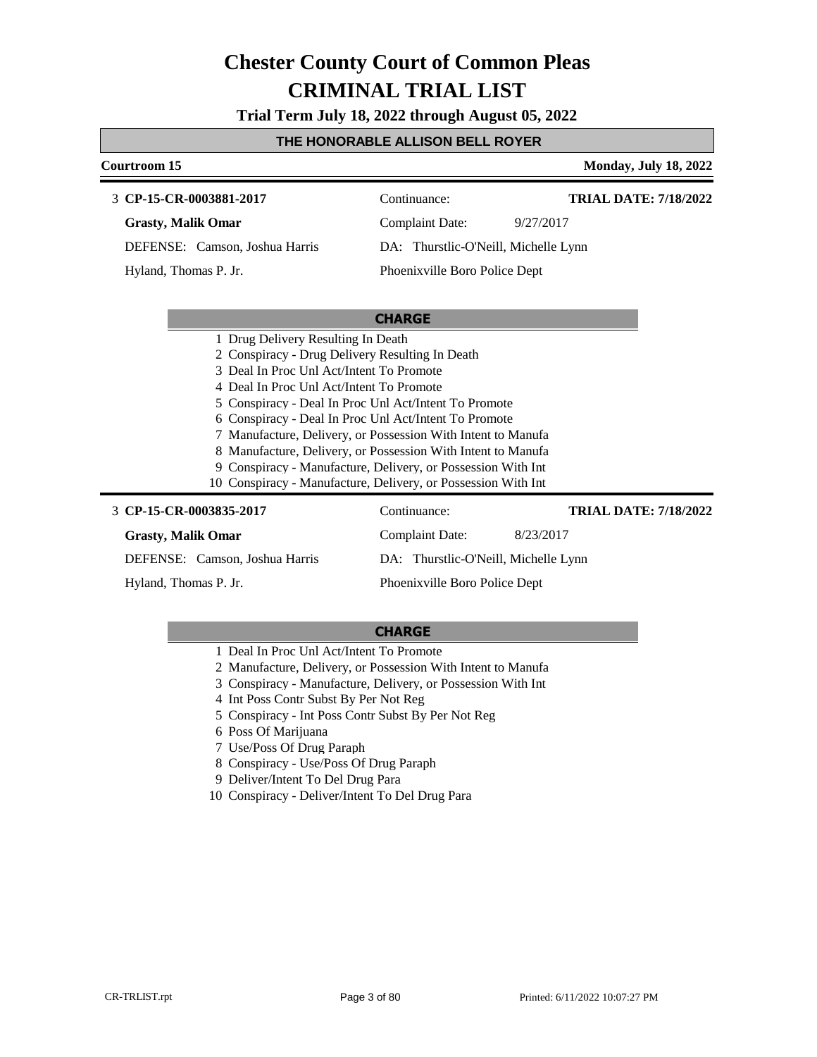**Trial Term July 18, 2022 through August 05, 2022**

#### **THE HONORABLE ALLISON BELL ROYER**

| Courtroom 15                                                  |                                      |           | <b>Monday, July 18, 2022</b> |
|---------------------------------------------------------------|--------------------------------------|-----------|------------------------------|
| 3 CP-15-CR-0003881-2017                                       | Continuance:                         |           | <b>TRIAL DATE: 7/18/2022</b> |
| <b>Grasty, Malik Omar</b>                                     | <b>Complaint Date:</b>               | 9/27/2017 |                              |
| DEFENSE: Camson, Joshua Harris                                | DA: Thurstlic-O'Neill, Michelle Lynn |           |                              |
| Hyland, Thomas P. Jr.                                         | Phoenixville Boro Police Dept        |           |                              |
|                                                               |                                      |           |                              |
|                                                               | <b>CHARGE</b>                        |           |                              |
| 1 Drug Delivery Resulting In Death                            |                                      |           |                              |
| 2 Conspiracy - Drug Delivery Resulting In Death               |                                      |           |                              |
| 3 Deal In Proc Unl Act/Intent To Promote                      |                                      |           |                              |
| 4 Deal In Proc Unl Act/Intent To Promote                      |                                      |           |                              |
| 5 Conspiracy - Deal In Proc Unl Act/Intent To Promote         |                                      |           |                              |
| 6 Conspiracy - Deal In Proc Unl Act/Intent To Promote         |                                      |           |                              |
| 7 Manufacture, Delivery, or Possession With Intent to Manufa  |                                      |           |                              |
| 8 Manufacture, Delivery, or Possession With Intent to Manufa  |                                      |           |                              |
| 9 Conspiracy - Manufacture, Delivery, or Possession With Int  |                                      |           |                              |
| 10 Conspiracy - Manufacture, Delivery, or Possession With Int |                                      |           |                              |
| 3 CP-15-CR-0003835-2017                                       | Continuance:                         |           | <b>TRIAL DATE: 7/18/2022</b> |
| <b>Grasty, Malik Omar</b>                                     | <b>Complaint Date:</b>               | 8/23/2017 |                              |

DEFENSE: Camson, Joshua Harris

Hyland, Thomas P. Jr.

**CHARGE**

DA: Thurstlic-O'Neill, Michelle Lynn

Phoenixville Boro Police Dept

- 1 Deal In Proc Unl Act/Intent To Promote
- 2 Manufacture, Delivery, or Possession With Intent to Manufa
- 3 Conspiracy Manufacture, Delivery, or Possession With Int
- 4 Int Poss Contr Subst By Per Not Reg
- 5 Conspiracy Int Poss Contr Subst By Per Not Reg
- 6 Poss Of Marijuana
- 7 Use/Poss Of Drug Paraph
- 8 Conspiracy Use/Poss Of Drug Paraph
- 9 Deliver/Intent To Del Drug Para
- 10 Conspiracy Deliver/Intent To Del Drug Para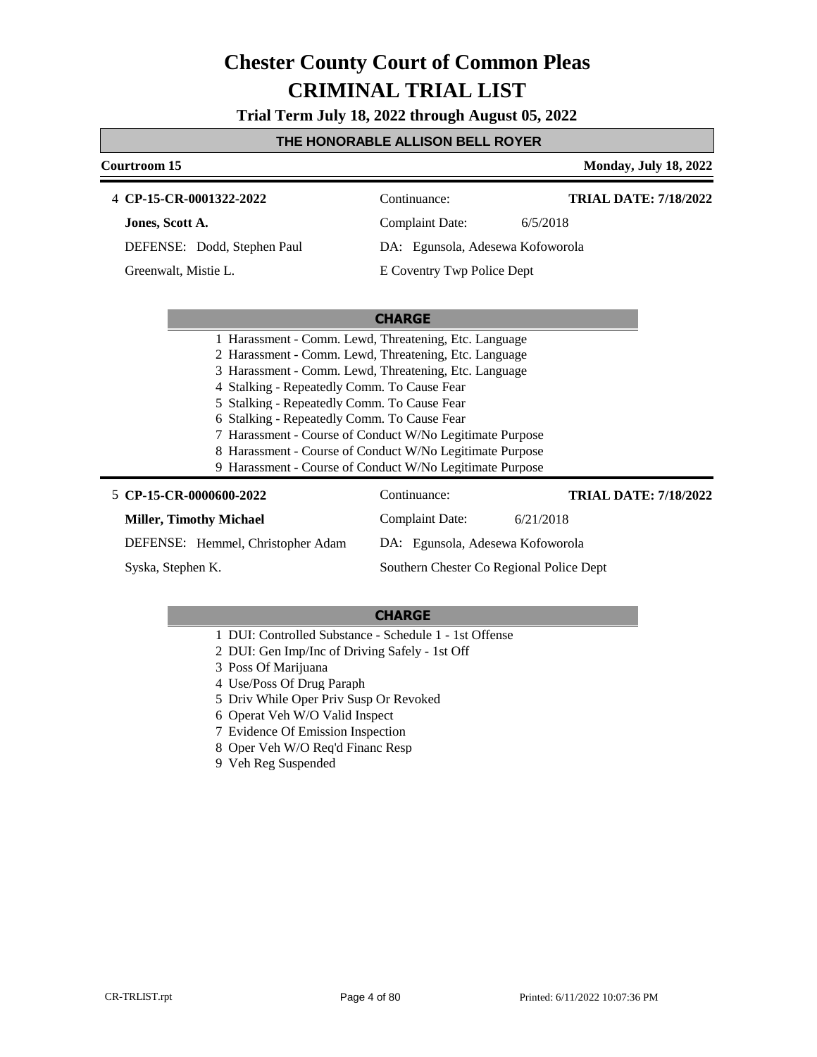**Trial Term July 18, 2022 through August 05, 2022**

#### **THE HONORABLE ALLISON BELL ROYER**

| Courtroom 15                                             |                                  | <b>Monday, July 18, 2022</b> |
|----------------------------------------------------------|----------------------------------|------------------------------|
| 4 CP-15-CR-0001322-2022                                  | Continuance:                     | <b>TRIAL DATE: 7/18/2022</b> |
| Jones, Scott A.                                          | Complaint Date:                  | 6/5/2018                     |
| DEFENSE: Dodd, Stephen Paul                              | DA: Egunsola, Adesewa Kofoworola |                              |
| Greenwalt, Mistie L.                                     | E Coventry Twp Police Dept       |                              |
|                                                          |                                  |                              |
|                                                          | <b>CHARGE</b>                    |                              |
| 1 Harassment - Comm. Lewd, Threatening, Etc. Language    |                                  |                              |
| 2 Harassment - Comm. Lewd, Threatening, Etc. Language    |                                  |                              |
| 3 Harassment - Comm. Lewd, Threatening, Etc. Language    |                                  |                              |
| 4 Stalking - Repeatedly Comm. To Cause Fear              |                                  |                              |
| 5 Stalking - Repeatedly Comm. To Cause Fear              |                                  |                              |
| 6 Stalking - Repeatedly Comm. To Cause Fear              |                                  |                              |
| 7 Harassment - Course of Conduct W/No Legitimate Purpose |                                  |                              |
|                                                          |                                  |                              |

- 8 Harassment Course of Conduct W/No Legitimate Purpose
- 9 Harassment Course of Conduct W/No Legitimate Purpose

### **CP-15-CR-0000600-2022** 5 Continuance: **Miller, Timothy Michael**

Complaint Date: 6/21/2018 DA: Egunsola, Adesewa Kofoworola

**TRIAL DATE: 7/18/2022**

DEFENSE: Hemmel, Christopher Adam Syska, Stephen K.

Southern Chester Co Regional Police Dept

- 1 DUI: Controlled Substance Schedule 1 1st Offense
- 2 DUI: Gen Imp/Inc of Driving Safely 1st Off
- 3 Poss Of Marijuana
- 4 Use/Poss Of Drug Paraph
- 5 Driv While Oper Priv Susp Or Revoked
- 6 Operat Veh W/O Valid Inspect
- 7 Evidence Of Emission Inspection
- 8 Oper Veh W/O Req'd Financ Resp
- 9 Veh Reg Suspended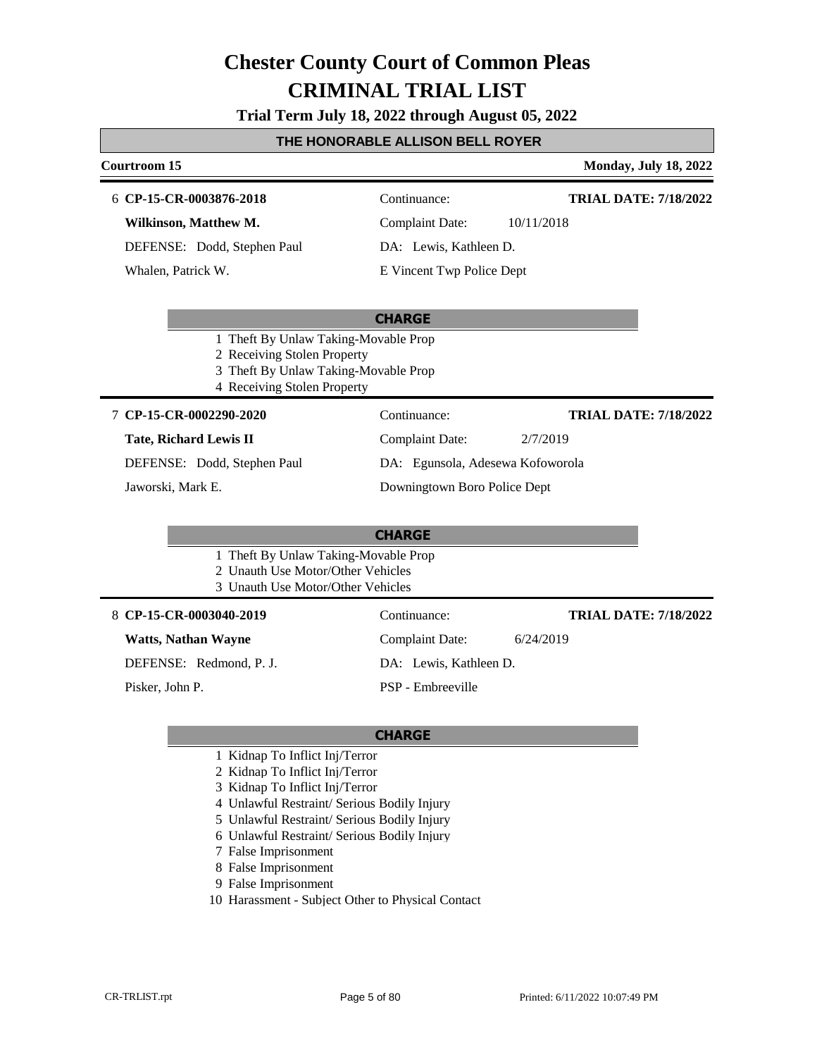#### **Trial Term July 18, 2022 through August 05, 2022**

#### **THE HONORABLE ALLISON BELL ROYER**

#### **Courtroom 15 Monday, July 18, 2022**

#### **CP-15-CR-0003876-2018** 6 Continuance:

**Wilkinson, Matthew M.**

DEFENSE: Dodd, Stephen Paul

Whalen, Patrick W.

**TRIAL DATE: 7/18/2022**

Complaint Date: 10/11/2018 DA: Lewis, Kathleen D.

E Vincent Twp Police Dept

#### **CHARGE**

- 1 Theft By Unlaw Taking-Movable Prop
- 2 Receiving Stolen Property
- 3 Theft By Unlaw Taking-Movable Prop
- 4 Receiving Stolen Property

#### **CP-15-CR-0002290-2020** 7 Continuance:

#### **Tate, Richard Lewis II**

DEFENSE: Dodd, Stephen Paul

Jaworski, Mark E.

DA: Egunsola, Adesewa Kofoworola Downingtown Boro Police Dept

Complaint Date: 2/7/2019

#### **CHARGE**

- 1 Theft By Unlaw Taking-Movable Prop
- 2 Unauth Use Motor/Other Vehicles
- 3 Unauth Use Motor/Other Vehicles

#### **CP-15-CR-0003040-2019** 8 Continuance:

#### **Watts, Nathan Wayne**

DEFENSE: Redmond, P. J.

Pisker, John P.

Complaint Date: 6/24/2019

**TRIAL DATE: 7/18/2022**

**TRIAL DATE: 7/18/2022**

DA: Lewis, Kathleen D.

PSP - Embreeville

- 1 Kidnap To Inflict Inj/Terror
- 2 Kidnap To Inflict Inj/Terror
- 3 Kidnap To Inflict Inj/Terror
- 4 Unlawful Restraint/ Serious Bodily Injury
- 5 Unlawful Restraint/ Serious Bodily Injury
- 6 Unlawful Restraint/ Serious Bodily Injury
- 7 False Imprisonment
- 8 False Imprisonment
- 9 False Imprisonment
- 10 Harassment Subject Other to Physical Contact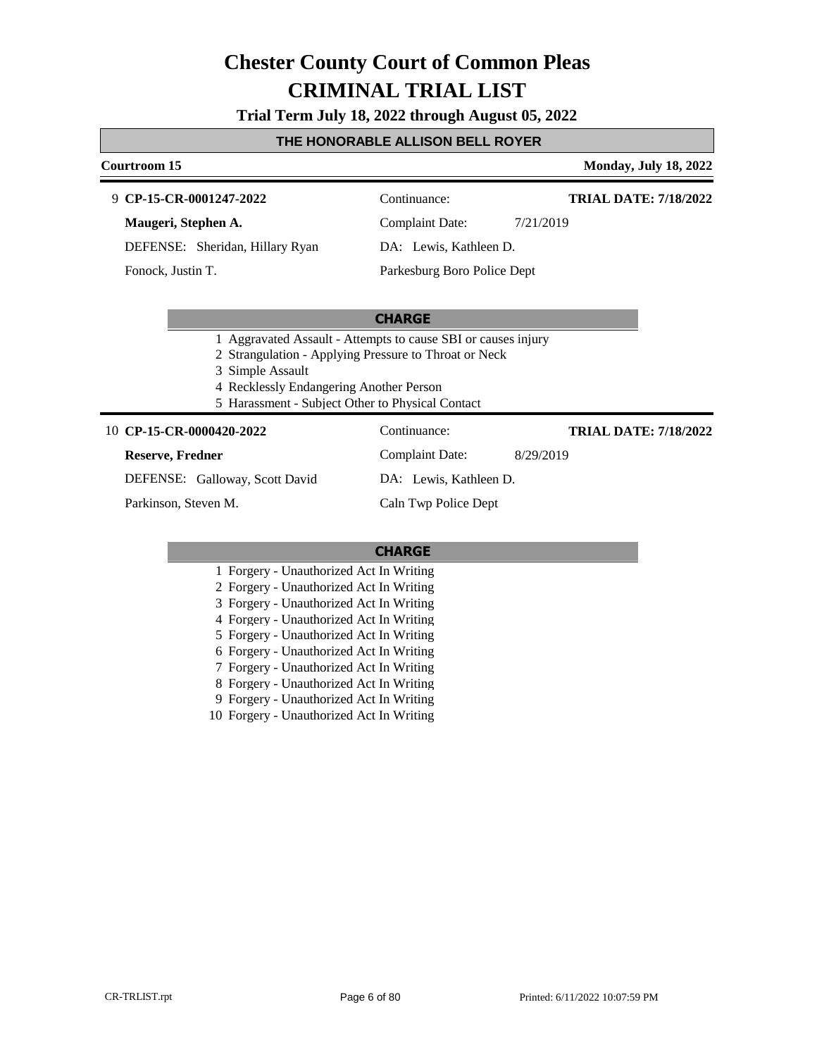**Trial Term July 18, 2022 through August 05, 2022**

#### **THE HONORABLE ALLISON BELL ROYER**

#### **Courtroom 15 Monday, July 18, 2022**

#### **CP-15-CR-0001247-2022** 9 Continuance:

**Maugeri, Stephen A.**

DEFENSE: Sheridan, Hillary Ryan

Fonock, Justin T.

Complaint Date: 7/21/2019

DA: Lewis, Kathleen D.

Parkesburg Boro Police Dept

#### **CHARGE**

- 1 Aggravated Assault Attempts to cause SBI or causes injury
- 2 Strangulation Applying Pressure to Throat or Neck

3 Simple Assault

- 4 Recklessly Endangering Another Person
- 5 Harassment Subject Other to Physical Contact

#### **CP-15-CR-0000420-2022** 10 Continuance:

#### **Reserve, Fredner**

**TRIAL DATE: 7/18/2022**

**TRIAL DATE: 7/18/2022**

Complaint Date: 8/29/2019

DEFENSE: Galloway, Scott David

Parkinson, Steven M.

Caln Twp Police Dept

DA: Lewis, Kathleen D.

#### **CHARGE**

- 1 Forgery Unauthorized Act In Writing
- 2 Forgery Unauthorized Act In Writing
- 3 Forgery Unauthorized Act In Writing
- 4 Forgery Unauthorized Act In Writing
- 5 Forgery Unauthorized Act In Writing
- 6 Forgery Unauthorized Act In Writing
- 7 Forgery Unauthorized Act In Writing
- 8 Forgery Unauthorized Act In Writing
- 9 Forgery Unauthorized Act In Writing

10 Forgery - Unauthorized Act In Writing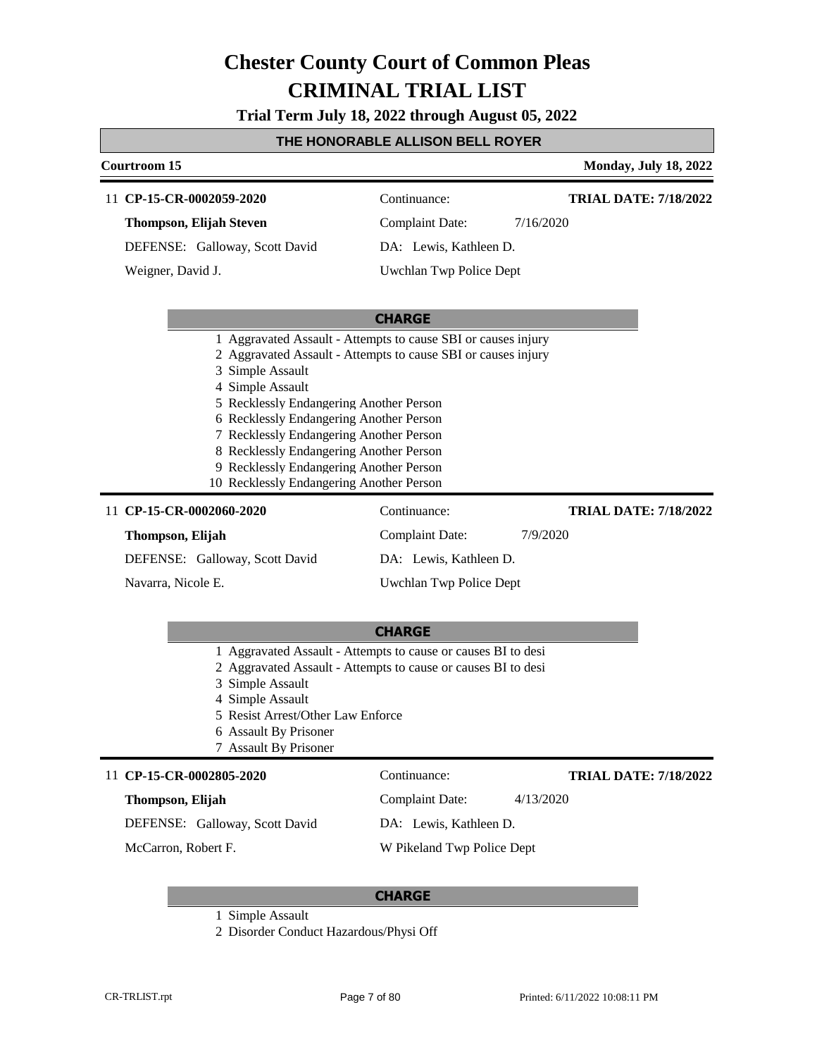**Trial Term July 18, 2022 through August 05, 2022**

#### **THE HONORABLE ALLISON BELL ROYER**

| Courtroom 15                                                                                                                                                                                                                                                                                                                                                                                                                              | <b>Monday, July 18, 2022</b>                                                                                                   |  |  |
|-------------------------------------------------------------------------------------------------------------------------------------------------------------------------------------------------------------------------------------------------------------------------------------------------------------------------------------------------------------------------------------------------------------------------------------------|--------------------------------------------------------------------------------------------------------------------------------|--|--|
| 11 CP-15-CR-0002059-2020                                                                                                                                                                                                                                                                                                                                                                                                                  | <b>TRIAL DATE: 7/18/2022</b><br>Continuance:                                                                                   |  |  |
| <b>Thompson, Elijah Steven</b>                                                                                                                                                                                                                                                                                                                                                                                                            | <b>Complaint Date:</b><br>7/16/2020                                                                                            |  |  |
| DEFENSE: Galloway, Scott David                                                                                                                                                                                                                                                                                                                                                                                                            | DA: Lewis, Kathleen D.                                                                                                         |  |  |
| Weigner, David J.                                                                                                                                                                                                                                                                                                                                                                                                                         | Uwchlan Twp Police Dept                                                                                                        |  |  |
|                                                                                                                                                                                                                                                                                                                                                                                                                                           |                                                                                                                                |  |  |
|                                                                                                                                                                                                                                                                                                                                                                                                                                           | <b>CHARGE</b>                                                                                                                  |  |  |
| 1 Aggravated Assault - Attempts to cause SBI or causes injury<br>2 Aggravated Assault - Attempts to cause SBI or causes injury<br>3 Simple Assault<br>4 Simple Assault<br>5 Recklessly Endangering Another Person<br>6 Recklessly Endangering Another Person<br>7 Recklessly Endangering Another Person<br>8 Recklessly Endangering Another Person<br>9 Recklessly Endangering Another Person<br>10 Recklessly Endangering Another Person |                                                                                                                                |  |  |
| 11 CP-15-CR-0002060-2020                                                                                                                                                                                                                                                                                                                                                                                                                  | Continuance:<br><b>TRIAL DATE: 7/18/2022</b>                                                                                   |  |  |
| Thompson, Elijah                                                                                                                                                                                                                                                                                                                                                                                                                          | <b>Complaint Date:</b><br>7/9/2020                                                                                             |  |  |
| DEFENSE: Galloway, Scott David                                                                                                                                                                                                                                                                                                                                                                                                            | DA: Lewis, Kathleen D.                                                                                                         |  |  |
| Navarra, Nicole E.                                                                                                                                                                                                                                                                                                                                                                                                                        | Uwchlan Twp Police Dept                                                                                                        |  |  |
|                                                                                                                                                                                                                                                                                                                                                                                                                                           |                                                                                                                                |  |  |
|                                                                                                                                                                                                                                                                                                                                                                                                                                           | <b>CHARGE</b>                                                                                                                  |  |  |
| 3 Simple Assault                                                                                                                                                                                                                                                                                                                                                                                                                          | 1 Aggravated Assault - Attempts to cause or causes BI to desi<br>2 Aggravated Assault - Attempts to cause or causes BI to desi |  |  |

- 4 Simple Assault
- 5 Resist Arrest/Other Law Enforce
- 6 Assault By Prisoner
- 7 Assault By Prisoner

#### 11 CP-15-CR-0002805-2020 Continuance:

#### **Thompson, Elijah**

#### **TRIAL DATE: 7/18/2022**

Complaint Date: 4/13/2020 DA: Lewis, Kathleen D.

DEFENSE: Galloway, Scott David

McCarron, Robert F.

W Pikeland Twp Police Dept

- 1 Simple Assault
- 2 Disorder Conduct Hazardous/Physi Off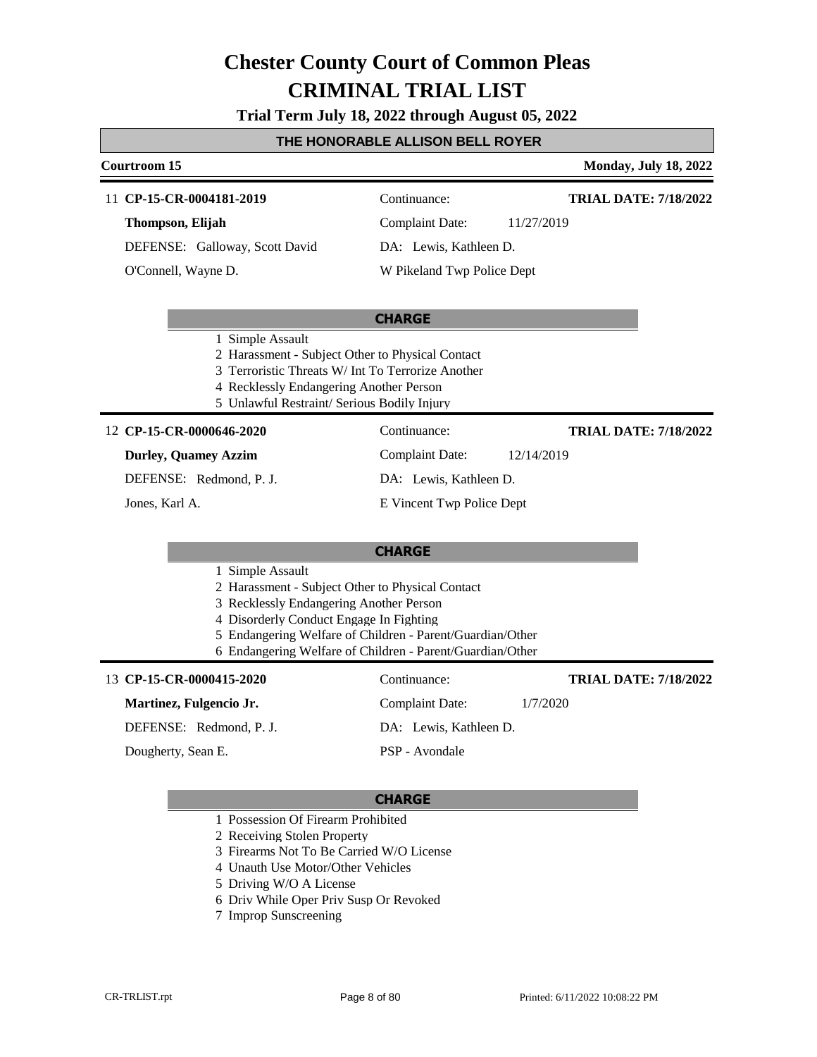**Trial Term July 18, 2022 through August 05, 2022**

#### **THE HONORABLE ALLISON BELL ROYER**

#### **Courtroom 15 Monday, July 18, 2022**

#### 11 **CP-15-CR-0004181-2019** Continuance:

**Thompson, Elijah** DEFENSE: Galloway, Scott David

O'Connell, Wayne D.

Complaint Date: 11/27/2019

DA: Lewis, Kathleen D.

**TRIAL DATE: 7/18/2022**

**TRIAL DATE: 7/18/2022**

W Pikeland Twp Police Dept

#### **CHARGE**

- 1 Simple Assault
- 2 Harassment Subject Other to Physical Contact
- 3 Terroristic Threats W/ Int To Terrorize Another
- 4 Recklessly Endangering Another Person
- 5 Unlawful Restraint/ Serious Bodily Injury

#### **CP-15-CR-0000646-2020** 12 Continuance:

#### **Durley, Quamey Azzim**

DEFENSE: Redmond, P. J.

Jones, Karl A.

### Complaint Date: 12/14/2019 DA: Lewis, Kathleen D.

E Vincent Twp Police Dept

#### **CHARGE**

#### 1 Simple Assault

- 2 Harassment Subject Other to Physical Contact
- 3 Recklessly Endangering Another Person
- 4 Disorderly Conduct Engage In Fighting
- 5 Endangering Welfare of Children Parent/Guardian/Other
- 6 Endangering Welfare of Children Parent/Guardian/Other

#### 13 **CP-15-CR-0000415-2020** Continuance: **Martinez, Fulgencio Jr.** DEFENSE: Redmond, P. J. Complaint Date: 1/7/2020 DA: Lewis, Kathleen D. PSP - Avondale **TRIAL DATE: 7/18/2022** Dougherty, Sean E.

- 1 Possession Of Firearm Prohibited
- 2 Receiving Stolen Property
- 3 Firearms Not To Be Carried W/O License
- 4 Unauth Use Motor/Other Vehicles
- 5 Driving W/O A License
- 6 Driv While Oper Priv Susp Or Revoked
- 7 Improp Sunscreening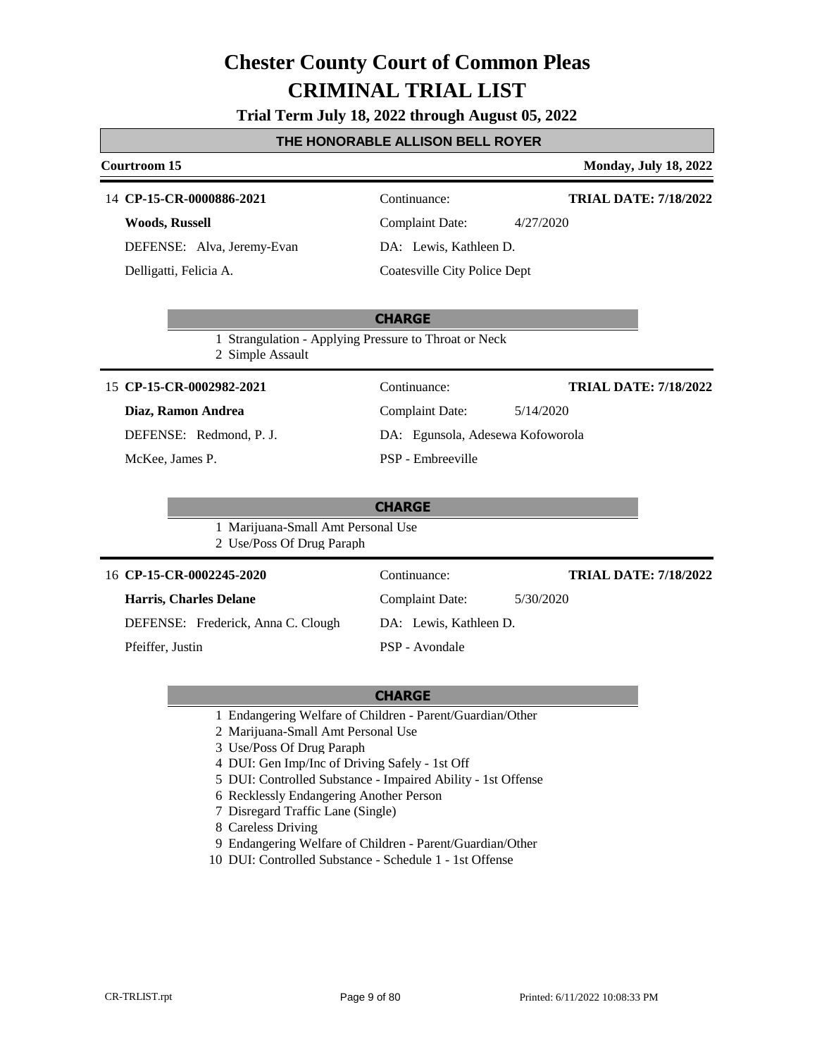#### **Trial Term July 18, 2022 through August 05, 2022**

#### **THE HONORABLE ALLISON BELL ROYER**

#### **Courtroom 15 Monday, July 18, 2022**

#### 14 **CP-15-CR-0000886-2021** Continuance:

**Woods, Russell** DEFENSE: Alva, Jeremy-Evan Delligatti, Felicia A.

Complaint Date: 4/27/2020

DA: Lewis, Kathleen D.

Coatesville City Police Dept

#### **CHARGE**

1 Strangulation - Applying Pressure to Throat or Neck

2 Simple Assault

#### 15 **CP-15-CR-0002982-2021** Continuance:

#### **Diaz, Ramon Andrea**

DEFENSE: Redmond, P. J.

McKee, James P.

| Continuance:                     | <b>TRIAL DATE: 7/18/2022</b> |
|----------------------------------|------------------------------|
| <b>Complaint Date:</b>           | 5/14/2020                    |
| DA: Egunsola, Adesewa Kofoworola |                              |
| PSP - Embreeville                |                              |

**TRIAL DATE: 7/18/2022**

**TRIAL DATE: 7/18/2022**

#### **CHARGE**

1 Marijuana-Small Amt Personal Use

2 Use/Poss Of Drug Paraph

#### 16 **CP-15-CR-0002245-2020** Continuance:

#### **Harris, Charles Delane**

DEFENSE: Frederick, Anna C. Clough

Pfeiffer, Justin

PSP - Avondale

DA: Lewis, Kathleen D.

Complaint Date: 5/30/2020

- 1 Endangering Welfare of Children Parent/Guardian/Other
- 2 Marijuana-Small Amt Personal Use
- 3 Use/Poss Of Drug Paraph
- 4 DUI: Gen Imp/Inc of Driving Safely 1st Off
- 5 DUI: Controlled Substance Impaired Ability 1st Offense
- 6 Recklessly Endangering Another Person
- 7 Disregard Traffic Lane (Single)
- 8 Careless Driving
- 9 Endangering Welfare of Children Parent/Guardian/Other
- 10 DUI: Controlled Substance Schedule 1 1st Offense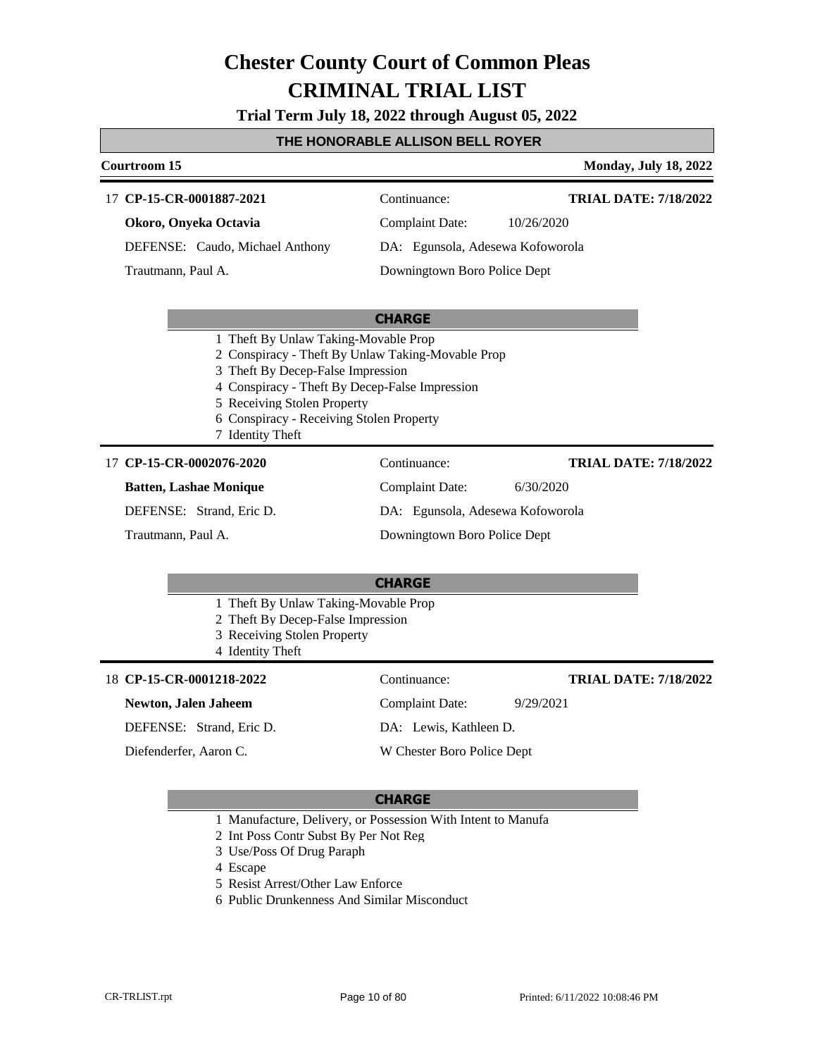**Trial Term July 18, 2022 through August 05, 2022**

#### **THE HONORABLE ALLISON BELL ROYER**

#### **Courtroom 15 Monday, July 18, 2022 CHARGE** 17 **CP-15-CR-0001887-2021** Continuance: **Okoro, Onyeka Octavia** DEFENSE: Caudo, Michael Anthony Complaint Date: 10/26/2020 DA: Egunsola, Adesewa Kofoworola Downingtown Boro Police Dept **TRIAL DATE: 7/18/2022** Trautmann, Paul A. 1 Theft By Unlaw Taking-Movable Prop 2 Conspiracy - Theft By Unlaw Taking-Movable Prop 3 Theft By Decep-False Impression 4 Conspiracy - Theft By Decep-False Impression 5 Receiving Stolen Property 6 Conspiracy - Receiving Stolen Property 7 Identity Theft **CHARGE** 17 **CP-15-CR-0002076-2020** Continuance: **Batten, Lashae Monique** DEFENSE: Strand, Eric D. Complaint Date: 6/30/2020 DA: Egunsola, Adesewa Kofoworola Downingtown Boro Police Dept **TRIAL DATE: 7/18/2022** Trautmann, Paul A. 1 Theft By Unlaw Taking-Movable Prop 2 Theft By Decep-False Impression 3 Receiving Stolen Property 4 Identity Theft **CP-15-CR-0001218-2022** 18 Continuance: **TRIAL DATE: 7/18/2022**

### **Newton, Jalen Jaheem** DEFENSE: Strand, Eric D. Diefenderfer, Aaron C.

Complaint Date: 9/29/2021

DA: Lewis, Kathleen D. W Chester Boro Police Dept

- 1 Manufacture, Delivery, or Possession With Intent to Manufa
- 2 Int Poss Contr Subst By Per Not Reg
- 3 Use/Poss Of Drug Paraph
- 4 Escape
- 5 Resist Arrest/Other Law Enforce
- 6 Public Drunkenness And Similar Misconduct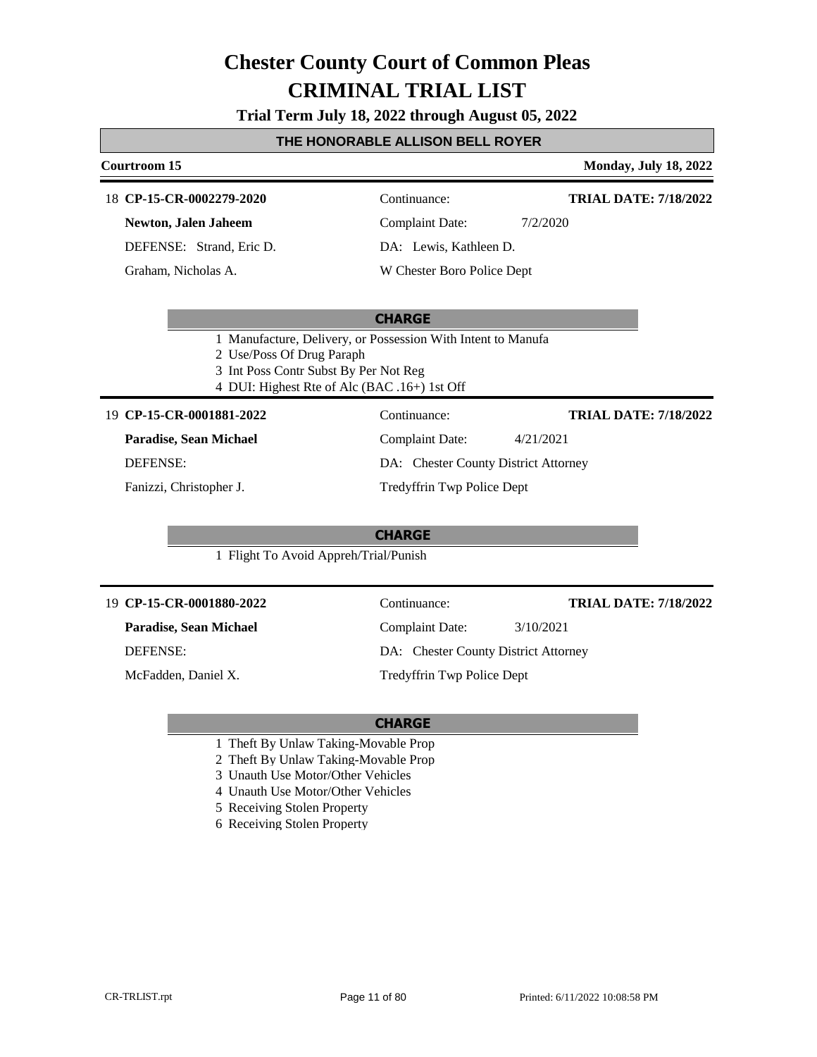**Trial Term July 18, 2022 through August 05, 2022**

#### **THE HONORABLE ALLISON BELL ROYER**

#### **Courtroom 15 Monday, July 18, 2022 CHARGE CP-15-CR-0002279-2020** 18 Continuance: **Newton, Jalen Jaheem** DEFENSE: Strand, Eric D. Complaint Date: 7/2/2020 DA: Lewis, Kathleen D. W Chester Boro Police Dept **TRIAL DATE: 7/18/2022** Graham, Nicholas A. 1 Manufacture, Delivery, or Possession With Intent to Manufa 2 Use/Poss Of Drug Paraph 3 Int Poss Contr Subst By Per Not Reg 4 DUI: Highest Rte of Alc (BAC .16+) 1st Off **CHARGE CP-15-CR-0001881-2022** 19 Continuance: **Paradise, Sean Michael** DEFENSE: Complaint Date: 4/21/2021 DA: Chester County District Attorney Tredyffrin Twp Police Dept **TRIAL DATE: 7/18/2022** Fanizzi, Christopher J. 1 Flight To Avoid Appreh/Trial/Punish **CP-15-CR-0001880-2022** 19 Continuance: **Paradise, Sean Michael** Complaint Date: 3/10/2021 **TRIAL DATE: 7/18/2022**

DEFENSE:

McFadden, Daniel X.

DA: Chester County District Attorney

Tredyffrin Twp Police Dept

- 1 Theft By Unlaw Taking-Movable Prop
- 2 Theft By Unlaw Taking-Movable Prop
- 3 Unauth Use Motor/Other Vehicles
- 4 Unauth Use Motor/Other Vehicles
- 5 Receiving Stolen Property
- 6 Receiving Stolen Property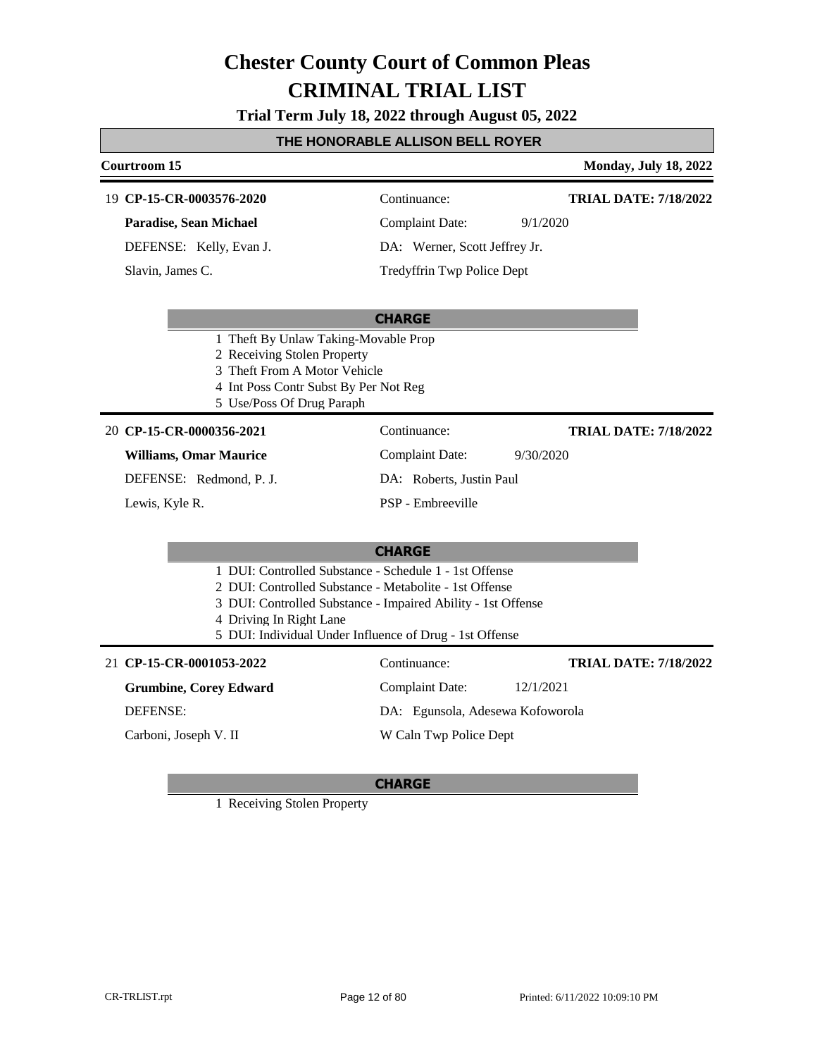**Trial Term July 18, 2022 through August 05, 2022**

#### **THE HONORABLE ALLISON BELL ROYER**

#### **Courtroom 15 Monday, July 18, 2022**

#### **CP-15-CR-0003576-2020** 19 Continuance:

**Paradise, Sean Michael**

DEFENSE: Kelly, Evan J.

Slavin, James C.

Complaint Date: 9/1/2020

**TRIAL DATE: 7/18/2022**

**TRIAL DATE: 7/18/2022**

DA: Werner, Scott Jeffrey Jr. Tredyffrin Twp Police Dept

#### **CHARGE**

- 1 Theft By Unlaw Taking-Movable Prop
- 2 Receiving Stolen Property
- 3 Theft From A Motor Vehicle
- 4 Int Poss Contr Subst By Per Not Reg
- 5 Use/Poss Of Drug Paraph

#### **CP-15-CR-0000356-2021** 20 Continuance:

**Williams, Omar Maurice**

DEFENSE: Redmond, P. J.

Lewis, Kyle R.

Complaint Date: 9/30/2020 DA: Roberts, Justin Paul PSP - Embreeville

#### **CHARGE**

- 1 DUI: Controlled Substance Schedule 1 1st Offense
- 2 DUI: Controlled Substance Metabolite 1st Offense
- 3 DUI: Controlled Substance Impaired Ability 1st Offense
- 4 Driving In Right Lane
- 5 DUI: Individual Under Influence of Drug 1st Offense

### **CP-15-CR-0001053-2022** 21 Continuance:

**Grumbine, Corey Edward**

DEFENSE:

Carboni, Joseph V. II

### Complaint Date: 12/1/2021 DA: Egunsola, Adesewa Kofoworola W Caln Twp Police Dept **TRIAL DATE: 7/18/2022**

#### **CHARGE**

1 Receiving Stolen Property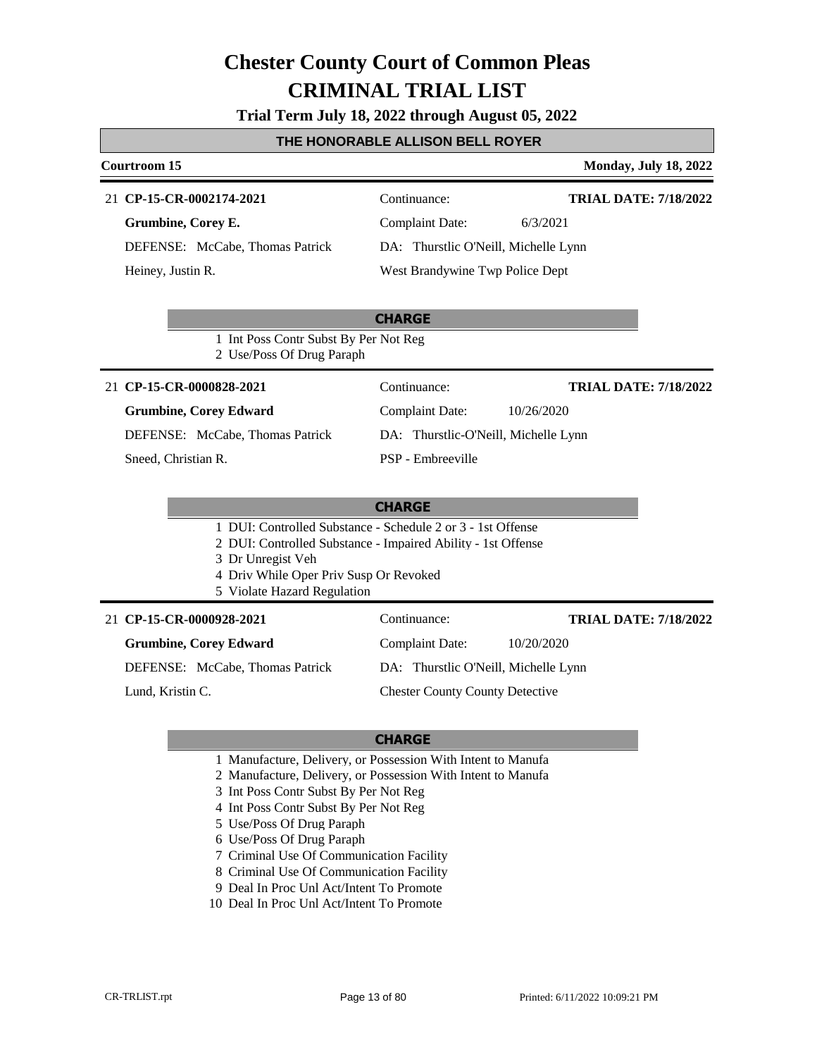| Trial Term July 18, 2022 through August 05, 2022 |  |  |  |  |  |  |
|--------------------------------------------------|--|--|--|--|--|--|
|--------------------------------------------------|--|--|--|--|--|--|

#### **THE HONORABLE ALLISON BELL ROYER**

#### **Courtroom 15 Monday, July 18, 2022 CP-15-CR-0002174-2021** 21 Continuance: **Grumbine, Corey E.** DEFENSE: McCabe, Thomas Patrick Complaint Date: 6/3/2021 DA: Thurstlic O'Neill, Michelle Lynn **TRIAL DATE: 7/18/2022**

Heiney, Justin R.

### **CHARGE**

1 Int Poss Contr Subst By Per Not Reg 2 Use/Poss Of Drug Paraph

#### **CP-15-CR-0000828-2021** 21 Continuance:

#### **Grumbine, Corey Edward**

DEFENSE: McCabe, Thomas Patrick

Sneed, Christian R.

Complaint Date: 10/26/2020 DA: Thurstlic-O'Neill, Michelle Lynn PSP - Embreeville

West Brandywine Twp Police Dept

#### **CHARGE**

- 1 DUI: Controlled Substance Schedule 2 or 3 1st Offense
- 2 DUI: Controlled Substance Impaired Ability 1st Offense
- 3 Dr Unregist Veh
- 4 Driv While Oper Priv Susp Or Revoked
- 5 Violate Hazard Regulation

#### **CP-15-CR-0000928-2021** 21 Continuance:

**Grumbine, Corey Edward**

DEFENSE: McCabe, Thomas Patrick

Lund, Kristin C.

DA: Thurstlic O'Neill, Michelle Lynn Chester County County Detective

Complaint Date: 10/20/2020

#### **CHARGE**

- 1 Manufacture, Delivery, or Possession With Intent to Manufa
- 2 Manufacture, Delivery, or Possession With Intent to Manufa
- 3 Int Poss Contr Subst By Per Not Reg
- 4 Int Poss Contr Subst By Per Not Reg
- 5 Use/Poss Of Drug Paraph
- 6 Use/Poss Of Drug Paraph
- 7 Criminal Use Of Communication Facility
- 8 Criminal Use Of Communication Facility
- 9 Deal In Proc Unl Act/Intent To Promote
- 10 Deal In Proc Unl Act/Intent To Promote

**TRIAL DATE: 7/18/2022**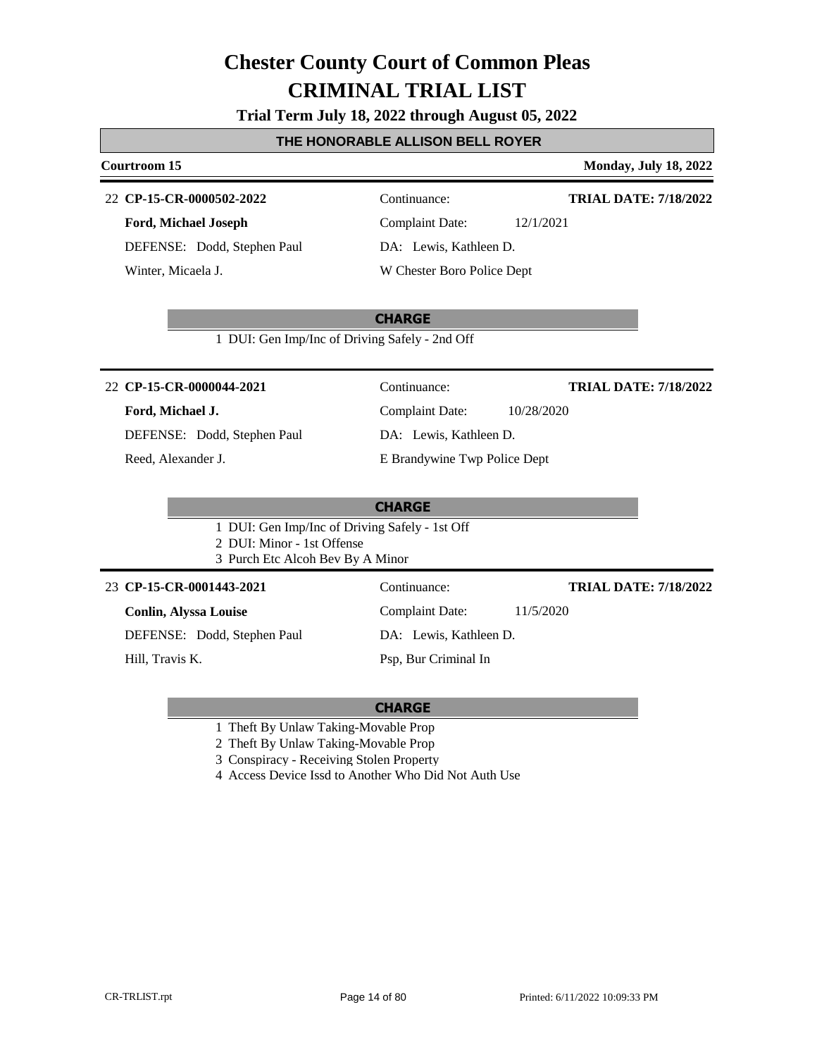**Trial Term July 18, 2022 through August 05, 2022**

#### **THE HONORABLE ALLISON BELL ROYER**

#### **Courtroom 15 Monday, July 18, 2022**

#### **CP-15-CR-0000502-2022** 22 Continuance:

**Ford, Michael Joseph** DEFENSE: Dodd, Stephen Paul Winter, Micaela J.

**TRIAL DATE: 7/18/2022**

Complaint Date: 12/1/2021 DA: Lewis, Kathleen D. W Chester Boro Police Dept

#### **CHARGE**

1 DUI: Gen Imp/Inc of Driving Safely - 2nd Off

#### **CP-15-CR-0000044-2021** 22 Continuance:

#### **Ford, Michael J.**

DEFENSE: Dodd, Stephen Paul

Reed, Alexander J.

Complaint Date: 10/28/2020

**TRIAL DATE: 7/18/2022**

**TRIAL DATE: 7/18/2022**

DA: Lewis, Kathleen D.

E Brandywine Twp Police Dept

#### **CHARGE**

1 DUI: Gen Imp/Inc of Driving Safely - 1st Off 2 DUI: Minor - 1st Offense

3 Purch Etc Alcoh Bev By A Minor

#### **CP-15-CR-0001443-2021** 23 Continuance:

**Conlin, Alyssa Louise**

DEFENSE: Dodd, Stephen Paul

Hill, Travis K.

DA: Lewis, Kathleen D.

Complaint Date: 11/5/2020

Psp, Bur Criminal In

- 1 Theft By Unlaw Taking-Movable Prop
- 2 Theft By Unlaw Taking-Movable Prop
- 3 Conspiracy Receiving Stolen Property
- 4 Access Device Issd to Another Who Did Not Auth Use

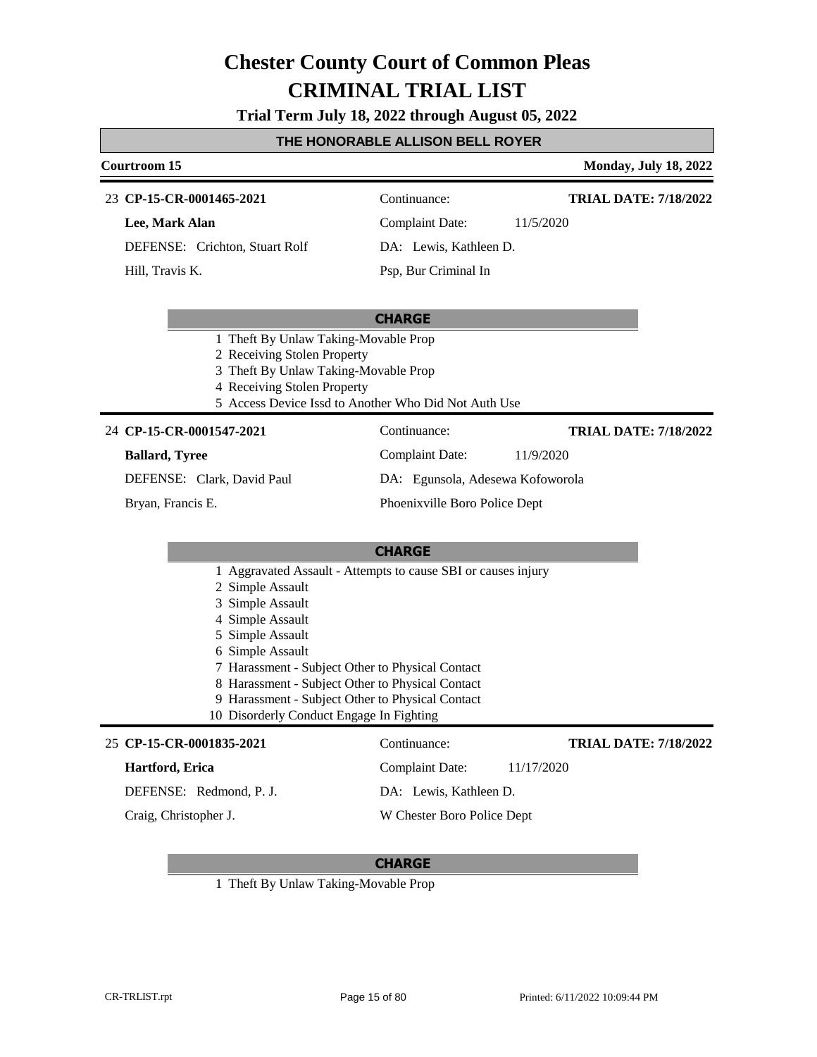**Trial Term July 18, 2022 through August 05, 2022**

#### **THE HONORABLE ALLISON BELL ROYER**

#### **Courtroom 15 Monday, July 18, 2022**

#### **CP-15-CR-0001465-2021** 23 Continuance:

**Lee, Mark Alan** DEFENSE: Crichton, Stuart Rolf

Hill, Travis K.

Complaint Date: 11/5/2020

**TRIAL DATE: 7/18/2022**

Psp, Bur Criminal In

DA: Lewis, Kathleen D.

#### **CHARGE**

- 1 Theft By Unlaw Taking-Movable Prop
- 2 Receiving Stolen Property
- 3 Theft By Unlaw Taking-Movable Prop
- 4 Receiving Stolen Property
- 5 Access Device Issd to Another Who Did Not Auth Use

#### **CP-15-CR-0001547-2021** 24 Continuance:

#### **Ballard, Tyree**

**TRIAL DATE: 7/18/2022**

**TRIAL DATE: 7/18/2022**

DEFENSE: Clark, David Paul

Bryan, Francis E.

Complaint Date: 11/9/2020 DA: Egunsola, Adesewa Kofoworola

Phoenixville Boro Police Dept

Complaint Date: 11/17/2020

DA: Lewis, Kathleen D. W Chester Boro Police Dept

#### **CHARGE**

- 1 Aggravated Assault Attempts to cause SBI or causes injury
- 2 Simple Assault
- 3 Simple Assault
- 4 Simple Assault
- 5 Simple Assault
- 6 Simple Assault
- 7 Harassment Subject Other to Physical Contact
- 8 Harassment Subject Other to Physical Contact
- 9 Harassment Subject Other to Physical Contact
- 10 Disorderly Conduct Engage In Fighting

#### **CP-15-CR-0001835-2021** 25 Continuance:

#### **Hartford, Erica**

DEFENSE: Redmond, P. J.

Craig, Christopher J.

#### **CHARGE**

1 Theft By Unlaw Taking-Movable Prop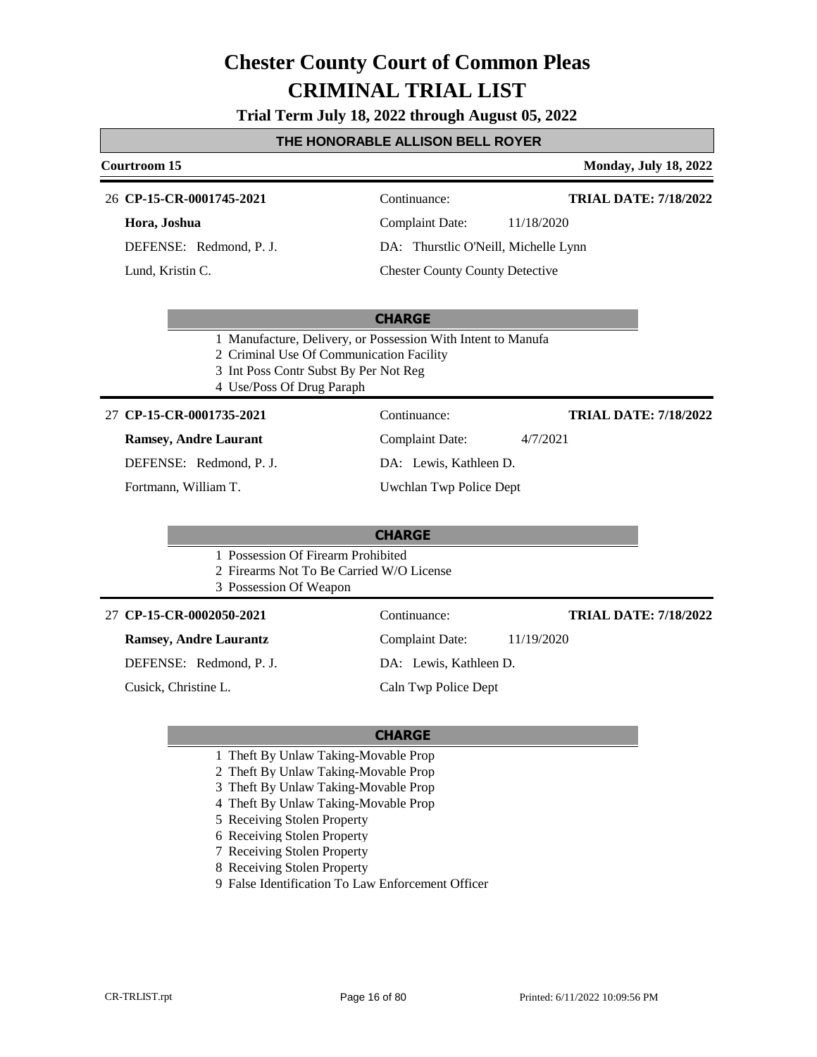**Trial Term July 18, 2022 through August 05, 2022**

#### **THE HONORABLE ALLISON BELL ROYER**

#### **Courtroom 15 Monday, July 18, 2022**

**TRIAL DATE: 7/18/2022**

**CP-15-CR-0001745-2021** 26 Continuance:

#### **Hora, Joshua**

DEFENSE: Redmond, P. J.

Lund, Kristin C.

### Complaint Date: 11/18/2020 DA: Thurstlic O'Neill, Michelle Lynn

Chester County County Detective

#### **CHARGE**

- 1 Manufacture, Delivery, or Possession With Intent to Manufa
- 2 Criminal Use Of Communication Facility
- 3 Int Poss Contr Subst By Per Not Reg
- 4 Use/Poss Of Drug Paraph

#### **CP-15-CR-0001735-2021** 27 Continuance:

#### **Ramsey, Andre Laurant**

DEFENSE: Redmond, P. J.

Fortmann, William T.

Complaint Date: 4/7/2021

DA: Lewis, Kathleen D.

Uwchlan Twp Police Dept

#### **CHARGE**

- 1 Possession Of Firearm Prohibited
- 2 Firearms Not To Be Carried W/O License
- 3 Possession Of Weapon

#### **CP-15-CR-0002050-2021** 27 Continuance:

**Ramsey, Andre Laurantz**

DEFENSE: Redmond, P. J.

Cusick, Christine L.

DA: Lewis, Kathleen D.

#### **TRIAL DATE: 7/18/2022**

**TRIAL DATE: 7/18/2022**

Caln Twp Police Dept

#### **CHARGE**

- 1 Theft By Unlaw Taking-Movable Prop
- 2 Theft By Unlaw Taking-Movable Prop
- 3 Theft By Unlaw Taking-Movable Prop
- 4 Theft By Unlaw Taking-Movable Prop
- 5 Receiving Stolen Property
- 6 Receiving Stolen Property
- 7 Receiving Stolen Property
- 8 Receiving Stolen Property
- 9 False Identification To Law Enforcement Officer

Complaint Date: 11/19/2020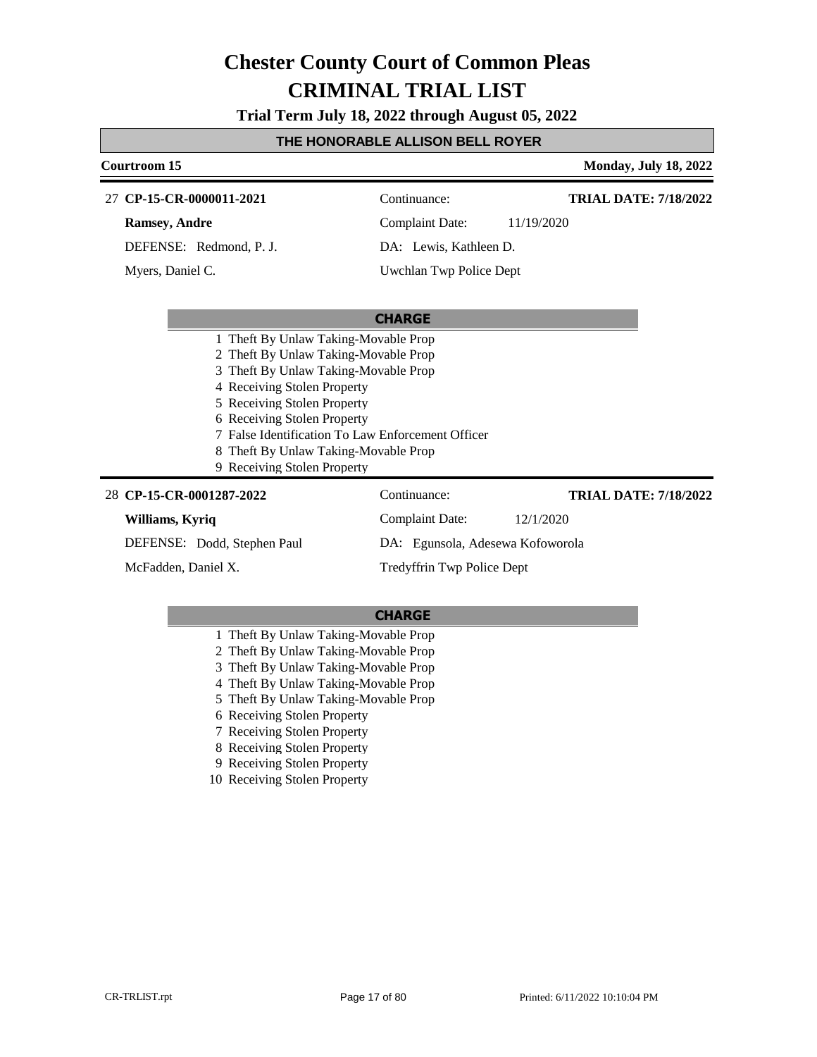**Trial Term July 18, 2022 through August 05, 2022**

#### **THE HONORABLE ALLISON BELL ROYER**

#### **Courtroom 15 Monday, July 18, 2022 CHARGE CP-15-CR-0000011-2021** 27 Continuance: **Ramsey, Andre** DEFENSE: Redmond, P. J. Complaint Date: 11/19/2020 DA: Lewis, Kathleen D. Uwchlan Twp Police Dept **TRIAL DATE: 7/18/2022** Myers, Daniel C. 1 Theft By Unlaw Taking-Movable Prop 2 Theft By Unlaw Taking-Movable Prop 3 Theft By Unlaw Taking-Movable Prop 4 Receiving Stolen Property 5 Receiving Stolen Property 6 Receiving Stolen Property 7 False Identification To Law Enforcement Officer 8 Theft By Unlaw Taking-Movable Prop 9 Receiving Stolen Property **CP-15-CR-0001287-2022** 28 Continuance: **Williams, Kyriq** DEFENSE: Dodd, Stephen Paul Complaint Date: 12/1/2020 DA: Egunsola, Adesewa Kofoworola Tredyffrin Twp Police Dept **TRIAL DATE: 7/18/2022** McFadden, Daniel X.

- 1 Theft By Unlaw Taking-Movable Prop
- 2 Theft By Unlaw Taking-Movable Prop
- 3 Theft By Unlaw Taking-Movable Prop
- 4 Theft By Unlaw Taking-Movable Prop
- 5 Theft By Unlaw Taking-Movable Prop
- 6 Receiving Stolen Property
- 7 Receiving Stolen Property
- 8 Receiving Stolen Property
- 9 Receiving Stolen Property
- 10 Receiving Stolen Property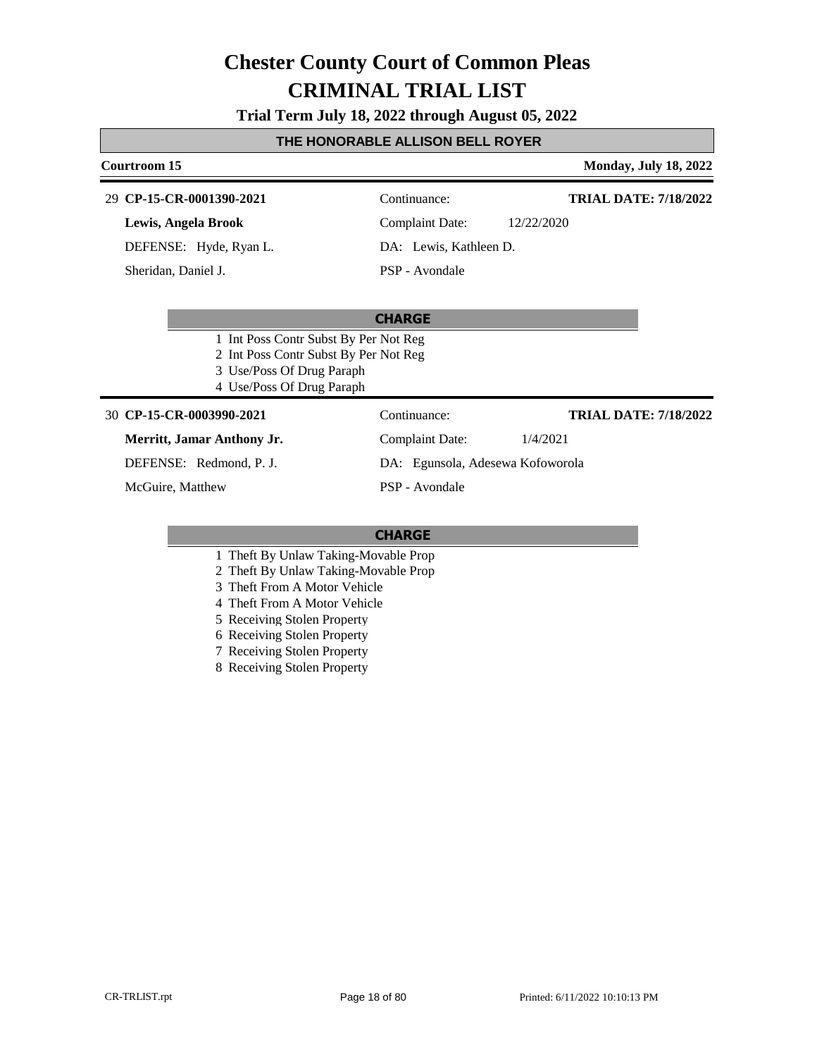**Trial Term July 18, 2022 through August 05, 2022**

#### **THE HONORABLE ALLISON BELL ROYER**

#### **Courtroom 15 Monday, July 18, 2022**

#### **CP-15-CR-0001390-2021** 29 Continuance:

**Lewis, Angela Brook**

DEFENSE: Hyde, Ryan L.

Sheridan, Daniel J.

Complaint Date: 12/22/2020

DA: Lewis, Kathleen D.

PSP - Avondale

#### **CHARGE**

- 1 Int Poss Contr Subst By Per Not Reg
- 2 Int Poss Contr Subst By Per Not Reg
- 3 Use/Poss Of Drug Paraph
- 4 Use/Poss Of Drug Paraph

#### **CP-15-CR-0003990-2021** 30 Continuance:

#### **Merritt, Jamar Anthony Jr.**

DEFENSE: Redmond, P. J.

McGuire, Matthew

Complaint Date: 1/4/2021 DA: Egunsola, Adesewa Kofoworola

PSP - Avondale

#### **CHARGE**

- 1 Theft By Unlaw Taking-Movable Prop
- 2 Theft By Unlaw Taking-Movable Prop
- 3 Theft From A Motor Vehicle
- 4 Theft From A Motor Vehicle
- 5 Receiving Stolen Property
- 6 Receiving Stolen Property
- 7 Receiving Stolen Property
- 8 Receiving Stolen Property

**TRIAL DATE: 7/18/2022**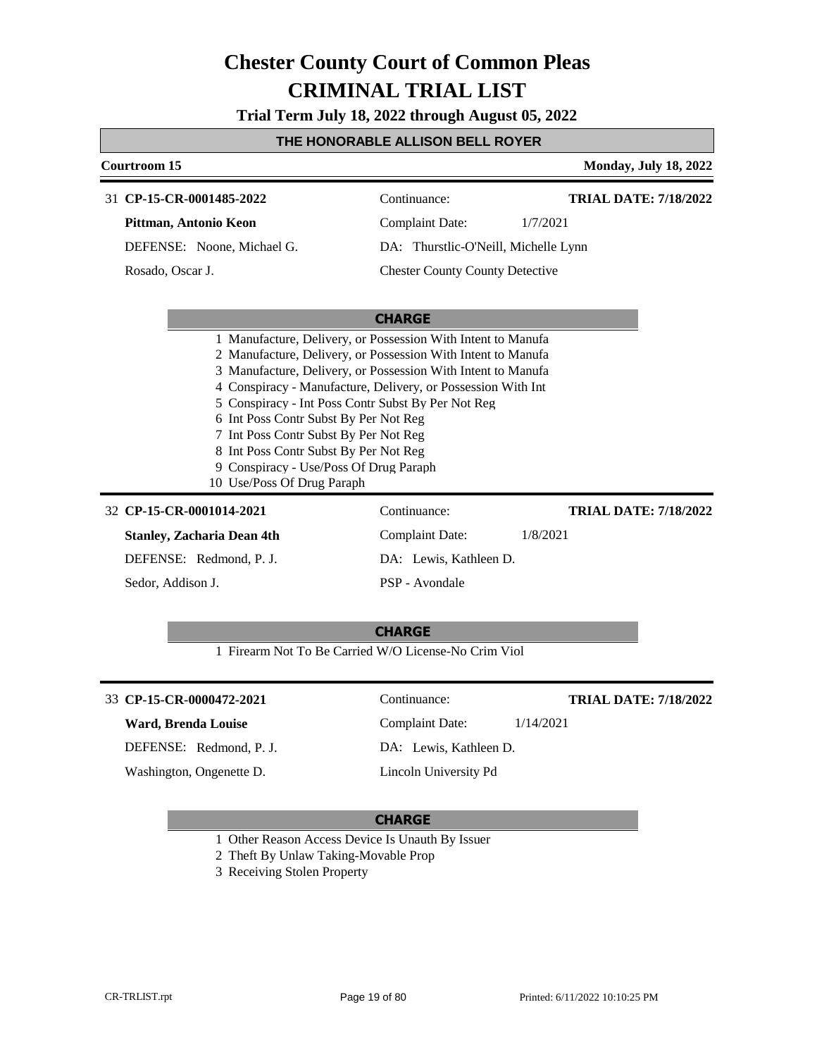**Trial Term July 18, 2022 through August 05, 2022**

#### **THE HONORABLE ALLISON BELL ROYER**

|                          | Courtroom 15                                                                                                                                                                                                                                                                                                                                                                 |                                        | <b>Monday, July 18, 2022</b> |  |  |  |
|--------------------------|------------------------------------------------------------------------------------------------------------------------------------------------------------------------------------------------------------------------------------------------------------------------------------------------------------------------------------------------------------------------------|----------------------------------------|------------------------------|--|--|--|
|                          | 31 CP-15-CR-0001485-2022                                                                                                                                                                                                                                                                                                                                                     | Continuance:                           | <b>TRIAL DATE: 7/18/2022</b> |  |  |  |
|                          | Pittman, Antonio Keon                                                                                                                                                                                                                                                                                                                                                        | <b>Complaint Date:</b>                 | 1/7/2021                     |  |  |  |
|                          | DEFENSE: Noone, Michael G.                                                                                                                                                                                                                                                                                                                                                   | DA: Thurstlic-O'Neill, Michelle Lynn   |                              |  |  |  |
|                          | Rosado, Oscar J.                                                                                                                                                                                                                                                                                                                                                             | <b>Chester County County Detective</b> |                              |  |  |  |
|                          | <b>CHARGE</b><br>1 Manufacture, Delivery, or Possession With Intent to Manufa<br>2 Manufacture, Delivery, or Possession With Intent to Manufa<br>3 Manufacture, Delivery, or Possession With Intent to Manufa<br>4 Conspiracy - Manufacture, Delivery, or Possession With Int<br>5 Conspiracy - Int Poss Contr Subst By Per Not Reg<br>6 Int Poss Contr Subst By Per Not Reg |                                        |                              |  |  |  |
|                          | 7 Int Poss Contr Subst By Per Not Reg<br>8 Int Poss Contr Subst By Per Not Reg                                                                                                                                                                                                                                                                                               |                                        |                              |  |  |  |
|                          | 9 Conspiracy - Use/Poss Of Drug Paraph                                                                                                                                                                                                                                                                                                                                       |                                        |                              |  |  |  |
|                          | 10 Use/Poss Of Drug Paraph                                                                                                                                                                                                                                                                                                                                                   |                                        |                              |  |  |  |
| 32 CP-15-CR-0001014-2021 |                                                                                                                                                                                                                                                                                                                                                                              | Continuance:                           | <b>TRIAL DATE: 7/18/2022</b> |  |  |  |
|                          | <b>Stanley, Zacharia Dean 4th</b>                                                                                                                                                                                                                                                                                                                                            | <b>Complaint Date:</b>                 | 1/8/2021                     |  |  |  |
|                          | DEFENSE: Redmond, P. J.                                                                                                                                                                                                                                                                                                                                                      | DA: Lewis, Kathleen D.                 |                              |  |  |  |
|                          | Sedor, Addison J.                                                                                                                                                                                                                                                                                                                                                            | PSP - Avondale                         |                              |  |  |  |
|                          |                                                                                                                                                                                                                                                                                                                                                                              | <b>CHARGE</b>                          |                              |  |  |  |
|                          | 1 Firearm Not To Be Carried W/O License-No Crim Viol                                                                                                                                                                                                                                                                                                                         |                                        |                              |  |  |  |
|                          | 33 CP-15-CR-0000472-2021                                                                                                                                                                                                                                                                                                                                                     | Continuance:                           | <b>TRIAL DATE: 7/18/2022</b> |  |  |  |
|                          | <b>Ward, Brenda Louise</b>                                                                                                                                                                                                                                                                                                                                                   | <b>Complaint Date:</b>                 | 1/14/2021                    |  |  |  |
|                          | DEFENSE: Redmond, P. J.                                                                                                                                                                                                                                                                                                                                                      | DA: Lewis, Kathleen D.                 |                              |  |  |  |
|                          | Washington, Ongenette D.                                                                                                                                                                                                                                                                                                                                                     | Lincoln University Pd                  |                              |  |  |  |
|                          |                                                                                                                                                                                                                                                                                                                                                                              | <b>CHARGE</b>                          |                              |  |  |  |
|                          | 1 Other Reason Access Device Is Unauth By Issuer                                                                                                                                                                                                                                                                                                                             |                                        |                              |  |  |  |

- 2 Theft By Unlaw Taking-Movable Prop
- 3 Receiving Stolen Property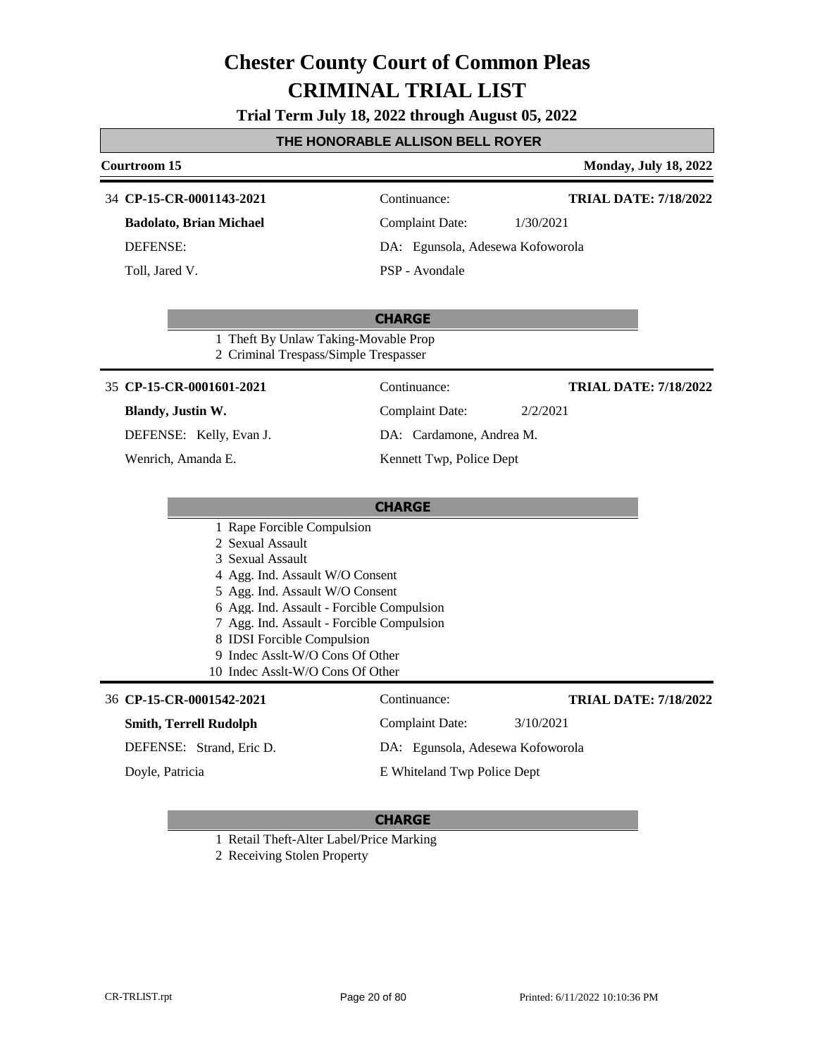**Trial Term July 18, 2022 through August 05, 2022**

### **THE HONORABLE ALLISON BELL ROYER**

|                                                                                                | Courtroom 15                                                                           |                                  | <b>Monday, July 18, 2022</b> |  |  |
|------------------------------------------------------------------------------------------------|----------------------------------------------------------------------------------------|----------------------------------|------------------------------|--|--|
|                                                                                                | 34 CP-15-CR-0001143-2021                                                               | Continuance:                     | <b>TRIAL DATE: 7/18/2022</b> |  |  |
|                                                                                                | <b>Badolato, Brian Michael</b>                                                         | <b>Complaint Date:</b>           | 1/30/2021                    |  |  |
|                                                                                                | <b>DEFENSE:</b>                                                                        | DA: Egunsola, Adesewa Kofoworola |                              |  |  |
|                                                                                                | Toll, Jared V.                                                                         | PSP - Avondale                   |                              |  |  |
| <b>CHARGE</b><br>1 Theft By Unlaw Taking-Movable Prop<br>2 Criminal Trespass/Simple Trespasser |                                                                                        |                                  |                              |  |  |
|                                                                                                | 35 CP-15-CR-0001601-2021                                                               | Continuance:                     | <b>TRIAL DATE: 7/18/2022</b> |  |  |
|                                                                                                | Blandy, Justin W.                                                                      | <b>Complaint Date:</b>           | 2/2/2021                     |  |  |
|                                                                                                | DEFENSE: Kelly, Evan J.                                                                | DA: Cardamone, Andrea M.         |                              |  |  |
|                                                                                                | Wenrich, Amanda E.                                                                     | Kennett Twp, Police Dept         |                              |  |  |
| <b>CHARGE</b>                                                                                  |                                                                                        |                                  |                              |  |  |
|                                                                                                | 1 Rape Forcible Compulsion                                                             |                                  |                              |  |  |
|                                                                                                | 2 Sexual Assault<br>3 Sexual Assault                                                   |                                  |                              |  |  |
|                                                                                                | 4 Agg. Ind. Assault W/O Consent                                                        |                                  |                              |  |  |
|                                                                                                | 5 Agg. Ind. Assault W/O Consent                                                        |                                  |                              |  |  |
|                                                                                                | 6 Agg. Ind. Assault - Forcible Compulsion<br>7 Agg. Ind. Assault - Forcible Compulsion |                                  |                              |  |  |
|                                                                                                | 8 IDSI Forcible Compulsion                                                             |                                  |                              |  |  |
|                                                                                                | 9 Indec Asslt-W/O Cons Of Other                                                        |                                  |                              |  |  |
| 10 Indec Asslt-W/O Cons Of Other                                                               |                                                                                        |                                  |                              |  |  |
|                                                                                                | 36 CP-15-CR-0001542-2021                                                               | Continuance:                     | <b>TRIAL DATE: 7/18/2022</b> |  |  |
|                                                                                                | <b>Smith, Terrell Rudolph</b>                                                          | <b>Complaint Date:</b>           | 3/10/2021                    |  |  |
|                                                                                                | DEFENSE: Strand, Eric D.<br>DA: Egunsola, Adesewa Kofoworola                           |                                  |                              |  |  |
|                                                                                                | Doyle, Patricia                                                                        | E Whiteland Twp Police Dept      |                              |  |  |

#### **CHARGE**

1 Retail Theft-Alter Label/Price Marking

2 Receiving Stolen Property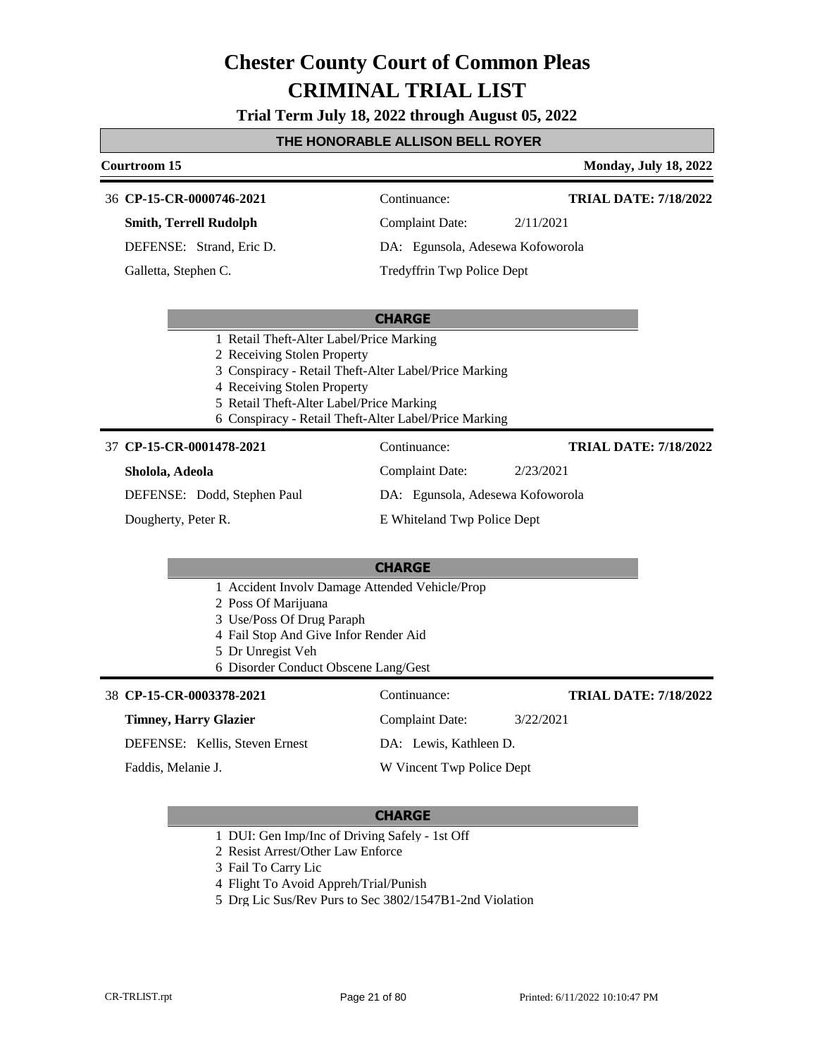**Trial Term July 18, 2022 through August 05, 2022**

#### **THE HONORABLE ALLISON BELL ROYER**

### **Courtroom 15 Monday, July 18, 2022 CHARGE CP-15-CR-0000746-2021** 36 Continuance: **Smith, Terrell Rudolph** DEFENSE: Strand, Eric D. Complaint Date: 2/11/2021 DA: Egunsola, Adesewa Kofoworola Tredyffrin Twp Police Dept **TRIAL DATE: 7/18/2022** Galletta, Stephen C.

- 1 Retail Theft-Alter Label/Price Marking
- 2 Receiving Stolen Property
- 3 Conspiracy Retail Theft-Alter Label/Price Marking
- 4 Receiving Stolen Property
- 5 Retail Theft-Alter Label/Price Marking
- 6 Conspiracy Retail Theft-Alter Label/Price Marking

#### **CP-15-CR-0001478-2021** 37 Continuance:

#### **Sholola, Adeola**

DEFENSE: Dodd, Stephen Paul

Dougherty, Peter R.

### E Whiteland Twp Police Dept

Complaint Date: 2/23/2021 DA: Egunsola, Adesewa Kofoworola

Complaint Date: 3/22/2021

DA: Lewis, Kathleen D. W Vincent Twp Police Dept

#### **CHARGE**

- 1 Accident Involv Damage Attended Vehicle/Prop
- 2 Poss Of Marijuana
- 3 Use/Poss Of Drug Paraph
- 4 Fail Stop And Give Infor Render Aid
- 5 Dr Unregist Veh
- 6 Disorder Conduct Obscene Lang/Gest

#### **CP-15-CR-0003378-2021** 38 Continuance:

#### **Timney, Harry Glazier**

DEFENSE: Kellis, Steven Ernest

Faddis, Melanie J.

#### **CHARGE**

- 1 DUI: Gen Imp/Inc of Driving Safely 1st Off
- 2 Resist Arrest/Other Law Enforce
- 3 Fail To Carry Lic
- 4 Flight To Avoid Appreh/Trial/Punish
- 5 Drg Lic Sus/Rev Purs to Sec 3802/1547B1-2nd Violation

**TRIAL DATE: 7/18/2022**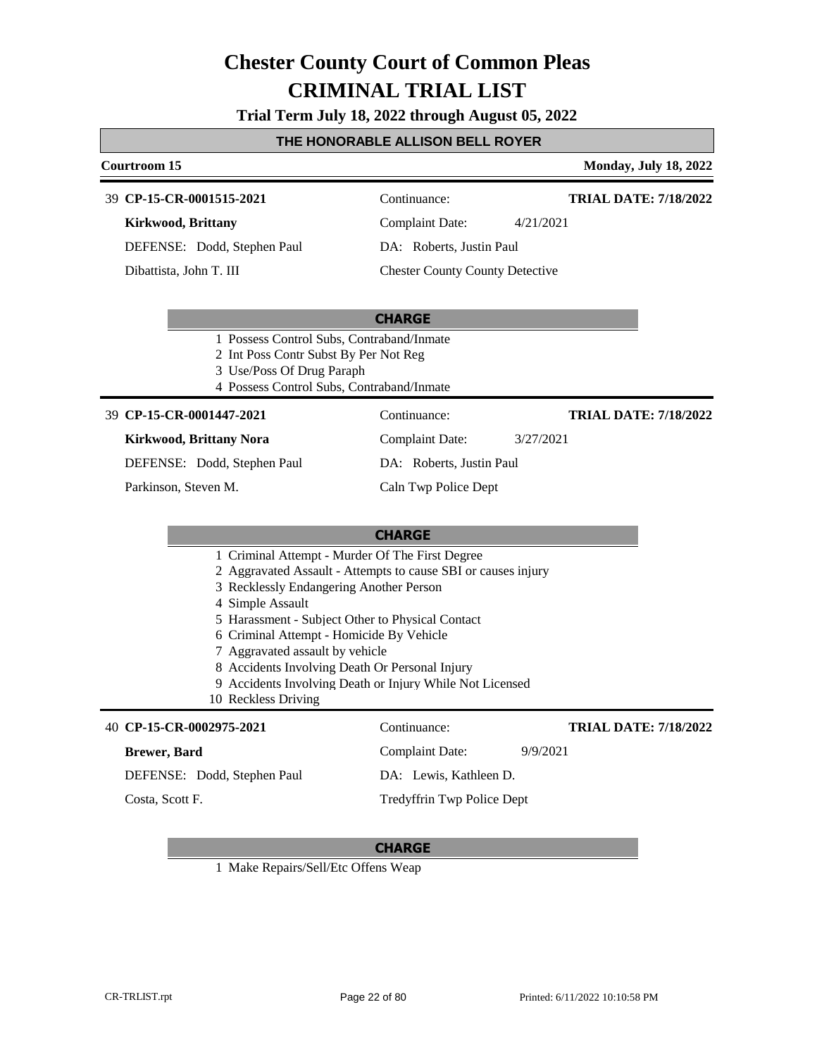**Trial Term July 18, 2022 through August 05, 2022**

#### **THE HONORABLE ALLISON BELL ROYER**

#### **Courtroom 15 Monday, July 18, 2022**

#### **CP-15-CR-0001515-2021** 39 Continuance:

**Kirkwood, Brittany**

DEFENSE: Dodd, Stephen Paul

Dibattista, John T. III

Complaint Date: 4/21/2021

DA: Roberts, Justin Paul

Chester County County Detective

#### **CHARGE**

- 1 Possess Control Subs, Contraband/Inmate
- 2 Int Poss Contr Subst By Per Not Reg
- 3 Use/Poss Of Drug Paraph
- 4 Possess Control Subs, Contraband/Inmate

#### **CP-15-CR-0001447-2021** 39 Continuance:

#### **Kirkwood, Brittany Nora**

DEFENSE: Dodd, Stephen Paul

Parkinson, Steven M.

DA: Roberts, Justin Paul

Complaint Date: 3/27/2021

Caln Twp Police Dept

#### **CHARGE**

- 1 Criminal Attempt Murder Of The First Degree
- 2 Aggravated Assault Attempts to cause SBI or causes injury
- 3 Recklessly Endangering Another Person
- 4 Simple Assault
- 5 Harassment Subject Other to Physical Contact
- 6 Criminal Attempt Homicide By Vehicle
- 7 Aggravated assault by vehicle
- 8 Accidents Involving Death Or Personal Injury
- 9 Accidents Involving Death or Injury While Not Licensed
- 10 Reckless Driving

#### **CP-15-CR-0002975-2021** 40 Continuance:

#### **Brewer, Bard**

DEFENSE: Dodd, Stephen Paul

Costa, Scott F.

DA: Lewis, Kathleen D.

#### **CHARGE**

1 Make Repairs/Sell/Etc Offens Weap

Complaint Date: 9/9/2021 Tredyffrin Twp Police Dept

**TRIAL DATE: 7/18/2022**

**TRIAL DATE: 7/18/2022**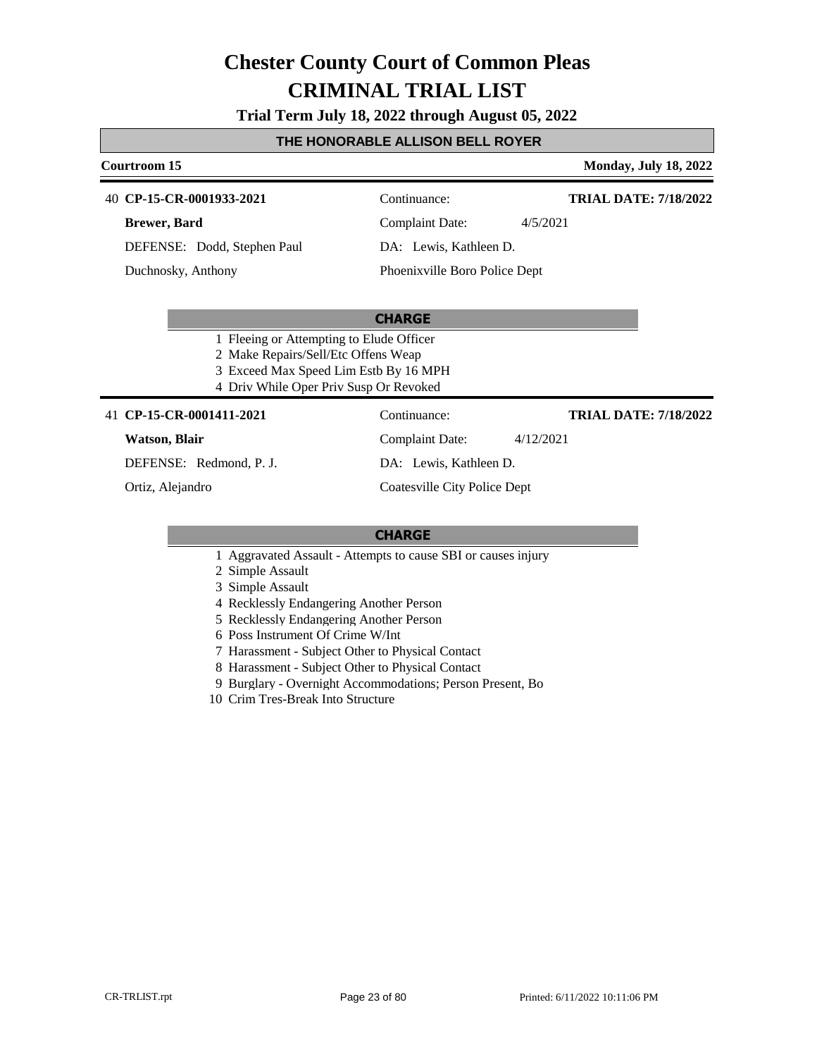**Trial Term July 18, 2022 through August 05, 2022**

#### **THE HONORABLE ALLISON BELL ROYER**

#### **Courtroom 15 Monday, July 18, 2022**

**TRIAL DATE: 7/18/2022**

**CP-15-CR-0001933-2021** 40 Continuance:

**Brewer, Bard**

DEFENSE: Dodd, Stephen Paul

Duchnosky, Anthony

Complaint Date: 4/5/2021 DA: Lewis, Kathleen D.

Phoenixville Boro Police Dept

#### **CHARGE**

- 1 Fleeing or Attempting to Elude Officer
- 2 Make Repairs/Sell/Etc Offens Weap
- 3 Exceed Max Speed Lim Estb By 16 MPH
- 4 Driv While Oper Priv Susp Or Revoked

#### 41 **CP-15-CR-0001411-2021** Continuance:

#### **Watson, Blair**

DEFENSE: Redmond, P. J.

Ortiz, Alejandro

DA: Lewis, Kathleen D.

Complaint Date: 4/12/2021

Coatesville City Police Dept

#### **CHARGE**

- 1 Aggravated Assault Attempts to cause SBI or causes injury
- 2 Simple Assault
- 3 Simple Assault
- 4 Recklessly Endangering Another Person
- 5 Recklessly Endangering Another Person
- 6 Poss Instrument Of Crime W/Int
- 7 Harassment Subject Other to Physical Contact
- 8 Harassment Subject Other to Physical Contact
- 9 Burglary Overnight Accommodations; Person Present, Bo
- 10 Crim Tres-Break Into Structure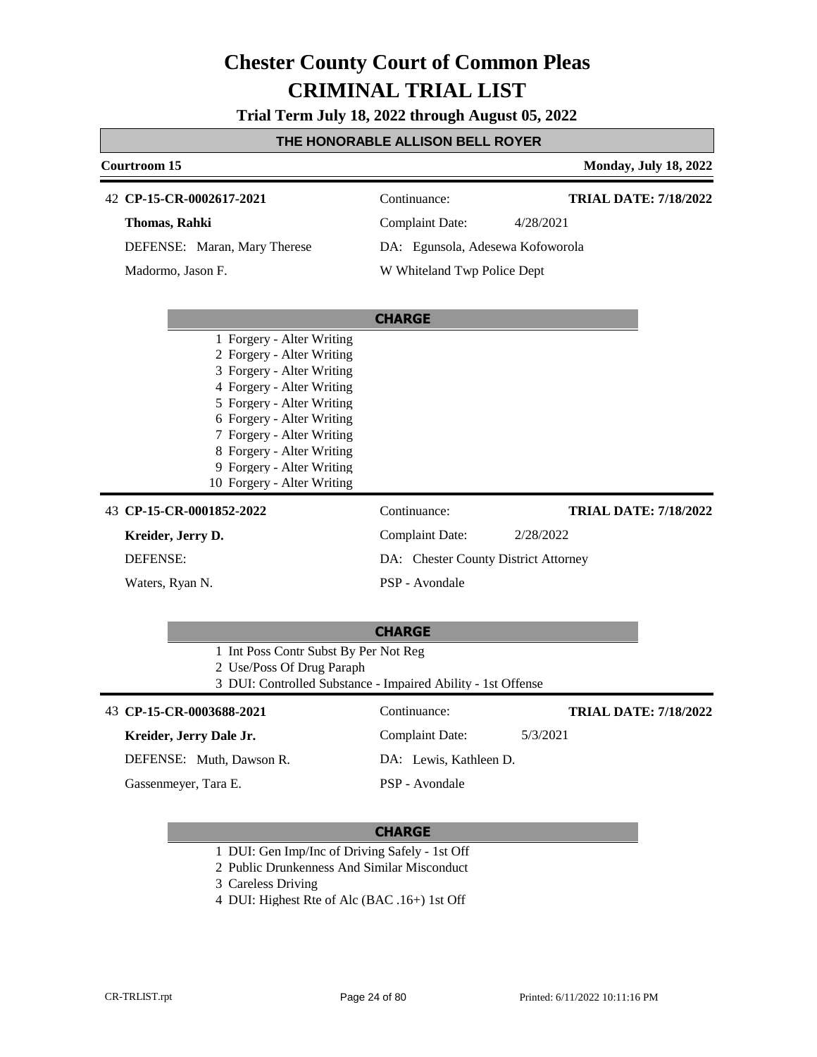**Trial Term July 18, 2022 through August 05, 2022**

#### **THE HONORABLE ALLISON BELL ROYER**

| Courtroom 15<br><b>Monday, July 18, 2022</b>                                              |                                      |                              |  |  |  |  |
|-------------------------------------------------------------------------------------------|--------------------------------------|------------------------------|--|--|--|--|
| 42 CP-15-CR-0002617-2021                                                                  | Continuance:                         | <b>TRIAL DATE: 7/18/2022</b> |  |  |  |  |
| Thomas, Rahki                                                                             | <b>Complaint Date:</b>               | 4/28/2021                    |  |  |  |  |
| DEFENSE: Maran, Mary Therese                                                              | DA: Egunsola, Adesewa Kofoworola     |                              |  |  |  |  |
| Madormo, Jason F.                                                                         | W Whiteland Twp Police Dept          |                              |  |  |  |  |
|                                                                                           |                                      |                              |  |  |  |  |
|                                                                                           |                                      |                              |  |  |  |  |
| 1 Forgery - Alter Writing                                                                 |                                      |                              |  |  |  |  |
| 2 Forgery - Alter Writing                                                                 |                                      |                              |  |  |  |  |
| 3 Forgery - Alter Writing<br>4 Forgery - Alter Writing                                    |                                      |                              |  |  |  |  |
| 5 Forgery - Alter Writing                                                                 |                                      |                              |  |  |  |  |
| 6 Forgery - Alter Writing                                                                 |                                      |                              |  |  |  |  |
| 7 Forgery - Alter Writing                                                                 |                                      |                              |  |  |  |  |
| 8 Forgery - Alter Writing                                                                 |                                      |                              |  |  |  |  |
| 9 Forgery - Alter Writing<br>10 Forgery - Alter Writing                                   |                                      |                              |  |  |  |  |
|                                                                                           |                                      |                              |  |  |  |  |
| 43 CP-15-CR-0001852-2022                                                                  | Continuance:                         | <b>TRIAL DATE: 7/18/2022</b> |  |  |  |  |
| Kreider, Jerry D.                                                                         | <b>Complaint Date:</b>               | 2/28/2022                    |  |  |  |  |
| DEFENSE:                                                                                  | DA: Chester County District Attorney |                              |  |  |  |  |
| Waters, Ryan N.                                                                           | PSP - Avondale                       |                              |  |  |  |  |
|                                                                                           |                                      |                              |  |  |  |  |
|                                                                                           | <b>CHARGE</b>                        |                              |  |  |  |  |
| 1 Int Poss Contr Subst By Per Not Reg                                                     |                                      |                              |  |  |  |  |
| 2 Use/Poss Of Drug Paraph<br>3 DUI: Controlled Substance - Impaired Ability - 1st Offense |                                      |                              |  |  |  |  |
| 43 CP-15-CR-0003688-2021                                                                  | Continuance:                         | <b>TRIAL DATE: 7/18/2022</b> |  |  |  |  |
|                                                                                           |                                      | 5/3/2021                     |  |  |  |  |
| Kreider, Jerry Dale Jr.                                                                   | <b>Complaint Date:</b>               |                              |  |  |  |  |
| DEFENSE: Muth, Dawson R.                                                                  | DA: Lewis, Kathleen D.               |                              |  |  |  |  |
| Gassenmeyer, Tara E.                                                                      | PSP - Avondale                       |                              |  |  |  |  |
|                                                                                           |                                      |                              |  |  |  |  |

- 1 DUI: Gen Imp/Inc of Driving Safely 1st Off
- 2 Public Drunkenness And Similar Misconduct
- 3 Careless Driving
- 4 DUI: Highest Rte of Alc (BAC .16+) 1st Off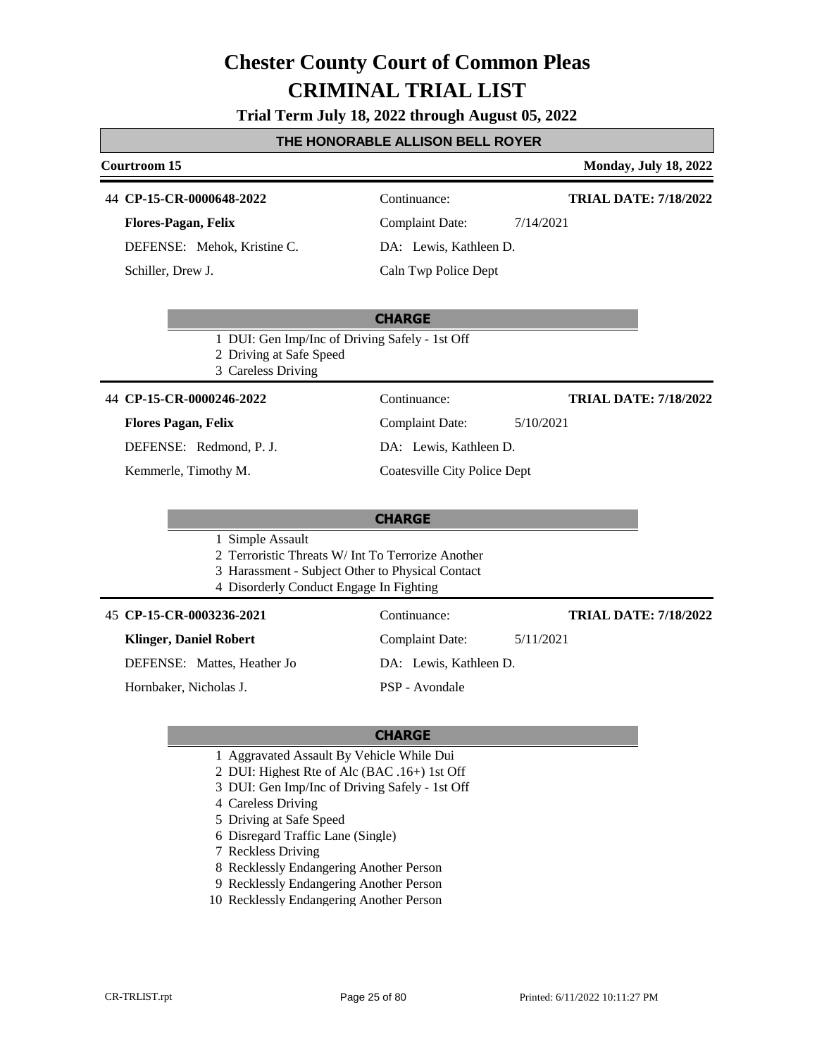#### **Trial Term July 18, 2022 through August 05, 2022**

#### **THE HONORABLE ALLISON BELL ROYER**

# **Courtroom 15 Monday, July 18, 2022**

44 **CP-15-CR-0000648-2022** Continuance:

**Flores-Pagan, Felix**

DEFENSE: Mehok, Kristine C. Schiller, Drew J.

Complaint Date: 7/14/2021

### Caln Twp Police Dept

DA: Lewis, Kathleen D.

#### **CHARGE**

- 1 DUI: Gen Imp/Inc of Driving Safely 1st Off
- 2 Driving at Safe Speed
- 3 Careless Driving

#### 44 **CP-15-CR-0000246-2022** Continuance:

#### **Flores Pagan, Felix**

DEFENSE: Redmond, P. J.

Kemmerle, Timothy M.

### Complaint Date: 5/10/2021

DA: Lewis, Kathleen D.

Coatesville City Police Dept

#### **CHARGE**

#### 1 Simple Assault

- 2 Terroristic Threats W/ Int To Terrorize Another
- 3 Harassment Subject Other to Physical Contact
- 4 Disorderly Conduct Engage In Fighting

**CP-15-CR-0003236-2021** 45 Continuance:

#### **Klinger, Daniel Robert**

DEFENSE: Mattes, Heather Jo

Hornbaker, Nicholas J.

DA: Lewis, Kathleen D. PSP - Avondale

#### **CHARGE**

- 1 Aggravated Assault By Vehicle While Dui
- 2 DUI: Highest Rte of Alc (BAC .16+) 1st Off
- 3 DUI: Gen Imp/Inc of Driving Safely 1st Off
- 4 Careless Driving
- 5 Driving at Safe Speed
- 6 Disregard Traffic Lane (Single)
- 7 Reckless Driving
- 8 Recklessly Endangering Another Person
- 9 Recklessly Endangering Another Person
- 10 Recklessly Endangering Another Person

**TRIAL DATE: 7/18/2022**

**TRIAL DATE: 7/18/2022**

**TRIAL DATE: 7/18/2022**

Complaint Date: 5/11/2021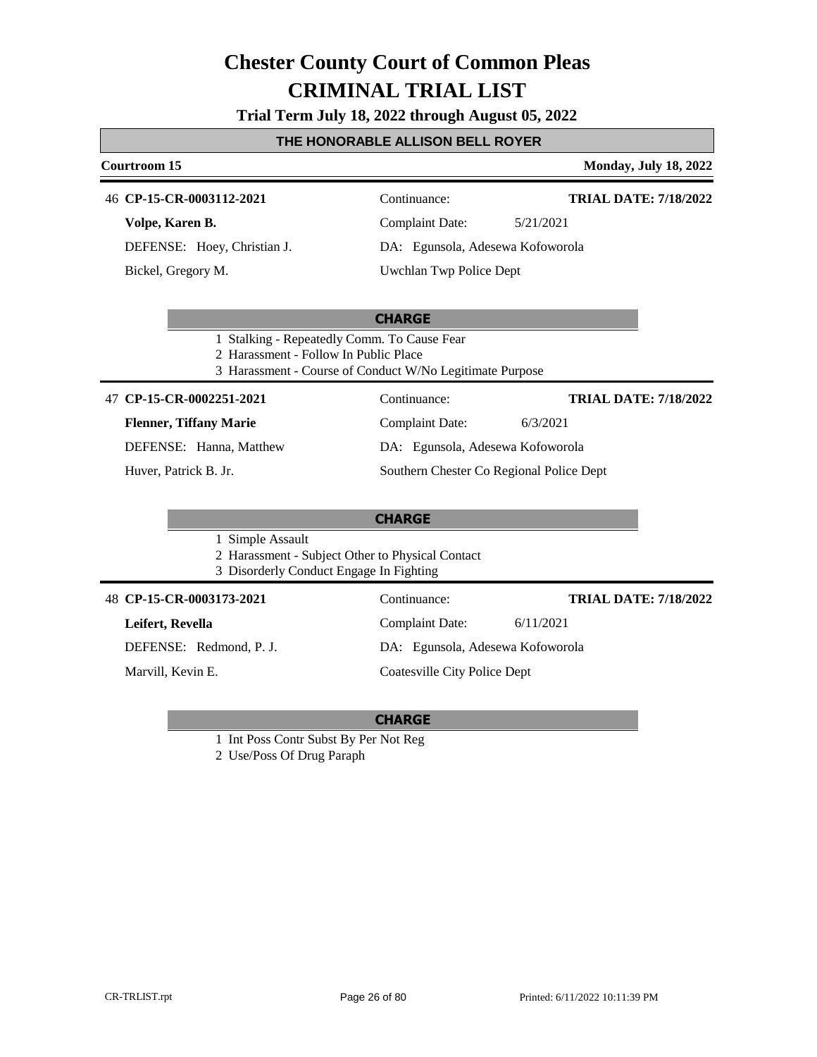**Trial Term July 18, 2022 through August 05, 2022**

#### **THE HONORABLE ALLISON BELL ROYER**

#### **Courtroom 15 Monday, July 18, 2022** 46 **CP-15-CR-0003112-2021** Continuance: **Volpe, Karen B.** DEFENSE: Hoey, Christian J. Complaint Date: 5/21/2021 DA: Egunsola, Adesewa Kofoworola **TRIAL DATE: 7/18/2022**

Bickel, Gregory M.

### **CHARGE**

Uwchlan Twp Police Dept

- 1 Stalking Repeatedly Comm. To Cause Fear
- 2 Harassment Follow In Public Place
- 3 Harassment Course of Conduct W/No Legitimate Purpose

#### **CP-15-CR-0002251-2021** 47 Continuance:

**Flenner, Tiffany Marie**

DEFENSE: Hanna, Matthew

Huver, Patrick B. Jr.

### **CHARGE**

1 Simple Assault

- 2 Harassment Subject Other to Physical Contact
- 3 Disorderly Conduct Engage In Fighting

#### **CP-15-CR-0003173-2021** 48 Continuance:

**Leifert, Revella**

DEFENSE: Redmond, P. J.

Marvill, Kevin E.

Complaint Date: 6/11/2021 DA: Egunsola, Adesewa Kofoworola Coatesville City Police Dept **TRIAL DATE: 7/18/2022**

Complaint Date: 6/3/2021 DA: Egunsola, Adesewa Kofoworola

Southern Chester Co Regional Police Dept

**TRIAL DATE: 7/18/2022**

#### **CHARGE**

1 Int Poss Contr Subst By Per Not Reg

2 Use/Poss Of Drug Paraph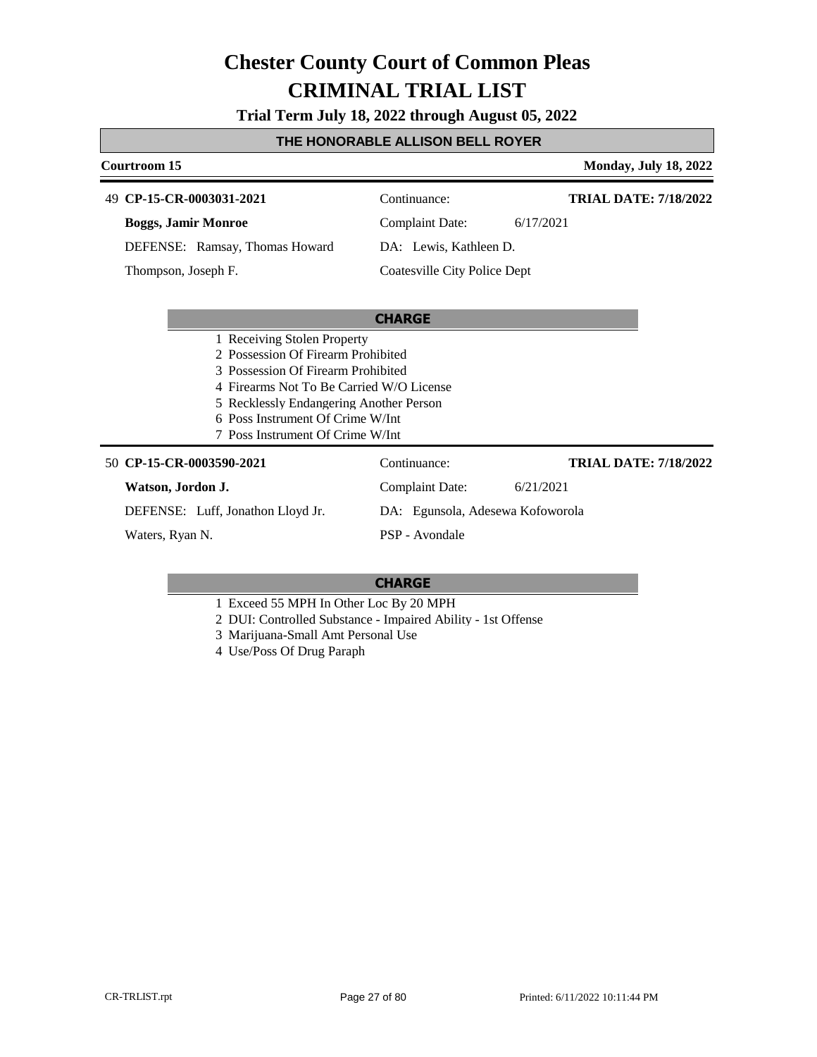**Trial Term July 18, 2022 through August 05, 2022**

#### **THE HONORABLE ALLISON BELL ROYER**

| Courtroom 15<br><b>Monday, July 18, 2022</b> |                                  |                              |  |  |  |
|----------------------------------------------|----------------------------------|------------------------------|--|--|--|
| 49 CP-15-CR-0003031-2021                     | Continuance:                     | <b>TRIAL DATE: 7/18/2022</b> |  |  |  |
| <b>Boggs, Jamir Monroe</b>                   | <b>Complaint Date:</b>           | 6/17/2021                    |  |  |  |
| DEFENSE: Ramsay, Thomas Howard               | DA: Lewis, Kathleen D.           |                              |  |  |  |
| Thompson, Joseph F.                          | Coatesville City Police Dept     |                              |  |  |  |
|                                              |                                  |                              |  |  |  |
| <b>CHARGE</b>                                |                                  |                              |  |  |  |
| 1 Receiving Stolen Property                  |                                  |                              |  |  |  |
| 2 Possession Of Firearm Prohibited           |                                  |                              |  |  |  |
| 3 Possession Of Firearm Prohibited           |                                  |                              |  |  |  |
| 4 Firearms Not To Be Carried W/O License     |                                  |                              |  |  |  |
| 5 Recklessly Endangering Another Person      |                                  |                              |  |  |  |
| 6 Poss Instrument Of Crime W/Int             |                                  |                              |  |  |  |
|                                              | 7 Poss Instrument Of Crime W/Int |                              |  |  |  |
| 50 CP-15-CR-0003590-2021                     | Continuance:                     | <b>TRIAL DATE: 7/18/2022</b> |  |  |  |
| Watson, Jordon J.                            | <b>Complaint Date:</b>           | 6/21/2021                    |  |  |  |
| DEFENSE: Luff, Jonathon Lloyd Jr.            | DA: Egunsola, Adesewa Kofoworola |                              |  |  |  |
| Waters, Ryan N.                              | PSP - Avondale                   |                              |  |  |  |

- 1 Exceed 55 MPH In Other Loc By 20 MPH
- 2 DUI: Controlled Substance Impaired Ability 1st Offense
- 3 Marijuana-Small Amt Personal Use
- 4 Use/Poss Of Drug Paraph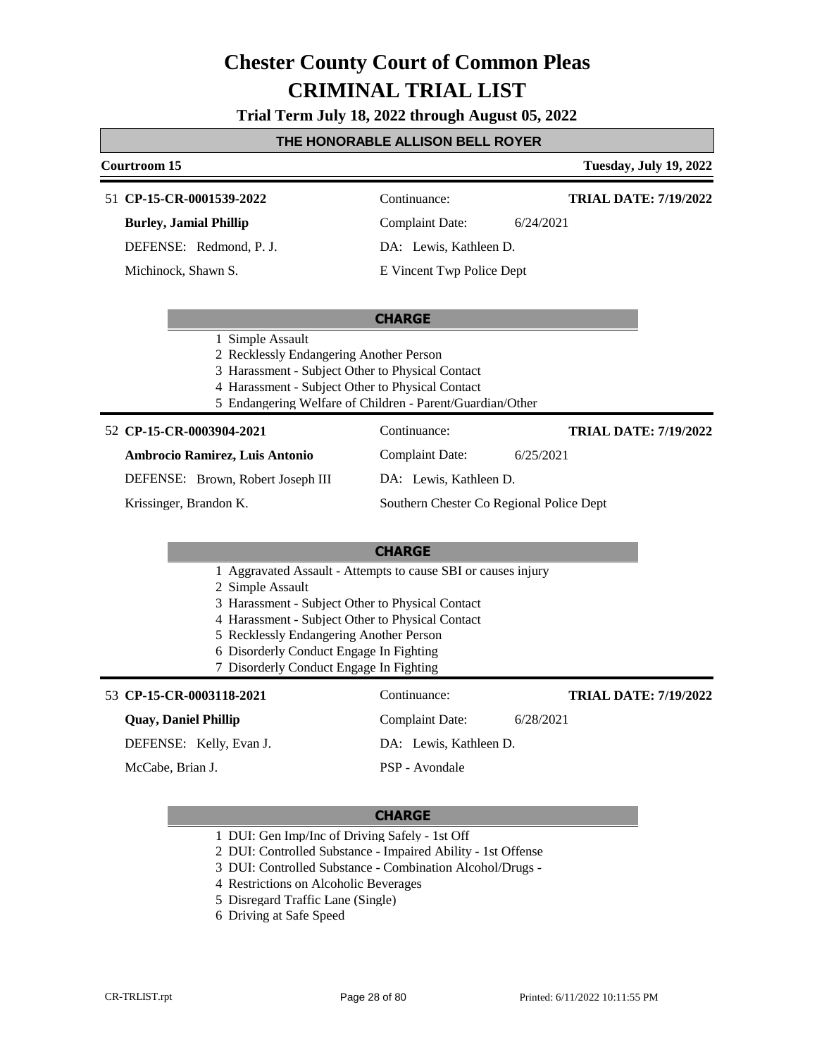**Trial Term July 18, 2022 through August 05, 2022**

#### **THE HONORABLE ALLISON BELL ROYER**

#### **Courtroom 15 Tuesday, July 19, 2022 CP-15-CR-0001539-2022** 51 Continuance: **Burley, Jamial Phillip** Complaint Date: 6/24/2021 **TRIAL DATE: 7/19/2022**

DEFENSE: Redmond, P. J.

Michinock, Shawn S.

DA: Lewis, Kathleen D.

E Vincent Twp Police Dept

#### **CHARGE**

- 1 Simple Assault
- 2 Recklessly Endangering Another Person
- 3 Harassment Subject Other to Physical Contact
- 4 Harassment Subject Other to Physical Contact
- 5 Endangering Welfare of Children Parent/Guardian/Other

#### **CP-15-CR-0003904-2021** 52 Continuance:

**Ambrocio Ramirez, Luis Antonio** DEFENSE: Brown, Robert Joseph III

DA: Lewis, Kathleen D.

Complaint Date: 6/28/2021

DA: Lewis, Kathleen D.

Complaint Date: 6/25/2021

Krissinger, Brandon K.

Southern Chester Co Regional Police Dept

#### **CHARGE**

- 1 Aggravated Assault Attempts to cause SBI or causes injury
- 2 Simple Assault
- 3 Harassment Subject Other to Physical Contact
- 4 Harassment Subject Other to Physical Contact
- 5 Recklessly Endangering Another Person
- 6 Disorderly Conduct Engage In Fighting
- 7 Disorderly Conduct Engage In Fighting

#### 53 **CP-15-CR-0003118-2021** Continuance:

#### **Quay, Daniel Phillip**

DEFENSE: Kelly, Evan J.

McCabe, Brian J.

### **CHARGE**

PSP - Avondale

- 1 DUI: Gen Imp/Inc of Driving Safely 1st Off
- 2 DUI: Controlled Substance Impaired Ability 1st Offense
- 3 DUI: Controlled Substance Combination Alcohol/Drugs -
- 4 Restrictions on Alcoholic Beverages
- 5 Disregard Traffic Lane (Single)
- 6 Driving at Safe Speed

**TRIAL DATE: 7/19/2022**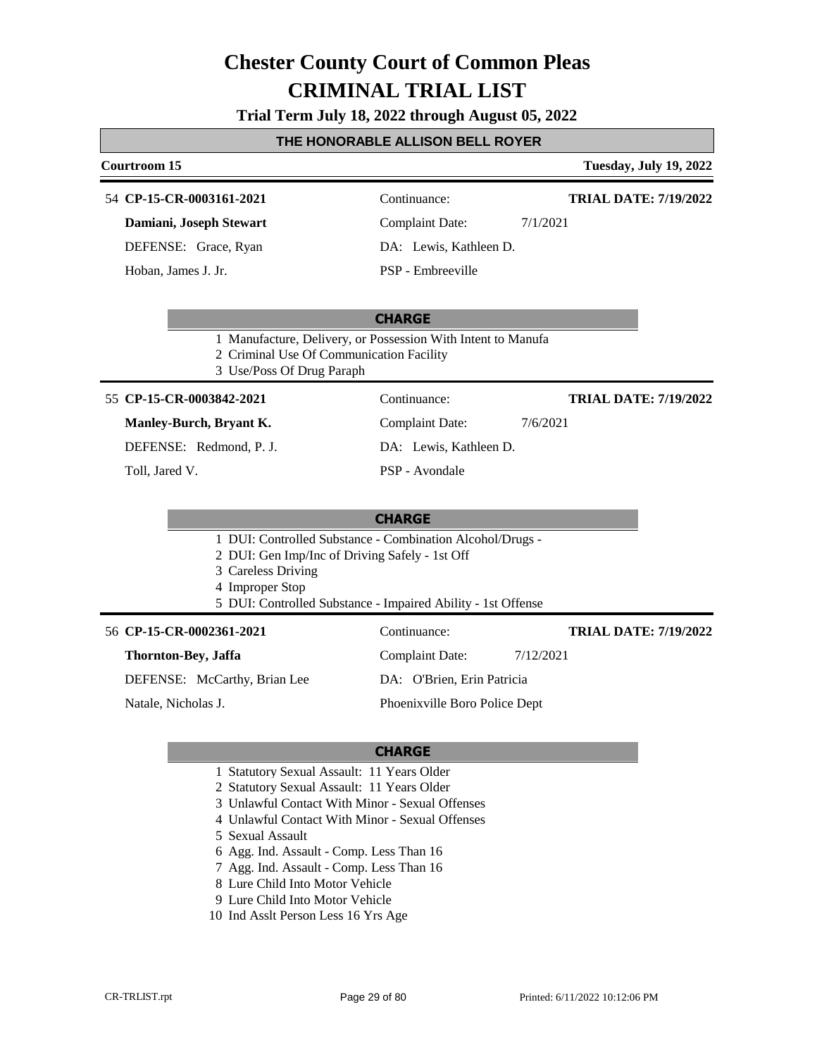**Trial Term July 18, 2022 through August 05, 2022**

#### **THE HONORABLE ALLISON BELL ROYER**

#### **Courtroom 15 Tuesday, July 19, 2022 CHARGE CP-15-CR-0003161-2021** 54 Continuance: **Damiani, Joseph Stewart** DEFENSE: Grace, Ryan Complaint Date: 7/1/2021 DA: Lewis, Kathleen D. PSP - Embreeville **TRIAL DATE: 7/19/2022** Hoban, James J. Jr. 1 Manufacture, Delivery, or Possession With Intent to Manufa 2 Criminal Use Of Communication Facility 3 Use/Poss Of Drug Paraph **CHARGE** 55 **CP-15-CR-0003842-2021** Continuance: **Manley-Burch, Bryant K.** DEFENSE: Redmond, P. J. Complaint Date: 7/6/2021 DA: Lewis, Kathleen D. PSP - Avondale **TRIAL DATE: 7/19/2022** Toll, Jared V. 1 DUI: Controlled Substance - Combination Alcohol/Drugs - 2 DUI: Gen Imp/Inc of Driving Safely - 1st Off 3 Careless Driving 4 Improper Stop 5 DUI: Controlled Substance - Impaired Ability - 1st Offense 56 **CP-15-CR-0002361-2021** Continuance: **Thornton-Bey, Jaffa** DEFENSE: McCarthy, Brian Lee Complaint Date: 7/12/2021 DA: O'Brien, Erin Patricia **TRIAL DATE: 7/19/2022**

Natale, Nicholas J.

Phoenixville Boro Police Dept

- 1 Statutory Sexual Assault: 11 Years Older
- 2 Statutory Sexual Assault: 11 Years Older
- 3 Unlawful Contact With Minor Sexual Offenses
- 4 Unlawful Contact With Minor Sexual Offenses
- 5 Sexual Assault
- 6 Agg. Ind. Assault Comp. Less Than 16
- 7 Agg. Ind. Assault Comp. Less Than 16
- 8 Lure Child Into Motor Vehicle
- 9 Lure Child Into Motor Vehicle
- 10 Ind Asslt Person Less 16 Yrs Age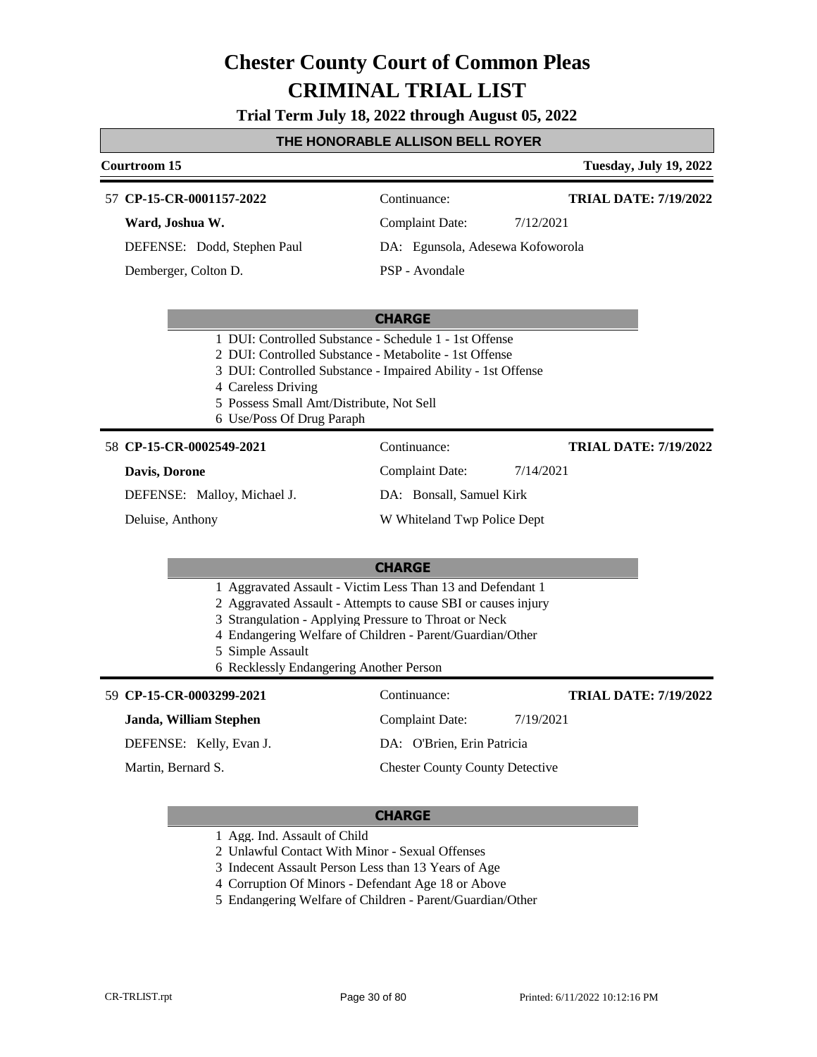**Trial Term July 18, 2022 through August 05, 2022**

#### **THE HONORABLE ALLISON BELL ROYER**

#### **Courtroom 15 Tuesday, July 19, 2022 CHARGE CP-15-CR-0001157-2022** 57 Continuance: **Ward, Joshua W.** DEFENSE: Dodd, Stephen Paul Complaint Date: 7/12/2021 DA: Egunsola, Adesewa Kofoworola PSP - Avondale **TRIAL DATE: 7/19/2022** Demberger, Colton D. 1 DUI: Controlled Substance - Schedule 1 - 1st Offense 2 DUI: Controlled Substance - Metabolite - 1st Offense 3 DUI: Controlled Substance - Impaired Ability - 1st Offense 4 Careless Driving 5 Possess Small Amt/Distribute, Not Sell 6 Use/Poss Of Drug Paraph **CHARGE** 58 **CP-15-CR-0002549-2021** Continuance: **Davis, Dorone** DEFENSE: Malloy, Michael J. Complaint Date: 7/14/2021 DA: Bonsall, Samuel Kirk W Whiteland Twp Police Dept **TRIAL DATE: 7/19/2022** Deluise, Anthony 1 Aggravated Assault - Victim Less Than 13 and Defendant 1 2 Aggravated Assault - Attempts to cause SBI or causes injury 3 Strangulation - Applying Pressure to Throat or Neck 4 Endangering Welfare of Children - Parent/Guardian/Other 5 Simple Assault 6 Recklessly Endangering Another Person **CP-15-CR-0003299-2021** 59 Continuance: **Janda, William Stephen** DEFENSE: Kelly, Evan J. Complaint Date: 7/19/2021 DA: O'Brien, Erin Patricia Chester County County Detective **TRIAL DATE: 7/19/2022** Martin, Bernard S.

#### **CHARGE**

- 1 Agg. Ind. Assault of Child
- 2 Unlawful Contact With Minor Sexual Offenses

3 Indecent Assault Person Less than 13 Years of Age

- 4 Corruption Of Minors Defendant Age 18 or Above
- 5 Endangering Welfare of Children Parent/Guardian/Other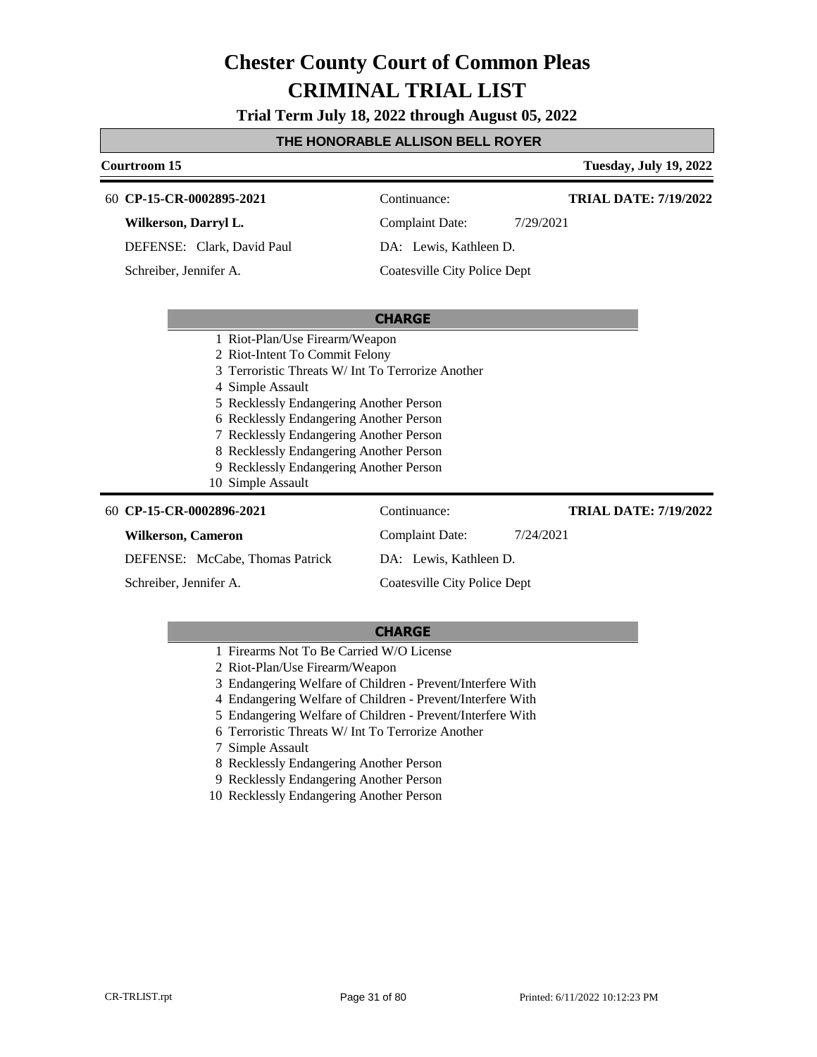**Trial Term July 18, 2022 through August 05, 2022**

### **THE HONORABLE ALLISON BELL ROYER**

| Courtroom 15                                                                                                                                                                                                                                                                                                                                                                        |                                     | <b>Tuesday, July 19, 2022</b> |
|-------------------------------------------------------------------------------------------------------------------------------------------------------------------------------------------------------------------------------------------------------------------------------------------------------------------------------------------------------------------------------------|-------------------------------------|-------------------------------|
| 60 CP-15-CR-0002895-2021                                                                                                                                                                                                                                                                                                                                                            | Continuance:                        | <b>TRIAL DATE: 7/19/2022</b>  |
| Wilkerson, Darryl L.                                                                                                                                                                                                                                                                                                                                                                | <b>Complaint Date:</b>              | 7/29/2021                     |
| DEFENSE: Clark, David Paul                                                                                                                                                                                                                                                                                                                                                          | DA: Lewis, Kathleen D.              |                               |
| Schreiber, Jennifer A.                                                                                                                                                                                                                                                                                                                                                              | <b>Coatesville City Police Dept</b> |                               |
|                                                                                                                                                                                                                                                                                                                                                                                     |                                     |                               |
|                                                                                                                                                                                                                                                                                                                                                                                     | <b>CHARGE</b>                       |                               |
| 1 Riot-Plan/Use Firearm/Weapon<br>2 Riot-Intent To Commit Felony<br>Terroristic Threats W/ Int To Terrorize Another<br>4 Simple Assault<br>5 Recklessly Endangering Another Person<br>6 Recklessly Endangering Another Person<br>7 Recklessly Endangering Another Person<br>8 Recklessly Endangering Another Person<br>9 Recklessly Endangering Another Person<br>10 Simple Assault |                                     |                               |
| 60 CP-15-CR-0002896-2021                                                                                                                                                                                                                                                                                                                                                            | Continuance:                        | <b>TRIAL DATE: 7/19/2022</b>  |
| <b>Wilkerson, Cameron</b>                                                                                                                                                                                                                                                                                                                                                           | <b>Complaint Date:</b>              | 7/24/2021                     |
| DEFENSE: McCabe, Thomas Patrick                                                                                                                                                                                                                                                                                                                                                     | DA: Lewis, Kathleen D.              |                               |
| Schreiber, Jennifer A.                                                                                                                                                                                                                                                                                                                                                              | Coatesville City Police Dept        |                               |

- 1 Firearms Not To Be Carried W/O License
- 2 Riot-Plan/Use Firearm/Weapon
- 3 Endangering Welfare of Children Prevent/Interfere With
- 4 Endangering Welfare of Children Prevent/Interfere With
- 5 Endangering Welfare of Children Prevent/Interfere With
- 6 Terroristic Threats W/ Int To Terrorize Another
- 7 Simple Assault
- 8 Recklessly Endangering Another Person
- 9 Recklessly Endangering Another Person
- 10 Recklessly Endangering Another Person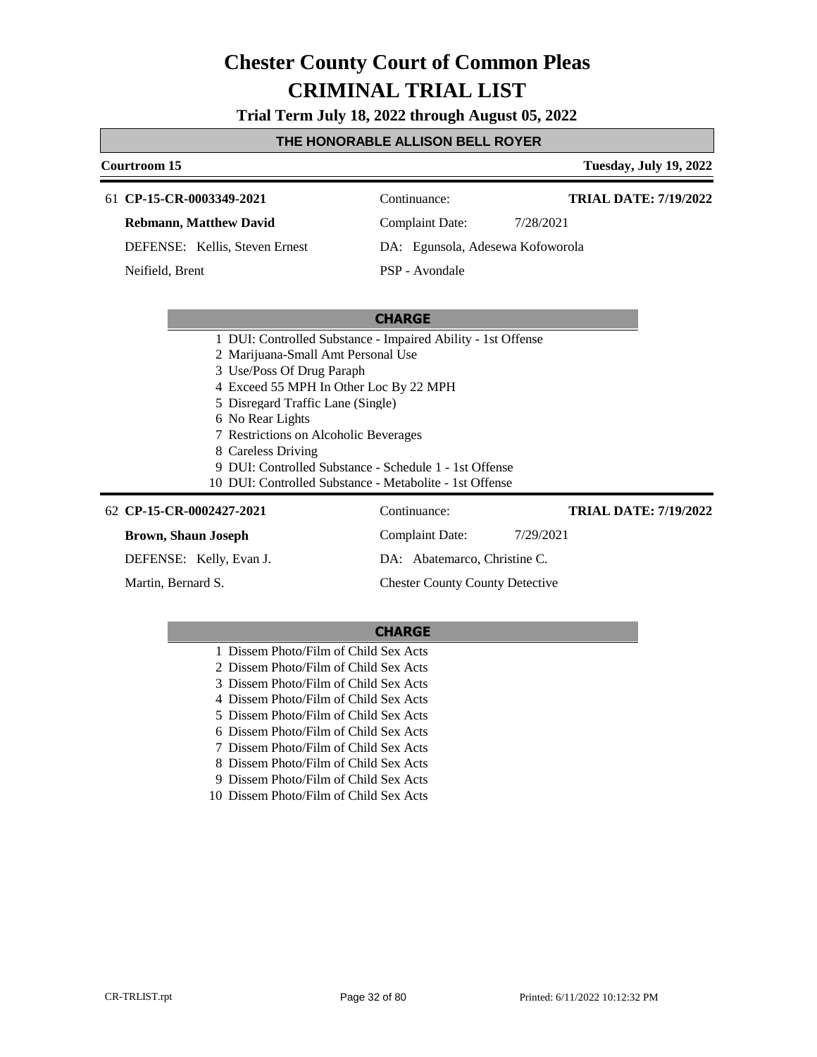**Trial Term July 18, 2022 through August 05, 2022**

#### **THE HONORABLE ALLISON BELL ROYER**

### **Courtroom 15 Tuesday, July 19, 2022 CHARGE CP-15-CR-0003349-2021** 61 Continuance: **Rebmann, Matthew David** DEFENSE: Kellis, Steven Ernest Complaint Date: 7/28/2021 DA: Egunsola, Adesewa Kofoworola PSP - Avondale **TRIAL DATE: 7/19/2022** Neifield, Brent 1 DUI: Controlled Substance - Impaired Ability - 1st Offense 2 Marijuana-Small Amt Personal Use 3 Use/Poss Of Drug Paraph 4 Exceed 55 MPH In Other Loc By 22 MPH 5 Disregard Traffic Lane (Single) 6 No Rear Lights 7 Restrictions on Alcoholic Beverages 8 Careless Driving 9 DUI: Controlled Substance - Schedule 1 - 1st Offense 10 DUI: Controlled Substance - Metabolite - 1st Offense

| 62 CP-15-CR-0002427-2021   | Continuance:                           | <b>TRIAL DATE: 7/19/2022</b> |
|----------------------------|----------------------------------------|------------------------------|
| <b>Brown, Shaun Joseph</b> | Complaint Date:                        | 7/29/2021                    |
| DEFENSE: Kelly, Evan J.    | DA: Abatemarco, Christine C.           |                              |
| Martin, Bernard S.         | <b>Chester County County Detective</b> |                              |

#### **CHARGE**

 Dissem Photo/Film of Child Sex Acts Dissem Photo/Film of Child Sex Acts Dissem Photo/Film of Child Sex Acts Dissem Photo/Film of Child Sex Acts Dissem Photo/Film of Child Sex Acts Dissem Photo/Film of Child Sex Acts Dissem Photo/Film of Child Sex Acts Dissem Photo/Film of Child Sex Acts Dissem Photo/Film of Child Sex Acts Dissem Photo/Film of Child Sex Acts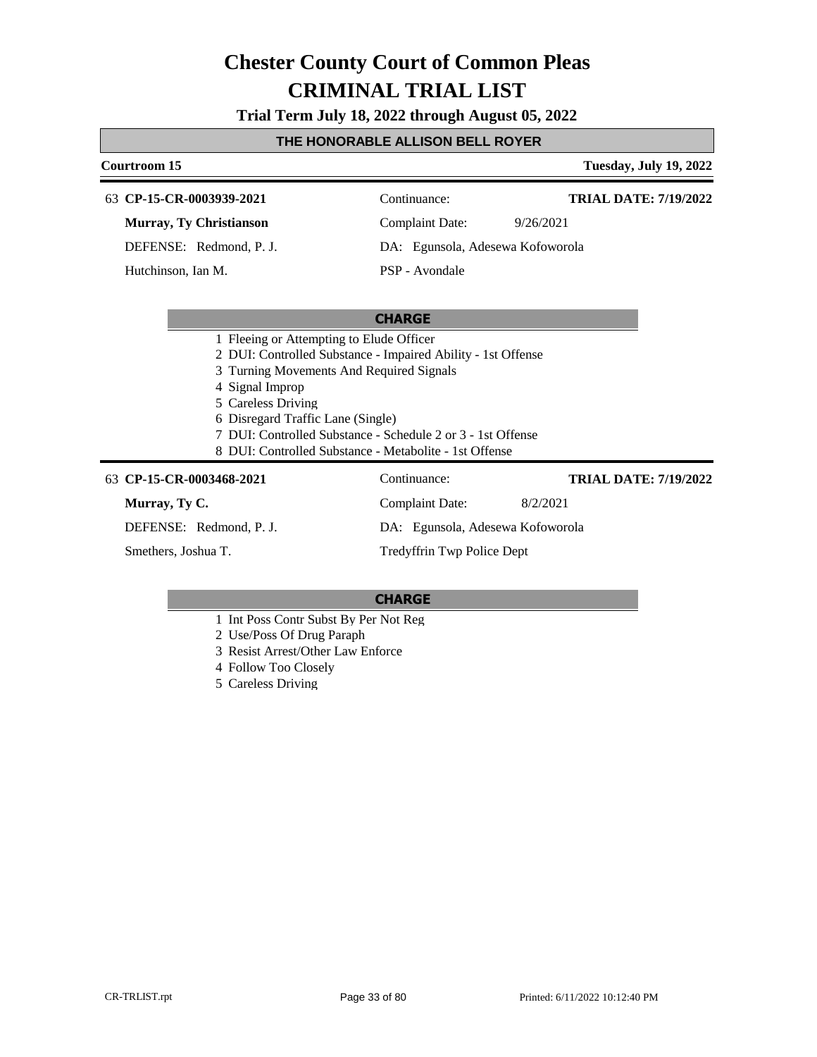**Trial Term July 18, 2022 through August 05, 2022**

#### **THE HONORABLE ALLISON BELL ROYER**

### **Courtroom 15 Tuesday, July 19, 2022 CHARGE CP-15-CR-0003939-2021** 63 Continuance: **Murray, Ty Christianson** DEFENSE: Redmond, P. J. Complaint Date: 9/26/2021 DA: Egunsola, Adesewa Kofoworola PSP - Avondale **TRIAL DATE: 7/19/2022** Hutchinson, Ian M. 1 Fleeing or Attempting to Elude Officer 2 DUI: Controlled Substance - Impaired Ability - 1st Offense

- 3 Turning Movements And Required Signals
- 
- 4 Signal Improp
- 5 Careless Driving
- 6 Disregard Traffic Lane (Single)
- 7 DUI: Controlled Substance Schedule 2 or 3 1st Offense
- 8 DUI: Controlled Substance Metabolite 1st Offense

#### **CP-15-CR-0003468-2021** 63 Continuance:

**Murray, Ty C.**

DEFENSE: Redmond, P. J.

Smethers, Joshua T.

Complaint Date: 8/2/2021 DA: Egunsola, Adesewa Kofoworola

**TRIAL DATE: 7/19/2022**

Tredyffrin Twp Police Dept

- 1 Int Poss Contr Subst By Per Not Reg
- 2 Use/Poss Of Drug Paraph
- 3 Resist Arrest/Other Law Enforce
- 4 Follow Too Closely
- 5 Careless Driving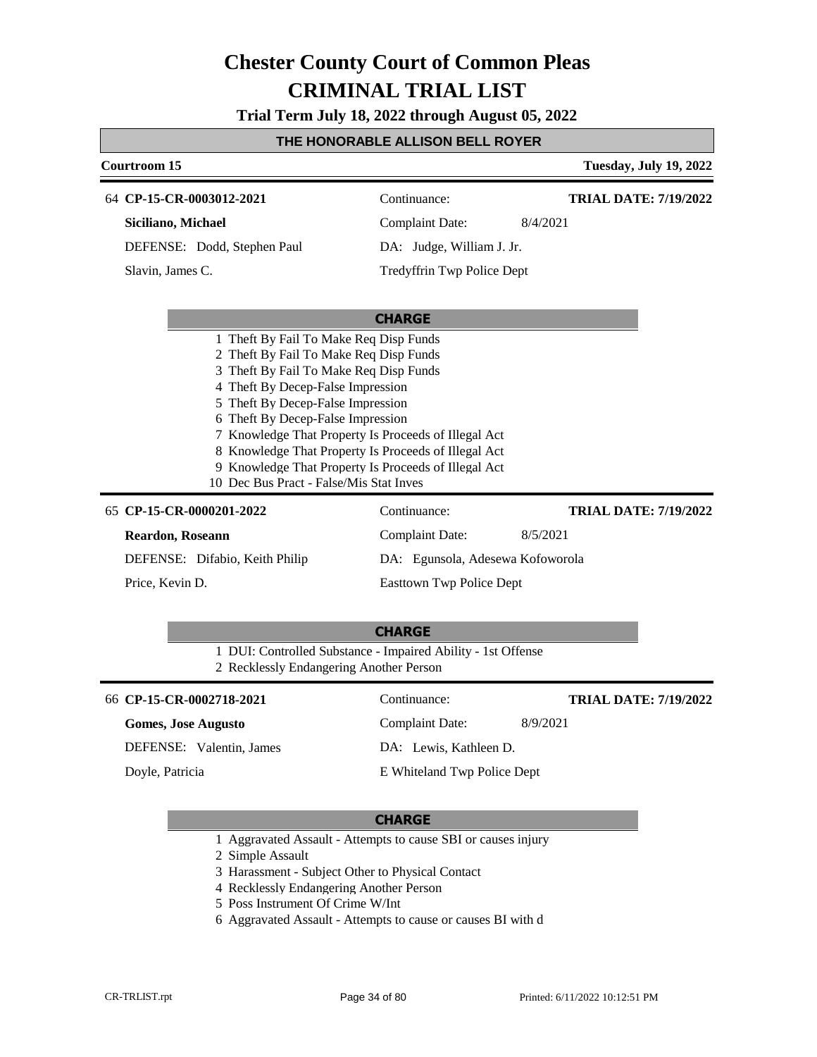**Trial Term July 18, 2022 through August 05, 2022**

### **THE HONORABLE ALLISON BELL ROYER**

| Courtroom 15                                                                                                                                                                                                                                                                                                                                                                                                                                                                  |                                                                                                   | <b>Tuesday, July 19, 2022</b>            |
|-------------------------------------------------------------------------------------------------------------------------------------------------------------------------------------------------------------------------------------------------------------------------------------------------------------------------------------------------------------------------------------------------------------------------------------------------------------------------------|---------------------------------------------------------------------------------------------------|------------------------------------------|
| 64 CP-15-CR-0003012-2021<br>Siciliano, Michael<br>DEFENSE: Dodd, Stephen Paul<br>Slavin, James C.                                                                                                                                                                                                                                                                                                                                                                             | Continuance:<br><b>Complaint Date:</b><br>DA: Judge, William J. Jr.<br>Tredyffrin Twp Police Dept | <b>TRIAL DATE: 7/19/2022</b><br>8/4/2021 |
| <b>CHARGE</b><br>1 Theft By Fail To Make Req Disp Funds<br>2 Theft By Fail To Make Req Disp Funds<br>3 Theft By Fail To Make Req Disp Funds<br>4 Theft By Decep-False Impression<br>5 Theft By Decep-False Impression<br>6 Theft By Decep-False Impression<br>7 Knowledge That Property Is Proceeds of Illegal Act<br>8 Knowledge That Property Is Proceeds of Illegal Act<br>9 Knowledge That Property Is Proceeds of Illegal Act<br>10 Dec Bus Pract - False/Mis Stat Inves |                                                                                                   |                                          |
| 65 CP-15-CR-0000201-2022                                                                                                                                                                                                                                                                                                                                                                                                                                                      | Continuance:                                                                                      | <b>TRIAL DATE: 7/19/2022</b>             |
| <b>Reardon, Roseann</b>                                                                                                                                                                                                                                                                                                                                                                                                                                                       | <b>Complaint Date:</b>                                                                            | 8/5/2021                                 |
| DEFENSE: Difabio, Keith Philip                                                                                                                                                                                                                                                                                                                                                                                                                                                | DA: Egunsola, Adesewa Kofoworola                                                                  |                                          |
| Price, Kevin D.                                                                                                                                                                                                                                                                                                                                                                                                                                                               | <b>Easttown Twp Police Dept</b>                                                                   |                                          |
| 1 DUI: Controlled Substance - Impaired Ability - 1st Offense<br>2 Recklessly Endangering Another Person                                                                                                                                                                                                                                                                                                                                                                       | <b>CHARGE</b>                                                                                     |                                          |
| 66 CP-15-CR-0002718-2021                                                                                                                                                                                                                                                                                                                                                                                                                                                      | Continuance:                                                                                      | <b>TRIAL DATE: 7/19/2022</b>             |
| <b>Gomes, Jose Augusto</b>                                                                                                                                                                                                                                                                                                                                                                                                                                                    | Complaint Date:                                                                                   | 8/9/2021                                 |

DEFENSE: Valentin, James

Doyle, Patricia

DA: Lewis, Kathleen D.

E Whiteland Twp Police Dept

#### **CHARGE**

1 Aggravated Assault - Attempts to cause SBI or causes injury

2 Simple Assault

- 3 Harassment Subject Other to Physical Contact
- 4 Recklessly Endangering Another Person
- 5 Poss Instrument Of Crime W/Int
- 6 Aggravated Assault Attempts to cause or causes BI with d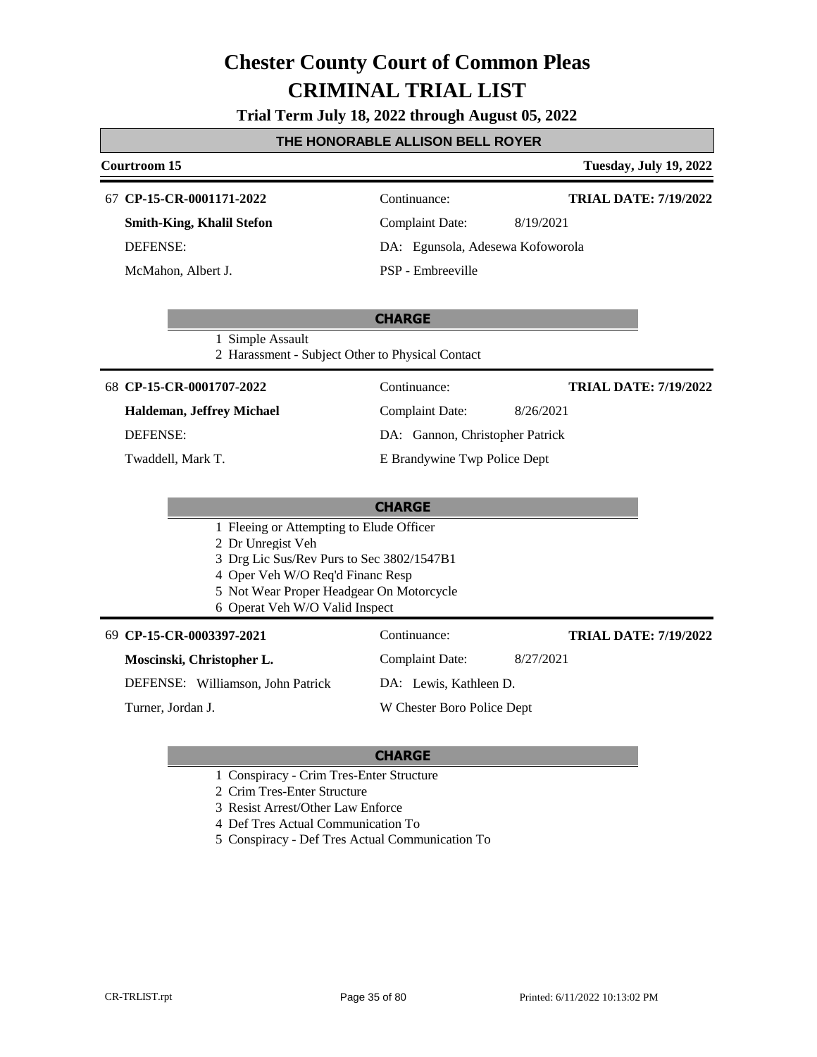**Trial Term July 18, 2022 through August 05, 2022**

### **THE HONORABLE ALLISON BELL ROYER**

| <b>Courtroom 15</b>                                                        |                                  | <b>Tuesday, July 19, 2022</b> |
|----------------------------------------------------------------------------|----------------------------------|-------------------------------|
| 67 CP-15-CR-0001171-2022                                                   | Continuance:                     | <b>TRIAL DATE: 7/19/2022</b>  |
| <b>Smith-King, Khalil Stefon</b>                                           | <b>Complaint Date:</b>           | 8/19/2021                     |
| <b>DEFENSE:</b>                                                            | DA: Egunsola, Adesewa Kofoworola |                               |
| McMahon, Albert J.                                                         | PSP - Embreeville                |                               |
|                                                                            | <b>CHARGE</b>                    |                               |
| 1 Simple Assault<br>2 Harassment - Subject Other to Physical Contact       |                                  |                               |
| 68 CP-15-CR-0001707-2022                                                   | Continuance:                     | <b>TRIAL DATE: 7/19/2022</b>  |
| Haldeman, Jeffrey Michael                                                  | <b>Complaint Date:</b>           | 8/26/2021                     |
| <b>DEFENSE:</b>                                                            | DA: Gannon, Christopher Patrick  |                               |
| Twaddell, Mark T.                                                          | E Brandywine Twp Police Dept     |                               |
|                                                                            |                                  |                               |
|                                                                            | <b>CHARGE</b>                    |                               |
| 1 Fleeing or Attempting to Elude Officer<br>2 Dr Unregist Veh              |                                  |                               |
| 3 Drg Lic Sus/Rev Purs to Sec 3802/1547B1                                  |                                  |                               |
| 4 Oper Veh W/O Req'd Financ Resp                                           |                                  |                               |
| 5 Not Wear Proper Headgear On Motorcycle<br>6 Operat Veh W/O Valid Inspect |                                  |                               |
| 69 CP-15-CR-0003397-2021                                                   | Continuance:                     | <b>TRIAL DATE: 7/19/2022</b>  |
| Moscinski, Christopher L.                                                  | <b>Complaint Date:</b>           | 8/27/2021                     |
| DEFENSE: Williamson, John Patrick                                          | DA: Lewis, Kathleen D.           |                               |
| Turner, Jordan J.                                                          | W Chester Boro Police Dept       |                               |
|                                                                            |                                  |                               |

- 1 Conspiracy Crim Tres-Enter Structure
- 2 Crim Tres-Enter Structure
- 3 Resist Arrest/Other Law Enforce
- 4 Def Tres Actual Communication To
- 5 Conspiracy Def Tres Actual Communication To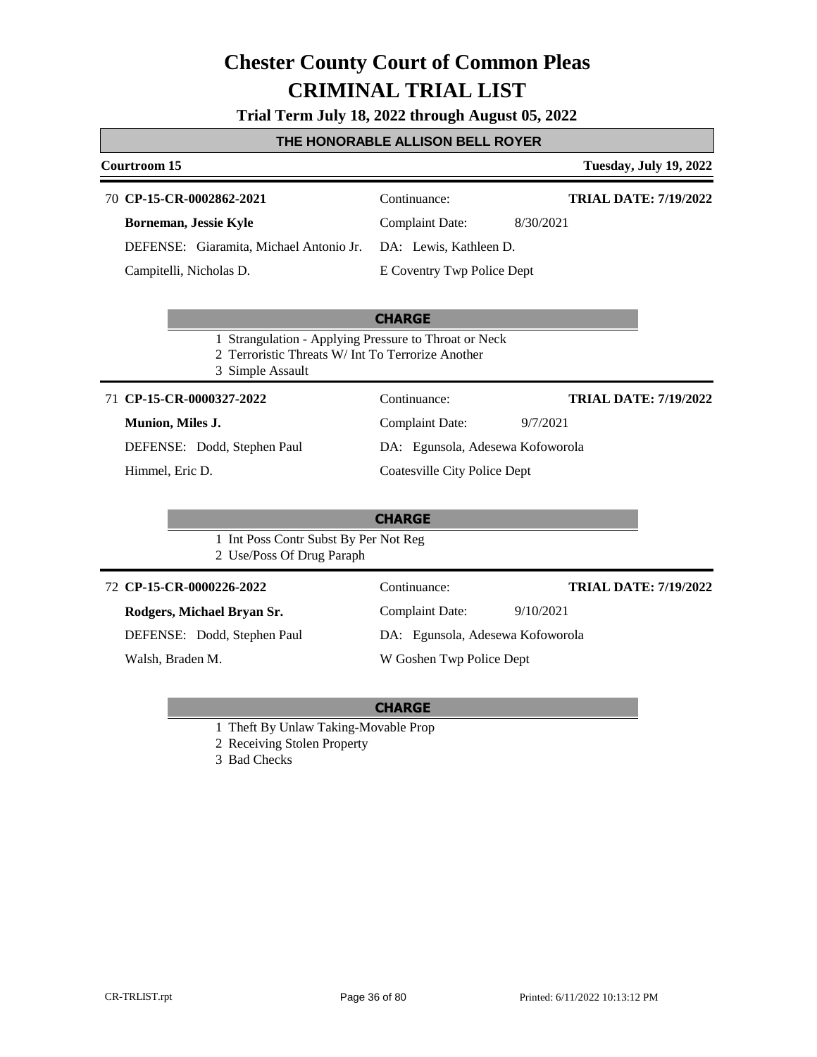### **Trial Term July 18, 2022 through August 05, 2022**

### **THE HONORABLE ALLISON BELL ROYER**

| <b>Courtroom 15</b>                                                                                                            |                                     | <b>Tuesday, July 19, 2022</b> |  |
|--------------------------------------------------------------------------------------------------------------------------------|-------------------------------------|-------------------------------|--|
| 70 CP-15-CR-0002862-2021                                                                                                       | Continuance:                        | <b>TRIAL DATE: 7/19/2022</b>  |  |
| Borneman, Jessie Kyle                                                                                                          | <b>Complaint Date:</b>              | 8/30/2021                     |  |
| DEFENSE: Giaramita, Michael Antonio Jr.                                                                                        | DA: Lewis, Kathleen D.              |                               |  |
| Campitelli, Nicholas D.                                                                                                        | E Coventry Twp Police Dept          |                               |  |
|                                                                                                                                |                                     |                               |  |
|                                                                                                                                | <b>CHARGE</b>                       |                               |  |
| 1 Strangulation - Applying Pressure to Throat or Neck<br>2 Terroristic Threats W/ Int To Terrorize Another<br>3 Simple Assault |                                     |                               |  |
| 71 CP-15-CR-0000327-2022                                                                                                       | Continuance:                        | <b>TRIAL DATE: 7/19/2022</b>  |  |
| Munion, Miles J.                                                                                                               | <b>Complaint Date:</b>              | 9/7/2021                      |  |
| DEFENSE: Dodd, Stephen Paul                                                                                                    | DA: Egunsola, Adesewa Kofoworola    |                               |  |
| Himmel, Eric D.                                                                                                                | <b>Coatesville City Police Dept</b> |                               |  |
|                                                                                                                                |                                     |                               |  |
|                                                                                                                                | <b>CHARGE</b>                       |                               |  |
| 1 Int Poss Contr Subst By Per Not Reg<br>2 Use/Poss Of Drug Paraph                                                             |                                     |                               |  |
| 72 CP-15-CR-0000226-2022                                                                                                       | Continuance:                        | <b>TRIAL DATE: 7/19/2022</b>  |  |
| Rodgers, Michael Bryan Sr.                                                                                                     | <b>Complaint Date:</b>              | 9/10/2021                     |  |
| DEFENSE: Dodd, Stephen Paul                                                                                                    | DA: Egunsola, Adesewa Kofoworola    |                               |  |
| Walsh, Braden M.                                                                                                               | W Goshen Twp Police Dept            |                               |  |

- 1 Theft By Unlaw Taking-Movable Prop
- 2 Receiving Stolen Property
- 3 Bad Checks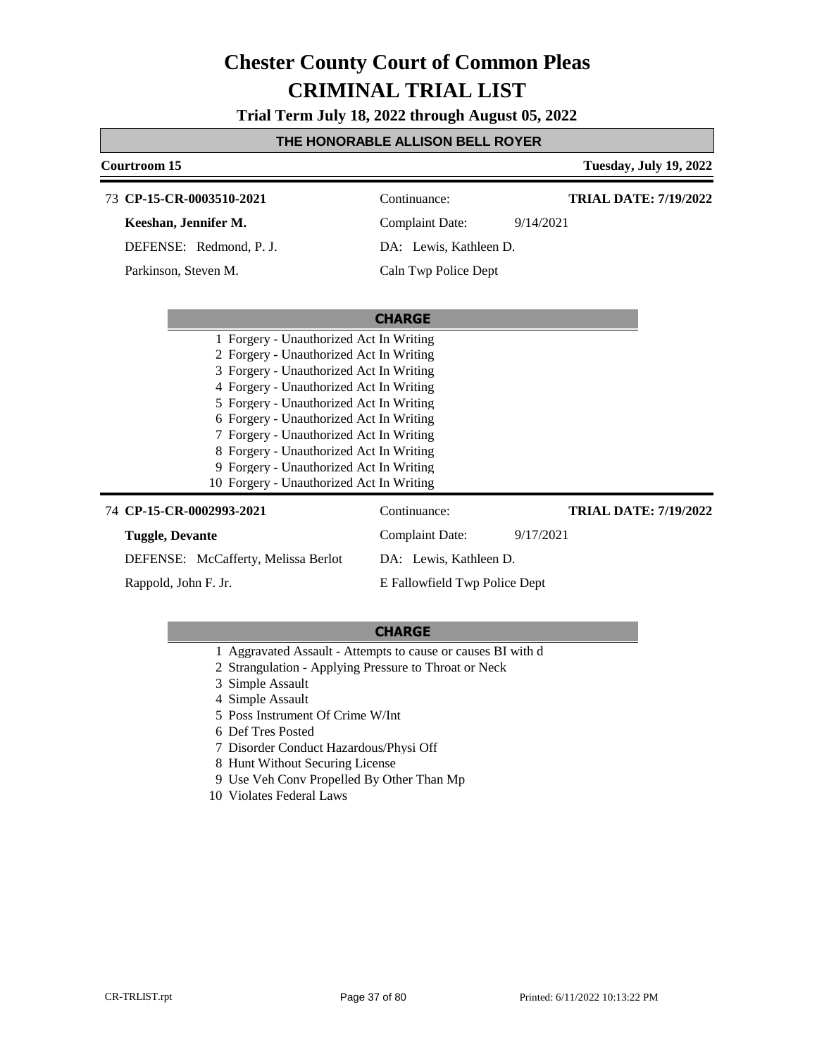**Trial Term July 18, 2022 through August 05, 2022**

### **THE HONORABLE ALLISON BELL ROYER**

| Courtroom 15                             |                               | <b>Tuesday, July 19, 2022</b> |
|------------------------------------------|-------------------------------|-------------------------------|
| 73 CP-15-CR-0003510-2021                 | Continuance:                  | <b>TRIAL DATE: 7/19/2022</b>  |
| Keeshan, Jennifer M.                     | <b>Complaint Date:</b>        | 9/14/2021                     |
| DEFENSE: Redmond, P. J.                  | DA: Lewis, Kathleen D.        |                               |
| Parkinson, Steven M.                     | Caln Twp Police Dept          |                               |
|                                          |                               |                               |
|                                          | <b>CHARGE</b>                 |                               |
| 1 Forgery - Unauthorized Act In Writing  |                               |                               |
| 2 Forgery - Unauthorized Act In Writing  |                               |                               |
| 3 Forgery - Unauthorized Act In Writing  |                               |                               |
| 4 Forgery - Unauthorized Act In Writing  |                               |                               |
| 5 Forgery - Unauthorized Act In Writing  |                               |                               |
| 6 Forgery - Unauthorized Act In Writing  |                               |                               |
| 7 Forgery - Unauthorized Act In Writing  |                               |                               |
| 8 Forgery - Unauthorized Act In Writing  |                               |                               |
| 9 Forgery - Unauthorized Act In Writing  |                               |                               |
| 10 Forgery - Unauthorized Act In Writing |                               |                               |
| 74 CP-15-CR-0002993-2021                 | Continuance:                  | <b>TRIAL DATE: 7/19/2022</b>  |
| <b>Tuggle, Devante</b>                   | <b>Complaint Date:</b>        | 9/17/2021                     |
| DEFENSE: McCafferty, Melissa Berlot      | DA: Lewis, Kathleen D.        |                               |
| Rappold, John F. Jr.                     | E Fallowfield Twp Police Dept |                               |

- 1 Aggravated Assault Attempts to cause or causes BI with d
- 2 Strangulation Applying Pressure to Throat or Neck
- 3 Simple Assault
- 4 Simple Assault
- 5 Poss Instrument Of Crime W/Int
- 6 Def Tres Posted
- 7 Disorder Conduct Hazardous/Physi Off
- 8 Hunt Without Securing License
- 9 Use Veh Conv Propelled By Other Than Mp
- 10 Violates Federal Laws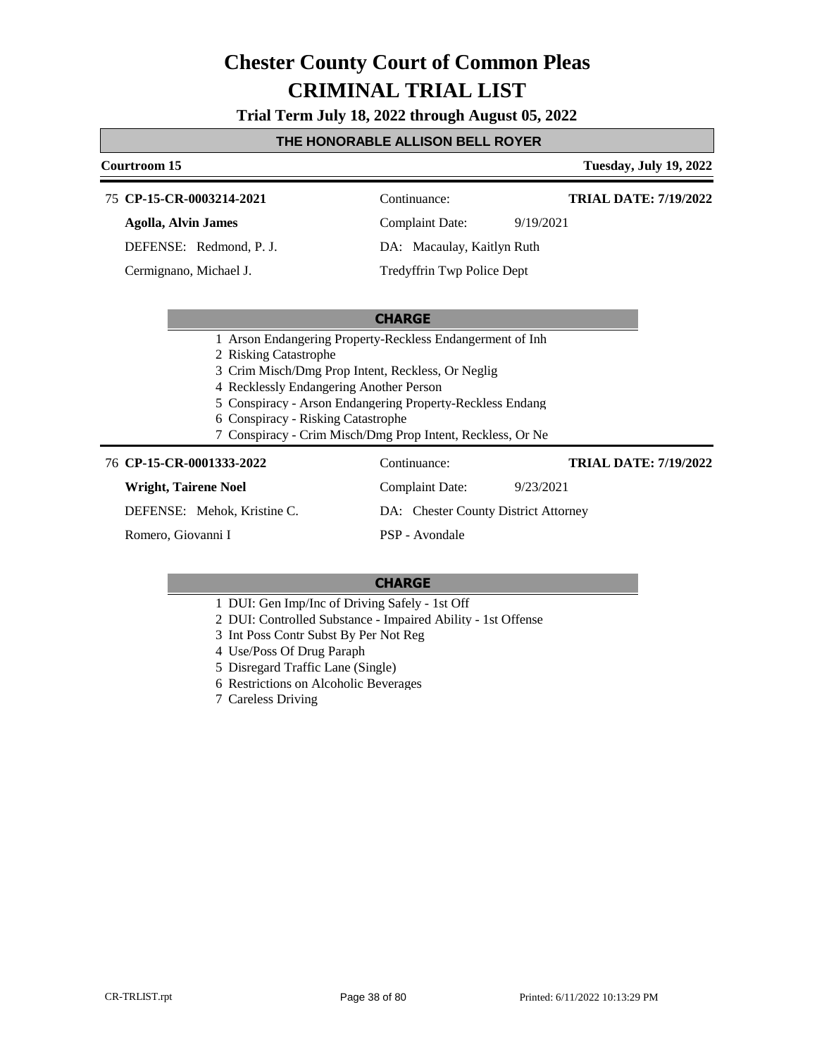**Trial Term July 18, 2022 through August 05, 2022**

#### **THE HONORABLE ALLISON BELL ROYER**

#### **Courtroom 15 Tuesday, July 19, 2022** 75 **CP-15-CR-0003214-2021** Continuance: **Agolla, Alvin James** DEFENSE: Redmond, P. J. Complaint Date: 9/19/2021 DA: Macaulay, Kaitlyn Ruth **TRIAL DATE: 7/19/2022**

Cermignano, Michael J.

Tredyffrin Twp Police Dept

#### **CHARGE**

- 1 Arson Endangering Property-Reckless Endangerment of Inh
- 2 Risking Catastrophe
- 3 Crim Misch/Dmg Prop Intent, Reckless, Or Neglig
- 4 Recklessly Endangering Another Person
- 5 Conspiracy Arson Endangering Property-Reckless Endang
- 6 Conspiracy Risking Catastrophe
- 7 Conspiracy Crim Misch/Dmg Prop Intent, Reckless, Or Ne

#### **CP-15-CR-0001333-2022** 76 Continuance:

| CP-15-CR-0001333-2022       | Continuance:                         | <b>TRIAL DATE: 7/19/2022</b> |
|-----------------------------|--------------------------------------|------------------------------|
| Wright, Tairene Noel        | Complaint Date:                      | 9/23/2021                    |
| DEFENSE: Mehok, Kristine C. | DA: Chester County District Attorney |                              |
| Romero, Giovanni I          | PSP - Avondale                       |                              |

- 1 DUI: Gen Imp/Inc of Driving Safely 1st Off
- 2 DUI: Controlled Substance Impaired Ability 1st Offense
- 3 Int Poss Contr Subst By Per Not Reg
- 4 Use/Poss Of Drug Paraph
- 5 Disregard Traffic Lane (Single)
- 6 Restrictions on Alcoholic Beverages
- 7 Careless Driving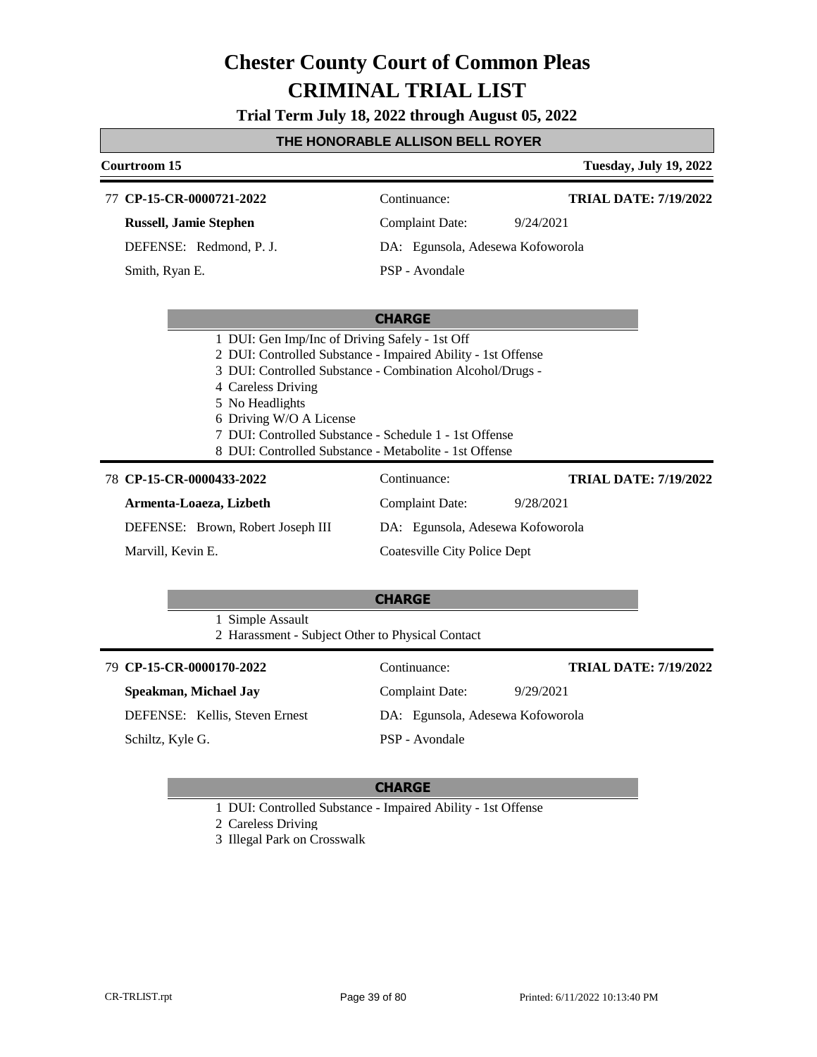**Trial Term July 18, 2022 through August 05, 2022**

#### **THE HONORABLE ALLISON BELL ROYER**

#### **Courtroom 15 Tuesday, July 19, 2022** 77 **CP-15-CR-0000721-2022** Continuance: **Russell, Jamie Stephen** DEFENSE: Redmond, P. J. Complaint Date: 9/24/2021 DA: Egunsola, Adesewa Kofoworola PSP - Avondale **TRIAL DATE: 7/19/2022** Smith, Ryan E.

#### **CHARGE**

| 1 DUI: Gen Imp/Inc of Driving Safely - 1st Off               |
|--------------------------------------------------------------|
| 2 DUI: Controlled Substance - Impaired Ability - 1st Offense |
| 3 DUI: Controlled Substance - Combination Alcohol/Drugs -    |
| 4 Careless Driving                                           |
| 5 No Headlights                                              |
| 6 Driving W/O A License                                      |
|                                                              |

- 7 DUI: Controlled Substance Schedule 1 1st Offense
- 8 DUI: Controlled Substance Metabolite 1st Offense

#### **CP-15-CR-0000433-2022** 78 Continuance:

Marvill, Kevin E.

**Armenta-Loaeza, Lizbeth** DEFENSE: Brown, Robert Joseph III Complaint Date: 9/28/2021 DA: Egunsola, Adesewa Kofoworola Coatesville City Police Dept

#### **CHARGE**

1 Simple Assault 2 Harassment - Subject Other to Physical Contact

| 79 CP-15-CR-0000170-2022       | Continuance:                     | <b>TRIAL DATE: 7/19/2022</b> |
|--------------------------------|----------------------------------|------------------------------|
| Speakman, Michael Jay          | Complaint Date:                  | 9/29/2021                    |
| DEFENSE: Kellis, Steven Ernest | DA: Egunsola, Adesewa Kofoworola |                              |
| Schiltz, Kyle G.               | PSP - Avondale                   |                              |

#### **CHARGE**

1 DUI: Controlled Substance - Impaired Ability - 1st Offense

2 Careless Driving

3 Illegal Park on Crosswalk

**TRIAL DATE: 7/19/2022**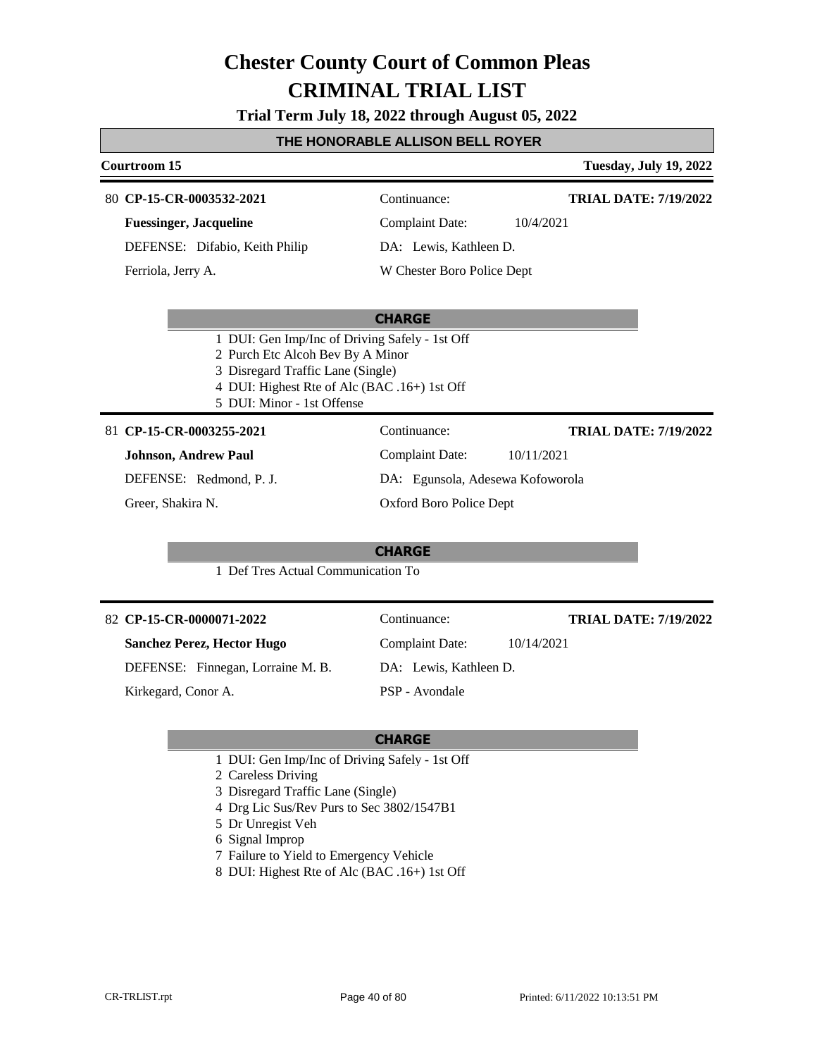**Trial Term July 18, 2022 through August 05, 2022**

#### **THE HONORABLE ALLISON BELL ROYER**

### **Courtroom 15 Tuesday, July 19, 2022 CHARGE CP-15-CR-0003532-2021** 80 Continuance: **Fuessinger, Jacqueline** DEFENSE: Difabio, Keith Philip Complaint Date: 10/4/2021 DA: Lewis, Kathleen D. W Chester Boro Police Dept **TRIAL DATE: 7/19/2022** Ferriola, Jerry A. 1 DUI: Gen Imp/Inc of Driving Safely - 1st Off 2 Purch Etc Alcoh Bev By A Minor

- 
- 3 Disregard Traffic Lane (Single)
- 4 DUI: Highest Rte of Alc (BAC .16+) 1st Off
- 5 DUI: Minor 1st Offense

#### **CP-15-CR-0003255-2021** 81 Continuance:

**Johnson, Andrew Paul**

DEFENSE: Redmond, P. J.

Greer, Shakira N.

**CHARGE**

Complaint Date: 10/11/2021 DA: Egunsola, Adesewa Kofoworola

Complaint Date: 10/14/2021

DA: Lewis, Kathleen D.

Oxford Boro Police Dept

1 Def Tres Actual Communication To

#### **CP-15-CR-0000071-2022** 82 Continuance:

**Sanchez Perez, Hector Hugo**

DEFENSE: Finnegan, Lorraine M. B.

Kirkegard, Conor A.

#### **CHARGE**

PSP - Avondale

1 DUI: Gen Imp/Inc of Driving Safely - 1st Off

2 Careless Driving

- 3 Disregard Traffic Lane (Single)
- 4 Drg Lic Sus/Rev Purs to Sec 3802/1547B1
- 5 Dr Unregist Veh
- 6 Signal Improp
- 7 Failure to Yield to Emergency Vehicle
- 8 DUI: Highest Rte of Alc (BAC .16+) 1st Off

**TRIAL DATE: 7/19/2022**

**TRIAL DATE: 7/19/2022**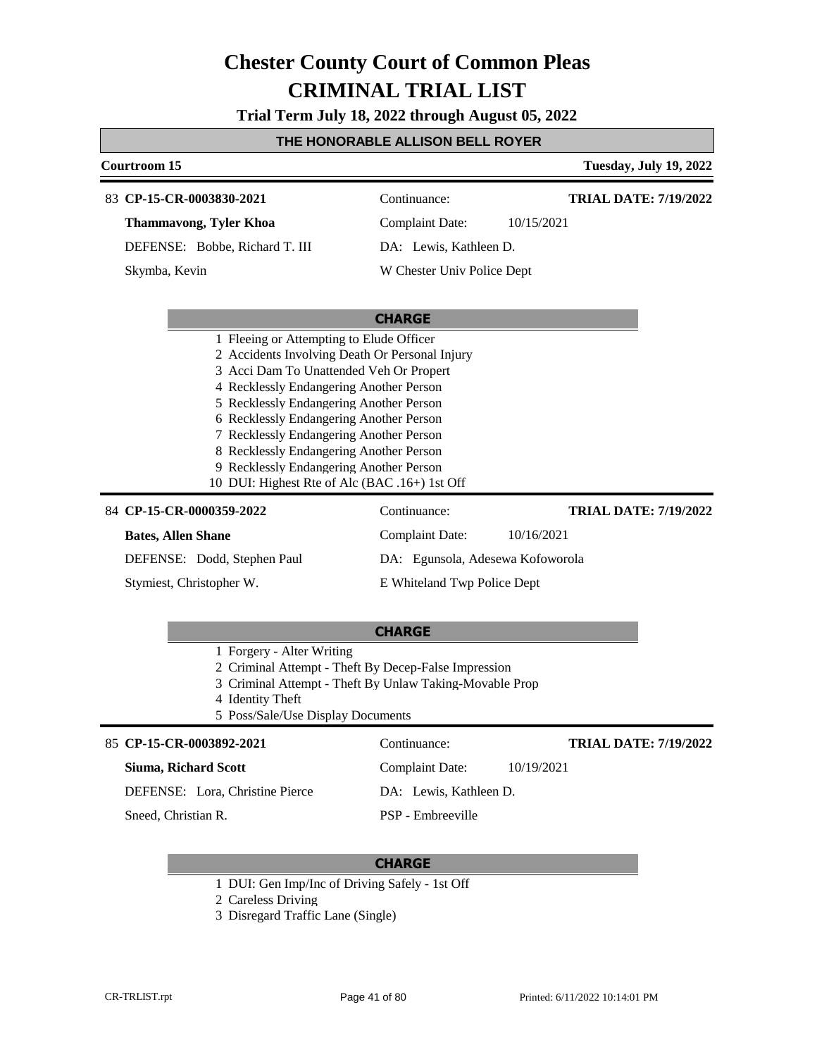**Trial Term July 18, 2022 through August 05, 2022**

### **THE HONORABLE ALLISON BELL ROYER**

| Courtroom 15                                                                       |                                         |            | <b>Tuesday, July 19, 2022</b> |
|------------------------------------------------------------------------------------|-----------------------------------------|------------|-------------------------------|
| 83 CP-15-CR-0003830-2021                                                           | Continuance:                            |            | <b>TRIAL DATE: 7/19/2022</b>  |
| <b>Thammavong, Tyler Khoa</b>                                                      | <b>Complaint Date:</b>                  | 10/15/2021 |                               |
| DEFENSE: Bobbe, Richard T. III                                                     | DA: Lewis, Kathleen D.                  |            |                               |
| Skymba, Kevin                                                                      | W Chester Univ Police Dept              |            |                               |
|                                                                                    |                                         |            |                               |
|                                                                                    | <b>CHARGE</b>                           |            |                               |
| 1 Fleeing or Attempting to Elude Officer                                           |                                         |            |                               |
| 2 Accidents Involving Death Or Personal Injury                                     |                                         |            |                               |
|                                                                                    | 3 Acci Dam To Unattended Veh Or Propert |            |                               |
| 4 Recklessly Endangering Another Person                                            |                                         |            |                               |
| 5 Recklessly Endangering Another Person                                            |                                         |            |                               |
| 6 Recklessly Endangering Another Person<br>7 Recklessly Endangering Another Person |                                         |            |                               |
| 8 Recklessly Endangering Another Person                                            |                                         |            |                               |
| 9 Recklessly Endangering Another Person                                            |                                         |            |                               |
| 10 DUI: Highest Rte of Alc (BAC .16+) 1st Off                                      |                                         |            |                               |
| 84 CP-15-CR-0000359-2022                                                           | Continuance:                            |            | <b>TRIAL DATE: 7/19/2022</b>  |
| <b>Bates, Allen Shane</b>                                                          | Complaint Date:                         | 10/16/2021 |                               |
| DEFENSE: Dodd, Stephen Paul                                                        | DA: Egunsola, Adesewa Kofoworola        |            |                               |
| Stymiest, Christopher W.                                                           | E Whiteland Twp Police Dept             |            |                               |
|                                                                                    | <b>CHARGE</b>                           |            |                               |

| 1 Forgery - Alter Writing |  |
|---------------------------|--|

- 2 Criminal Attempt Theft By Decep-False Impression
- 3 Criminal Attempt Theft By Unlaw Taking-Movable Prop
- 4 Identity Theft
- 5 Poss/Sale/Use Display Documents

#### 85 **CP-15-CR-0003892-2021** Continuance: **Siuma, Richard Scott** DEFENSE: Lora, Christine Pierce Complaint Date: 10/19/2021 DA: Lewis, Kathleen D. PSP - Embreeville **TRIAL DATE: 7/19/2022** Sneed, Christian R.

- 1 DUI: Gen Imp/Inc of Driving Safely 1st Off
- 2 Careless Driving
- 3 Disregard Traffic Lane (Single)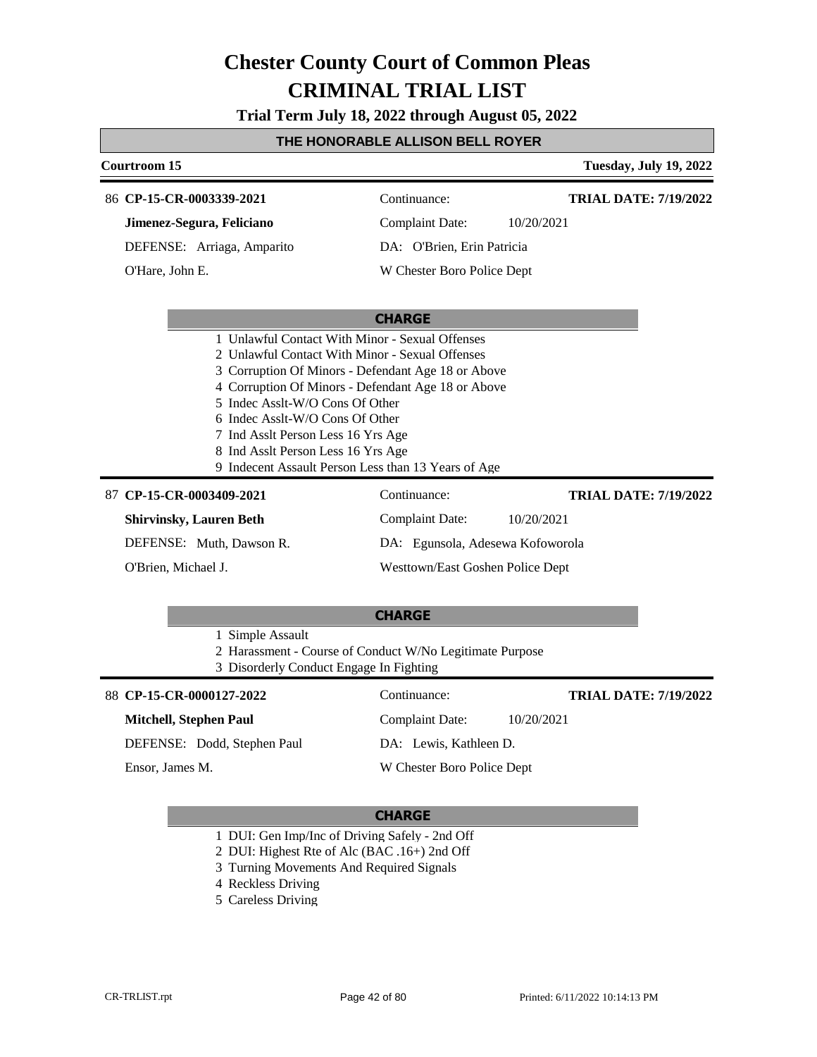**Trial Term July 18, 2022 through August 05, 2022**

### **THE HONORABLE ALLISON BELL ROYER**

| Courtroom 15                                                                                                                                                                                                                                                                                                                                                         |                                  | <b>Tuesday, July 19, 2022</b> |  |  |
|----------------------------------------------------------------------------------------------------------------------------------------------------------------------------------------------------------------------------------------------------------------------------------------------------------------------------------------------------------------------|----------------------------------|-------------------------------|--|--|
| 86 CP-15-CR-0003339-2021                                                                                                                                                                                                                                                                                                                                             | Continuance:                     | <b>TRIAL DATE: 7/19/2022</b>  |  |  |
| Jimenez-Segura, Feliciano                                                                                                                                                                                                                                                                                                                                            | <b>Complaint Date:</b>           | 10/20/2021                    |  |  |
| DEFENSE: Arriaga, Amparito                                                                                                                                                                                                                                                                                                                                           | DA: O'Brien, Erin Patricia       |                               |  |  |
| O'Hare, John E.                                                                                                                                                                                                                                                                                                                                                      | W Chester Boro Police Dept       |                               |  |  |
|                                                                                                                                                                                                                                                                                                                                                                      | <b>CHARGE</b>                    |                               |  |  |
| 2 Unlawful Contact With Minor - Sexual Offenses<br>3 Corruption Of Minors - Defendant Age 18 or Above<br>4 Corruption Of Minors - Defendant Age 18 or Above<br>5 Indec Asslt-W/O Cons Of Other<br>6 Indec Asslt-W/O Cons Of Other<br>7 Ind Asslt Person Less 16 Yrs Age<br>8 Ind Asslt Person Less 16 Yrs Age<br>9 Indecent Assault Person Less than 13 Years of Age |                                  |                               |  |  |
| 87 CP-15-CR-0003409-2021                                                                                                                                                                                                                                                                                                                                             | Continuance:                     | <b>TRIAL DATE: 7/19/2022</b>  |  |  |
| <b>Shirvinsky, Lauren Beth</b>                                                                                                                                                                                                                                                                                                                                       | <b>Complaint Date:</b>           | 10/20/2021                    |  |  |
| DEFENSE: Muth, Dawson R.                                                                                                                                                                                                                                                                                                                                             | DA: Egunsola, Adesewa Kofoworola |                               |  |  |
| O'Brien, Michael J.                                                                                                                                                                                                                                                                                                                                                  | Westtown/East Goshen Police Dept |                               |  |  |
|                                                                                                                                                                                                                                                                                                                                                                      | <b>CHARGE</b>                    |                               |  |  |
| 1 Simple Assault<br>2 Harassment - Course of Conduct W/No Legitimate Purpose<br>3 Disorderly Conduct Engage In Fighting                                                                                                                                                                                                                                              |                                  |                               |  |  |
| 88 CP-15-CR-0000127-2022                                                                                                                                                                                                                                                                                                                                             | Continuance:                     | <b>TRIAL DATE: 7/19/2022</b>  |  |  |
| <b>Mitchell, Stephen Paul</b>                                                                                                                                                                                                                                                                                                                                        | <b>Complaint Date:</b>           | 10/20/2021                    |  |  |
| DEFENSE: Dodd, Stephen Paul                                                                                                                                                                                                                                                                                                                                          | DA: Lewis, Kathleen D.           |                               |  |  |

Ensor, James M.

### **CHARGE**

W Chester Boro Police Dept

1 DUI: Gen Imp/Inc of Driving Safely - 2nd Off

2 DUI: Highest Rte of Alc (BAC .16+) 2nd Off

- 3 Turning Movements And Required Signals
- 4 Reckless Driving
- 5 Careless Driving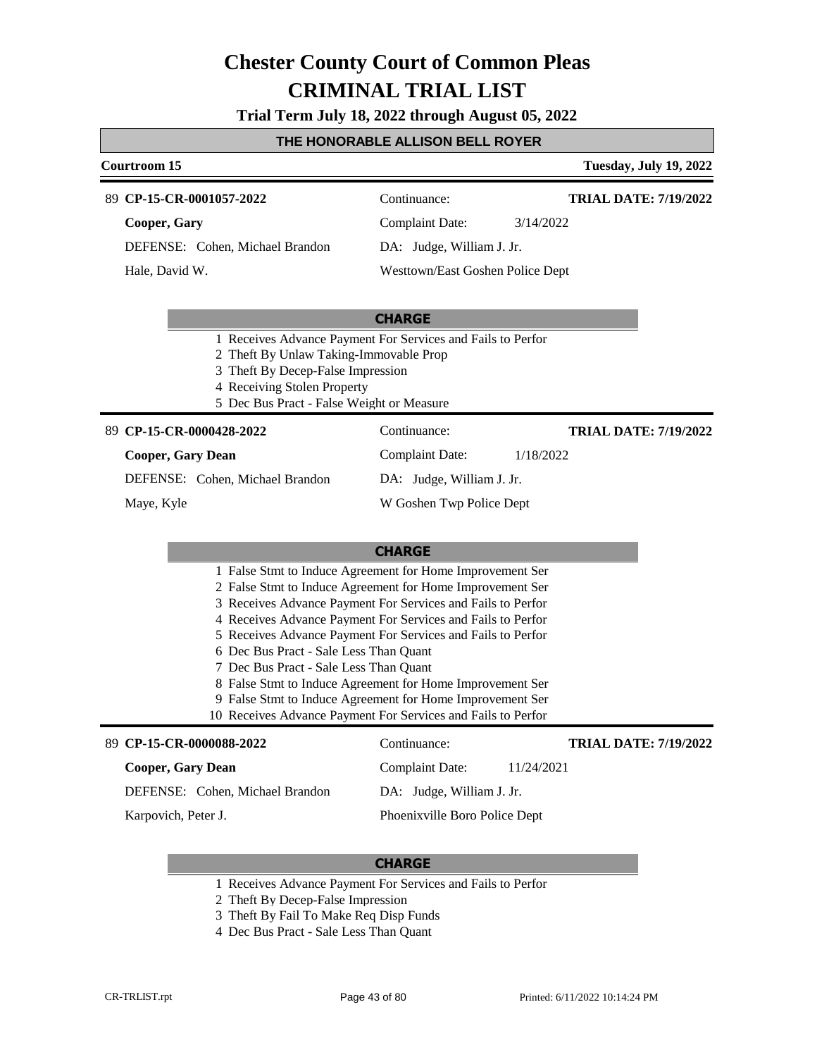**Trial Term July 18, 2022 through August 05, 2022**

#### **THE HONORABLE ALLISON BELL ROYER**

#### **Courtroom 15 Tuesday, July 19, 2022 CP-15-CR-0001057-2022** 89 Continuance: **Cooper, Gary** Complaint Date: 3/14/2022 **TRIAL DATE: 7/19/2022**

DEFENSE: Cohen, Michael Brandon Hale, David W.

DA: Judge, William J. Jr.

Westtown/East Goshen Police Dept

#### **CHARGE**

- 1 Receives Advance Payment For Services and Fails to Perfor
- 2 Theft By Unlaw Taking-Immovable Prop
- 3 Theft By Decep-False Impression
- 4 Receiving Stolen Property
- 5 Dec Bus Pract False Weight or Measure

#### **CP-15-CR-0000428-2022** 89 Continuance:

#### **Cooper, Gary Dean**

DEFENSE: Cohen, Michael Brandon

Maye, Kyle

DA: Judge, William J. Jr. W Goshen Twp Police Dept

Complaint Date: 1/18/2022

#### **CHARGE**

- 2 False Stmt to Induce Agreement for Home Improvement Ser
- 3 Receives Advance Payment For Services and Fails to Perfor
- 4 Receives Advance Payment For Services and Fails to Perfor
- 
- 
- 
- 
- 9 False Stmt to Induce Agreement for Home Improvement Ser
- 

#### **CP-15-CR-0000088-2022** 89 Continuance: **Cooper, Gary Dean** DEFENSE: Cohen, Michael Brandon Complaint Date: 11/24/2021 DA: Judge, William J. Jr. Phoenixville Boro Police Dept **TRIAL DATE: 7/19/2022** Karpovich, Peter J.

### **CHARGE**

- 1 Receives Advance Payment For Services and Fails to Perfor
- 2 Theft By Decep-False Impression
- 3 Theft By Fail To Make Req Disp Funds
- 4 Dec Bus Pract Sale Less Than Quant

**TRIAL DATE: 7/19/2022**

- 5 Receives Advance Payment For Services and Fails to Perfor
- 6 Dec Bus Pract Sale Less Than Quant
- 7 Dec Bus Pract Sale Less Than Quant
- 8 False Stmt to Induce Agreement for Home Improvement Ser
- 
- 10 Receives Advance Payment For Services and Fails to Perfor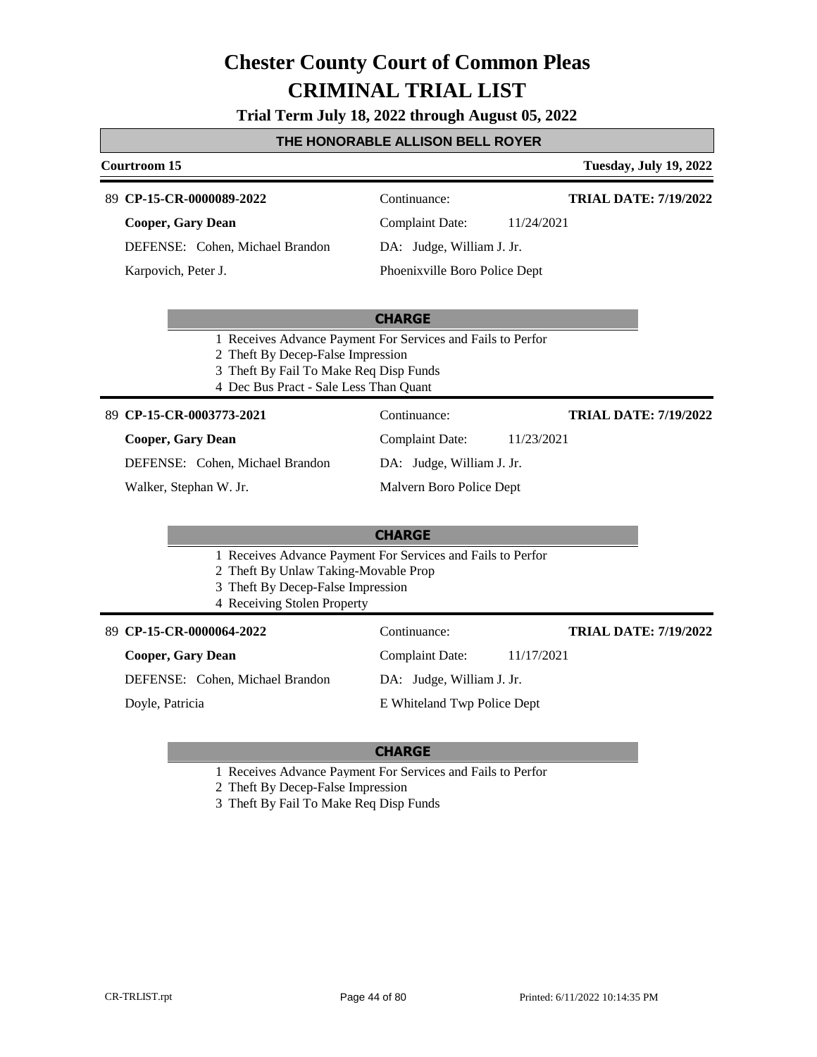**Trial Term July 18, 2022 through August 05, 2022**

#### **THE HONORABLE ALLISON BELL ROYER**

### **Courtroom 15 Tuesday, July 19, 2022**

#### **CP-15-CR-0000089-2022** 89 Continuance:

**Cooper, Gary Dean** DEFENSE: Cohen, Michael Brandon Karpovich, Peter J.

Complaint Date: 11/24/2021

DA: Judge, William J. Jr.

Phoenixville Boro Police Dept

#### **CHARGE**

- 1 Receives Advance Payment For Services and Fails to Perfor
- 2 Theft By Decep-False Impression
- 3 Theft By Fail To Make Req Disp Funds
- 4 Dec Bus Pract Sale Less Than Quant

**CP-15-CR-0003773-2021** 89 Continuance:

**Cooper, Gary Dean**

DEFENSE: Cohen, Michael Brandon

Walker, Stephan W. Jr.

DA: Judge, William J. Jr. Malvern Boro Police Dept

### **CHARGE**

- 1 Receives Advance Payment For Services and Fails to Perfor
- 2 Theft By Unlaw Taking-Movable Prop
- 3 Theft By Decep-False Impression
- 4 Receiving Stolen Property

#### **CP-15-CR-0000064-2022** 89 Continuance:

#### **Cooper, Gary Dean**

Complaint Date: 11/17/2021

**TRIAL DATE: 7/19/2022**

**TRIAL DATE: 7/19/2022**

**TRIAL DATE: 7/19/2022**

DEFENSE: Cohen, Michael Brandon

Doyle, Patricia

DA: Judge, William J. Jr.

E Whiteland Twp Police Dept

#### **CHARGE**

1 Receives Advance Payment For Services and Fails to Perfor

2 Theft By Decep-False Impression

3 Theft By Fail To Make Req Disp Funds

Complaint Date: 11/23/2021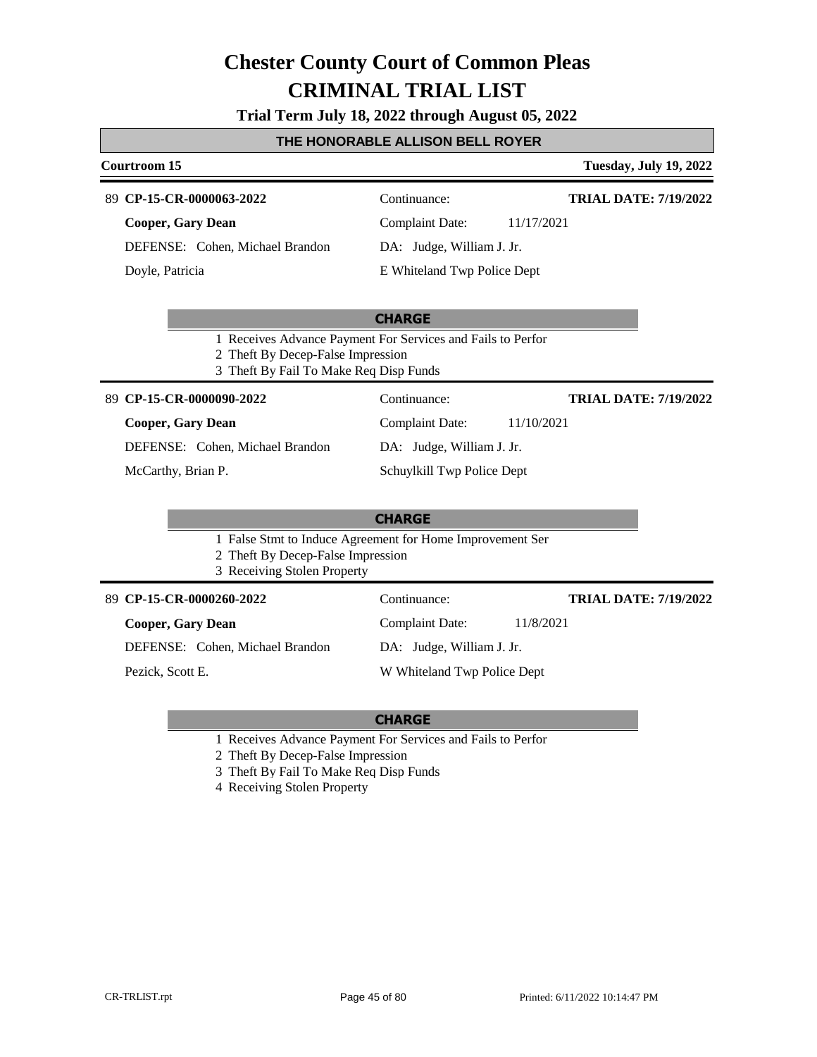**Trial Term July 18, 2022 through August 05, 2022**

#### **THE HONORABLE ALLISON BELL ROYER**

### **Courtroom 15 Tuesday, July 19, 2022 CHARGE CP-15-CR-0000063-2022** 89 Continuance: **Cooper, Gary Dean** DEFENSE: Cohen, Michael Brandon Complaint Date: 11/17/2021 DA: Judge, William J. Jr. E Whiteland Twp Police Dept **TRIAL DATE: 7/19/2022** Doyle, Patricia 1 Receives Advance Payment For Services and Fails to Perfor 2 Theft By Decep-False Impression 3 Theft By Fail To Make Req Disp Funds **CHARGE CP-15-CR-0000090-2022** 89 Continuance: **Cooper, Gary Dean** DEFENSE: Cohen, Michael Brandon Complaint Date: 11/10/2021 DA: Judge, William J. Jr. Schuylkill Twp Police Dept **TRIAL DATE: 7/19/2022** McCarthy, Brian P. 1 False Stmt to Induce Agreement for Home Improvement Ser 2 Theft By Decep-False Impression 3 Receiving Stolen Property **CP-15-CR-0000260-2022** 89 Continuance: **Cooper, Gary Dean** DEFENSE: Cohen, Michael Brandon Complaint Date: 11/8/2021 DA: Judge, William J. Jr. W Whiteland Twp Police Dept **TRIAL DATE: 7/19/2022** Pezick, Scott E.

- 1 Receives Advance Payment For Services and Fails to Perfor
- 2 Theft By Decep-False Impression
- 3 Theft By Fail To Make Req Disp Funds
- 4 Receiving Stolen Property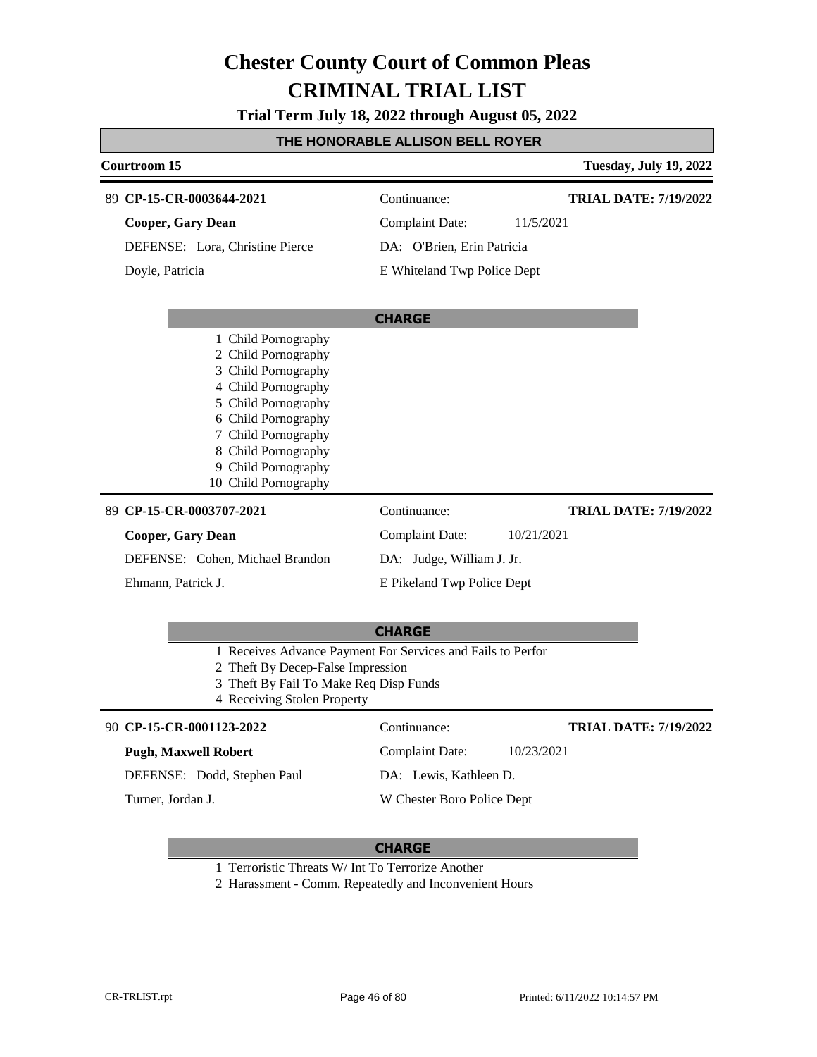**Trial Term July 18, 2022 through August 05, 2022**

#### **THE HONORABLE ALLISON BELL ROYER**

| <b>Courtroom 15</b>                                                                                                                                                                                                                 |                             | <b>Tuesday, July 19, 2022</b> |
|-------------------------------------------------------------------------------------------------------------------------------------------------------------------------------------------------------------------------------------|-----------------------------|-------------------------------|
| 89 CP-15-CR-0003644-2021                                                                                                                                                                                                            | Continuance:                | <b>TRIAL DATE: 7/19/2022</b>  |
| <b>Cooper, Gary Dean</b>                                                                                                                                                                                                            | <b>Complaint Date:</b>      | 11/5/2021                     |
| DEFENSE: Lora, Christine Pierce                                                                                                                                                                                                     | DA: O'Brien, Erin Patricia  |                               |
| Doyle, Patricia                                                                                                                                                                                                                     | E Whiteland Twp Police Dept |                               |
|                                                                                                                                                                                                                                     | <b>CHARGE</b>               |                               |
| 1 Child Pornography<br>2 Child Pornography<br>3 Child Pornography<br>4 Child Pornography<br>5 Child Pornography<br>6 Child Pornography<br>7 Child Pornography<br>8 Child Pornography<br>9 Child Pornography<br>10 Child Pornography |                             |                               |
| 89 CP-15-CR-0003707-2021                                                                                                                                                                                                            | Continuance:                | <b>TRIAL DATE: 7/19/2022</b>  |
| <b>Cooper, Gary Dean</b>                                                                                                                                                                                                            | <b>Complaint Date:</b>      | 10/21/2021                    |
| DEFENSE: Cohen, Michael Brandon                                                                                                                                                                                                     | DA: Judge, William J. Jr.   |                               |
| Ehmann, Patrick J.                                                                                                                                                                                                                  | E Pikeland Twp Police Dept  |                               |
|                                                                                                                                                                                                                                     | <b>CHARGE</b>               |                               |
| 1 Receives Advance Payment For Services and Fails to Perfor<br>2 Theft By Decep-False Impression<br>3 Theft By Fail To Make Req Disp Funds                                                                                          |                             |                               |

4 Receiving Stolen Property

#### **CP-15-CR-0001123-2022** 90 Continuance:

#### **Pugh, Maxwell Robert**

DEFENSE: Dodd, Stephen Paul

Turner, Jordan J.

Complaint Date: 10/23/2021

### DA: Lewis, Kathleen D.

W Chester Boro Police Dept

### **CHARGE**

- 1 Terroristic Threats W/ Int To Terrorize Another
- 2 Harassment Comm. Repeatedly and Inconvenient Hours

**TRIAL DATE: 7/19/2022**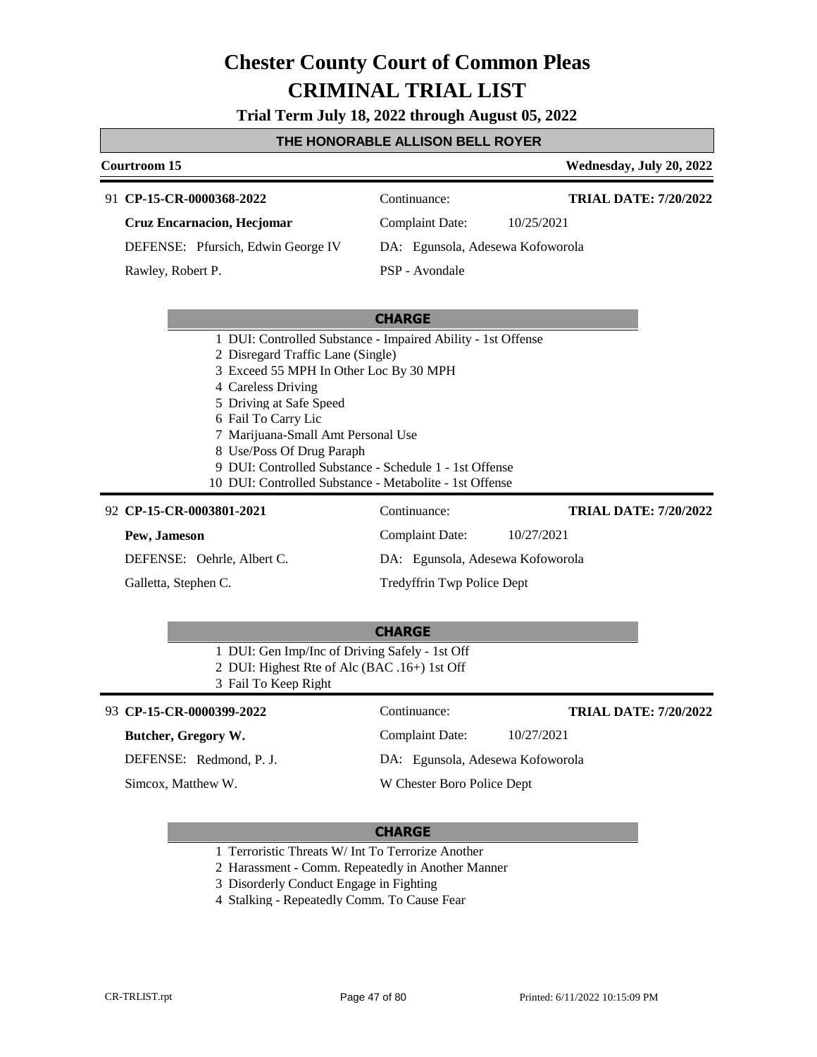**Trial Term July 18, 2022 through August 05, 2022**

#### **THE HONORABLE ALLISON BELL ROYER**

#### **Courtroom 15 Wednesday, July 20, 2022 CP-15-CR-0000368-2022** 91 Continuance: **Cruz Encarnacion, Hecjomar** DEFENSE: Pfursich, Edwin George IV Complaint Date: 10/25/2021 DA: Egunsola, Adesewa Kofoworola PSP - Avondale **TRIAL DATE: 7/20/2022** Rawley, Robert P.

#### **CHARGE**

- 1 DUI: Controlled Substance Impaired Ability 1st Offense
- 2 Disregard Traffic Lane (Single)
- 3 Exceed 55 MPH In Other Loc By 30 MPH
- 4 Careless Driving
- 5 Driving at Safe Speed
- 6 Fail To Carry Lic
- 7 Marijuana-Small Amt Personal Use
- 8 Use/Poss Of Drug Paraph
- 9 DUI: Controlled Substance Schedule 1 1st Offense
- 10 DUI: Controlled Substance Metabolite 1st Offense

#### **CP-15-CR-0003801-2021** 92 Continuance: **Pew, Jameson** DEFENSE: Oehrle, Albert C. Complaint Date: 10/27/2021 DA: Egunsola, Adesewa Kofoworola Tredyffrin Twp Police Dept **TRIAL DATE: 7/20/2022** Galletta, Stephen C.

#### **CHARGE**

- 1 DUI: Gen Imp/Inc of Driving Safely 1st Off
- 2 DUI: Highest Rte of Alc (BAC .16+) 1st Off
- 3 Fail To Keep Right

#### **CP-15-CR-0000399-2022** 93 Continuance:

#### **Butcher, Gregory W.**

DEFENSE: Redmond, P. J.

Simcox, Matthew W.

**TRIAL DATE: 7/20/2022**

W Chester Boro Police Dept

Complaint Date: 10/27/2021 DA: Egunsola, Adesewa Kofoworola

#### **CHARGE**

1 Terroristic Threats W/ Int To Terrorize Another

2 Harassment - Comm. Repeatedly in Another Manner

- 3 Disorderly Conduct Engage in Fighting
- 4 Stalking Repeatedly Comm. To Cause Fear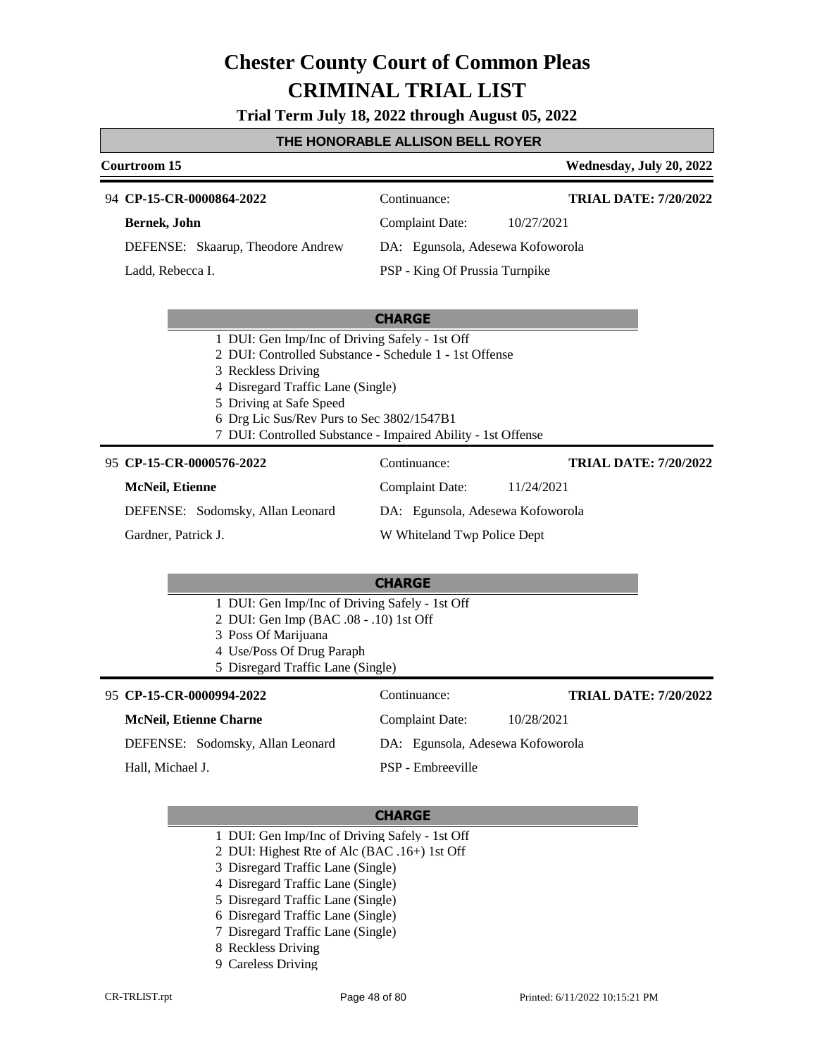**Trial Term July 18, 2022 through August 05, 2022**

#### **THE HONORABLE ALLISON BELL ROYER**

### **Courtroom 15 Wednesday, July 20, 2022 CP-15-CR-0000864-2022** 94 Continuance: **Bernek, John** DEFENSE: Skaarup, Theodore Andrew Complaint Date: 10/27/2021 DA: Egunsola, Adesewa Kofoworola PSP - King Of Prussia Turnpike **TRIAL DATE: 7/20/2022** Ladd, Rebecca I.

| <b>CHARGE</b>                                          |
|--------------------------------------------------------|
| 1 DUI: Gen Imp/Inc of Driving Safely - 1st Off         |
| 2 DUI: Controlled Substance - Schedule 1 - 1st Offense |
| 3 Reckless Driving                                     |
| 4 Disregard Traffic Lane (Single)                      |
| 5 Driving at Safe Speed                                |

- 6 Drg Lic Sus/Rev Purs to Sec 3802/1547B1
- 7 DUI: Controlled Substance Impaired Ability 1st Offense

#### **CP-15-CR-0000576-2022** 95 Continuance:

### DEFENSE: Sodomsky, Allan Leonard Complaint Date: 11/24/2021 DA: Egunsola, Adesewa Kofoworola **TRIAL DATE: 7/20/2022**

Gardner, Patrick J.

**McNeil, Etienne**

W Whiteland Twp Police Dept

#### **CHARGE**

- 1 DUI: Gen Imp/Inc of Driving Safely 1st Off
- 2 DUI: Gen Imp (BAC .08 .10) 1st Off
- 3 Poss Of Marijuana
- 4 Use/Poss Of Drug Paraph
- 5 Disregard Traffic Lane (Single)

## **CP-15-CR-0000994-2022** 95 Continuance:

| <b>McNeil, Etienne Charne</b>    | 10/28/2021<br>Complaint Date:    |
|----------------------------------|----------------------------------|
| DEFENSE: Sodomsky, Allan Leonard | DA: Egunsola, Adesewa Kofoworola |
| Hall, Michael J.                 | PSP - Embreeville                |

#### **CHARGE**

1 DUI: Gen Imp/Inc of Driving Safely - 1st Off

2 DUI: Highest Rte of Alc (BAC .16+) 1st Off

- 3 Disregard Traffic Lane (Single)
- 4 Disregard Traffic Lane (Single)
- 5 Disregard Traffic Lane (Single)
- 6 Disregard Traffic Lane (Single)
- 7 Disregard Traffic Lane (Single)
- 8 Reckless Driving
- 9 Careless Driving

**TRIAL DATE: 7/20/2022**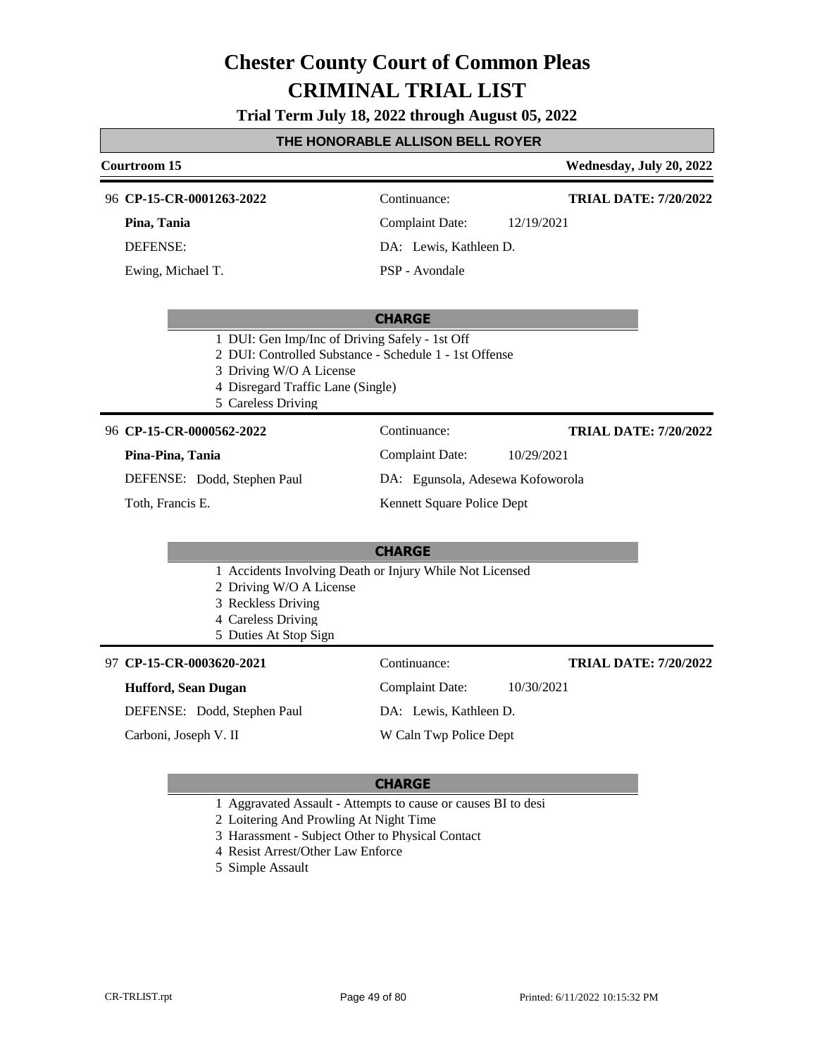#### **Trial Term July 18, 2022 through August 05, 2022**

#### **THE HONORABLE ALLISON BELL ROYER**

### **Courtroom 15 Wednesday, July 20, 2022 CHARGE CP-15-CR-0001263-2022** 96 Continuance: **Pina, Tania** DEFENSE: Complaint Date: 12/19/2021 DA: Lewis, Kathleen D. PSP - Avondale **TRIAL DATE: 7/20/2022** Ewing, Michael T. 1 DUI: Gen Imp/Inc of Driving Safely - 1st Off 2 DUI: Controlled Substance - Schedule 1 - 1st Offense 3 Driving W/O A License 4 Disregard Traffic Lane (Single) 5 Careless Driving **CHARGE CP-15-CR-0000562-2022** 96 Continuance: **Pina-Pina, Tania** DEFENSE: Dodd, Stephen Paul Complaint Date: 10/29/2021 DA: Egunsola, Adesewa Kofoworola Kennett Square Police Dept **TRIAL DATE: 7/20/2022** Toth, Francis E. 1 Accidents Involving Death or Injury While Not Licensed

- 
- 2 Driving W/O A License
- 3 Reckless Driving
- 4 Careless Driving
- 5 Duties At Stop Sign

### **CP-15-CR-0003620-2021** 97 Continuance:

#### **Hufford, Sean Dugan**

DEFENSE: Dodd, Stephen Paul

Carboni, Joseph V. II

DA: Lewis, Kathleen D.

**TRIAL DATE: 7/20/2022**

Complaint Date: 10/30/2021

W Caln Twp Police Dept

- 1 Aggravated Assault Attempts to cause or causes BI to desi
- 2 Loitering And Prowling At Night Time
- 3 Harassment Subject Other to Physical Contact
- 4 Resist Arrest/Other Law Enforce
- 5 Simple Assault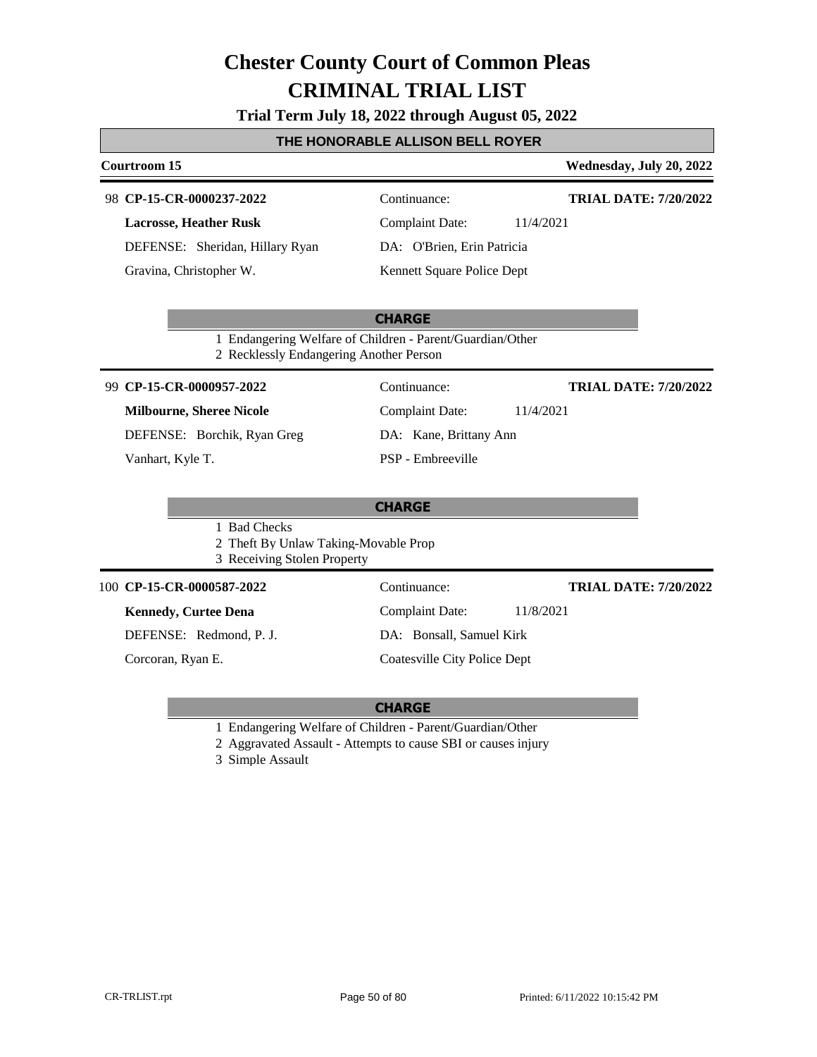|  |  | Trial Term July 18, 2022 through August 05, 2022 |  |
|--|--|--------------------------------------------------|--|
|--|--|--------------------------------------------------|--|

### **THE HONORABLE ALLISON BELL ROYER**

| Courtroom 15                                                                        | Wednesday, July 20, 2022                                  |
|-------------------------------------------------------------------------------------|-----------------------------------------------------------|
| 98 CP-15-CR-0000237-2022                                                            | Continuance:<br><b>TRIAL DATE: 7/20/2022</b>              |
| <b>Lacrosse, Heather Rusk</b>                                                       | <b>Complaint Date:</b><br>11/4/2021                       |
| DEFENSE: Sheridan, Hillary Ryan                                                     | DA: O'Brien, Erin Patricia                                |
| Gravina, Christopher W.                                                             | Kennett Square Police Dept                                |
|                                                                                     | <b>CHARGE</b>                                             |
| 2 Recklessly Endangering Another Person                                             | 1 Endangering Welfare of Children - Parent/Guardian/Other |
| 99 CP-15-CR-0000957-2022                                                            | Continuance:<br><b>TRIAL DATE: 7/20/2022</b>              |
| <b>Milbourne, Sheree Nicole</b>                                                     | <b>Complaint Date:</b><br>11/4/2021                       |
| DEFENSE: Borchik, Ryan Greg                                                         | DA: Kane, Brittany Ann                                    |
| Vanhart, Kyle T.                                                                    | PSP - Embreeville                                         |
|                                                                                     | <b>CHARGE</b>                                             |
| 1 Bad Checks<br>2 Theft By Unlaw Taking-Movable Prop<br>3 Receiving Stolen Property |                                                           |
| 100 CP-15-CR-0000587-2022                                                           | Continuance:<br><b>TRIAL DATE: 7/20/2022</b>              |
| <b>Kennedy, Curtee Dena</b>                                                         | 11/8/2021<br><b>Complaint Date:</b>                       |
| DEFENSE: Redmond, P. J.                                                             | DA: Bonsall, Samuel Kirk                                  |
| Corcoran, Ryan E.                                                                   | <b>Coatesville City Police Dept</b>                       |

### **CHARGE**

1 Endangering Welfare of Children - Parent/Guardian/Other

2 Aggravated Assault - Attempts to cause SBI or causes injury

3 Simple Assault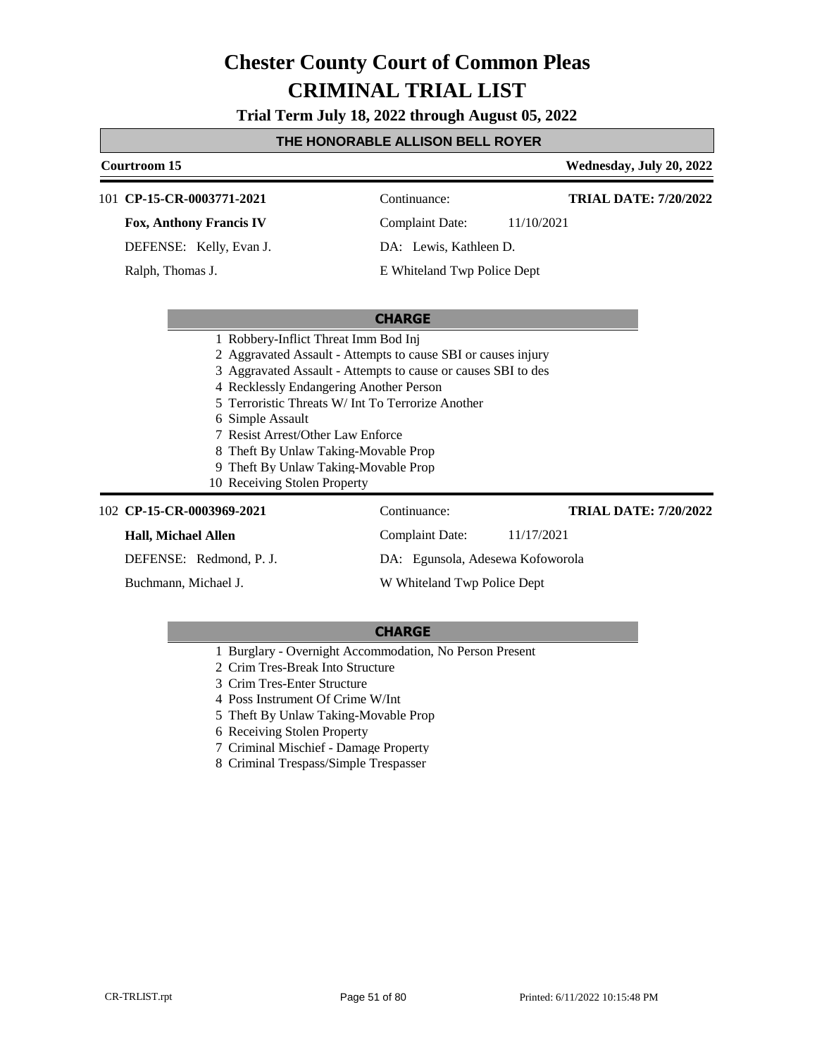**Trial Term July 18, 2022 through August 05, 2022**

### **THE HONORABLE ALLISON BELL ROYER**

| Courtroom 15                                                                                             |                                      | Wednesday, July 20, 2022     |  |                                                 |
|----------------------------------------------------------------------------------------------------------|--------------------------------------|------------------------------|--|-------------------------------------------------|
| 101 CP-15-CR-0003771-2021                                                                                | Continuance:                         | <b>TRIAL DATE: 7/20/2022</b> |  |                                                 |
| <b>Fox, Anthony Francis IV</b>                                                                           | <b>Complaint Date:</b>               | 11/10/2021                   |  |                                                 |
| DEFENSE: Kelly, Evan J.                                                                                  | DA: Lewis, Kathleen D.               |                              |  |                                                 |
| Ralph, Thomas J.                                                                                         | E Whiteland Twp Police Dept          |                              |  |                                                 |
|                                                                                                          |                                      |                              |  |                                                 |
|                                                                                                          | <b>CHARGE</b>                        |                              |  |                                                 |
|                                                                                                          | 1 Robbery-Inflict Threat Imm Bod Inj |                              |  |                                                 |
| 2 Aggravated Assault - Attempts to cause SBI or causes injury                                            |                                      |                              |  |                                                 |
| 3 Aggravated Assault - Attempts to cause or causes SBI to des<br>4 Recklessly Endangering Another Person |                                      |                              |  |                                                 |
|                                                                                                          |                                      |                              |  | Terroristic Threats W/ Int To Terrorize Another |
| 6 Simple Assault                                                                                         |                                      |                              |  |                                                 |
| 7 Resist Arrest/Other Law Enforce                                                                        |                                      |                              |  |                                                 |
| Theft By Unlaw Taking-Movable Prop                                                                       |                                      |                              |  |                                                 |
| 9 Theft By Unlaw Taking-Movable Prop                                                                     |                                      |                              |  |                                                 |
| 10 Receiving Stolen Property                                                                             |                                      |                              |  |                                                 |
| 102 CP-15-CR-0003969-2021                                                                                | Continuance:                         | <b>TRIAL DATE: 7/20/2022</b> |  |                                                 |
| <b>Hall, Michael Allen</b>                                                                               | <b>Complaint Date:</b>               | 11/17/2021                   |  |                                                 |
| DEFENSE: Redmond, P. J.                                                                                  | DA: Egunsola, Adesewa Kofoworola     |                              |  |                                                 |

Buchmann, Michael J.

W Whiteland Twp Police Dept

- 1 Burglary Overnight Accommodation, No Person Present
- 2 Crim Tres-Break Into Structure
- 3 Crim Tres-Enter Structure
- 4 Poss Instrument Of Crime W/Int
- 5 Theft By Unlaw Taking-Movable Prop
- 6 Receiving Stolen Property
- 7 Criminal Mischief Damage Property
- 8 Criminal Trespass/Simple Trespasser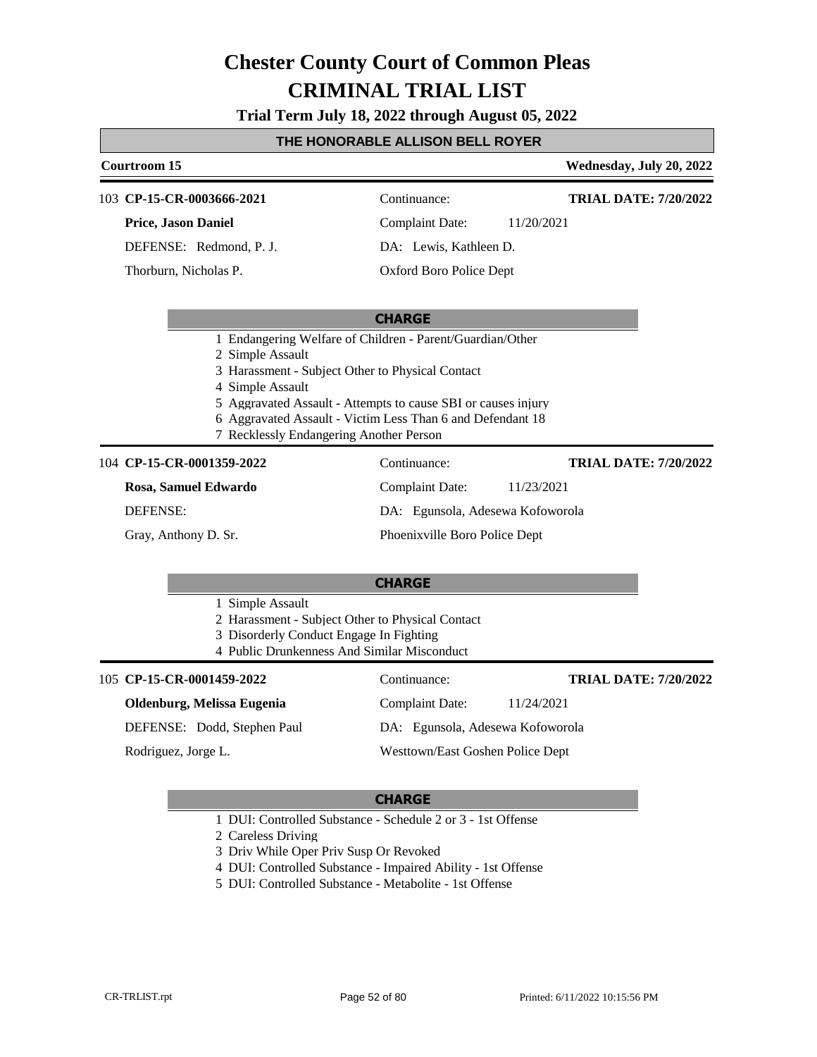**Trial Term July 18, 2022 through August 05, 2022**

## **THE HONORABLE ALLISON BELL ROYER**

| THE HONORABLE ALLISON BELL ROTER |                                                                                                                                                                                                                                                                                                                                 |                                  |                              |  |  |
|----------------------------------|---------------------------------------------------------------------------------------------------------------------------------------------------------------------------------------------------------------------------------------------------------------------------------------------------------------------------------|----------------------------------|------------------------------|--|--|
|                                  | <b>Courtroom 15</b>                                                                                                                                                                                                                                                                                                             |                                  | Wednesday, July 20, 2022     |  |  |
|                                  | 103 CP-15-CR-0003666-2021                                                                                                                                                                                                                                                                                                       | Continuance:                     | <b>TRIAL DATE: 7/20/2022</b> |  |  |
|                                  | <b>Price, Jason Daniel</b>                                                                                                                                                                                                                                                                                                      | <b>Complaint Date:</b>           | 11/20/2021                   |  |  |
|                                  | DEFENSE: Redmond, P. J.                                                                                                                                                                                                                                                                                                         | DA: Lewis, Kathleen D.           |                              |  |  |
|                                  | Thorburn, Nicholas P.                                                                                                                                                                                                                                                                                                           | Oxford Boro Police Dept          |                              |  |  |
|                                  |                                                                                                                                                                                                                                                                                                                                 | <b>CHARGE</b>                    |                              |  |  |
|                                  | 1 Endangering Welfare of Children - Parent/Guardian/Other<br>2 Simple Assault<br>3 Harassment - Subject Other to Physical Contact<br>4 Simple Assault<br>5 Aggravated Assault - Attempts to cause SBI or causes injury<br>6 Aggravated Assault - Victim Less Than 6 and Defendant 18<br>7 Recklessly Endangering Another Person |                                  |                              |  |  |
|                                  | 104 CP-15-CR-0001359-2022                                                                                                                                                                                                                                                                                                       | Continuance:                     | <b>TRIAL DATE: 7/20/2022</b> |  |  |
|                                  | Rosa, Samuel Edwardo                                                                                                                                                                                                                                                                                                            | <b>Complaint Date:</b>           | 11/23/2021                   |  |  |
| <b>DEFENSE:</b>                  |                                                                                                                                                                                                                                                                                                                                 | DA: Egunsola, Adesewa Kofoworola |                              |  |  |
| Gray, Anthony D. Sr.             |                                                                                                                                                                                                                                                                                                                                 | Phoenixville Boro Police Dept    |                              |  |  |
|                                  | <b>CHARGE</b><br>1 Simple Assault<br>2 Harassment - Subject Other to Physical Contact                                                                                                                                                                                                                                           |                                  |                              |  |  |
|                                  | 3 Disorderly Conduct Engage In Fighting<br>4 Public Drunkenness And Similar Misconduct                                                                                                                                                                                                                                          |                                  |                              |  |  |
|                                  | 105 CP-15-CR-0001459-2022                                                                                                                                                                                                                                                                                                       | Continuance:                     | <b>TRIAL DATE: 7/20/2022</b> |  |  |
|                                  | Oldenburg, Melissa Eugenia                                                                                                                                                                                                                                                                                                      | <b>Complaint Date:</b>           | 11/24/2021                   |  |  |
|                                  | DEFENSE: Dodd, Stephen Paul                                                                                                                                                                                                                                                                                                     | DA: Egunsola, Adesewa Kofoworola |                              |  |  |
|                                  | Rodriguez, Jorge L.                                                                                                                                                                                                                                                                                                             | Westtown/East Goshen Police Dept |                              |  |  |
|                                  |                                                                                                                                                                                                                                                                                                                                 |                                  |                              |  |  |

#### **CHARGE**

- 1 DUI: Controlled Substance Schedule 2 or 3 1st Offense
- 2 Careless Driving
- 3 Driv While Oper Priv Susp Or Revoked
- 4 DUI: Controlled Substance Impaired Ability 1st Offense
- 5 DUI: Controlled Substance Metabolite 1st Offense

Г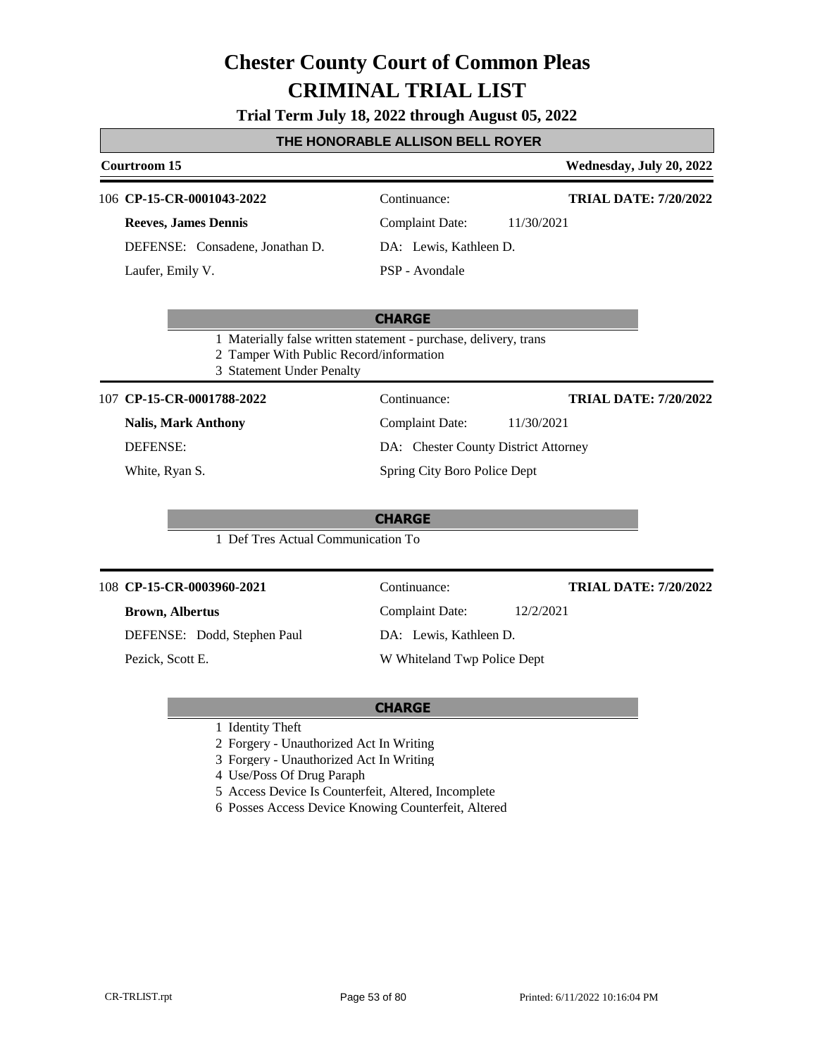#### **Trial Term July 18, 2022 through August 05, 2022**

#### **THE HONORABLE ALLISON BELL ROYER**

### **Courtroom 15 Wednesday, July 20, 2022 CHARGE** 106 **CP-15-CR-0001043-2022** Continuance: **Reeves, James Dennis** DEFENSE: Consadene, Jonathan D. Complaint Date: 11/30/2021 DA: Lewis, Kathleen D. PSP - Avondale **TRIAL DATE: 7/20/2022** Laufer, Emily V. 1 Materially false written statement - purchase, delivery, trans 2 Tamper With Public Record/information 3 Statement Under Penalty **CP-15-CR-0001788-2022** 107 Continuance: **Nalis, Mark Anthony** DEFENSE: Complaint Date: 11/30/2021 **TRIAL DATE: 7/20/2022**

White, Ryan S.

DA: Chester County District Attorney Spring City Boro Police Dept

Complaint Date: 12/2/2021

DA: Lewis, Kathleen D.

W Whiteland Twp Police Dept

**CHARGE**

1 Def Tres Actual Communication To

#### **CP-15-CR-0003960-2021** 108 Continuance:

#### **Brown, Albertus**

DEFENSE: Dodd, Stephen Paul

Pezick, Scott E.

#### **CHARGE**

- 1 Identity Theft
- 2 Forgery Unauthorized Act In Writing
- 3 Forgery Unauthorized Act In Writing
- 4 Use/Poss Of Drug Paraph
- 5 Access Device Is Counterfeit, Altered, Incomplete
- 6 Posses Access Device Knowing Counterfeit, Altered

**TRIAL DATE: 7/20/2022**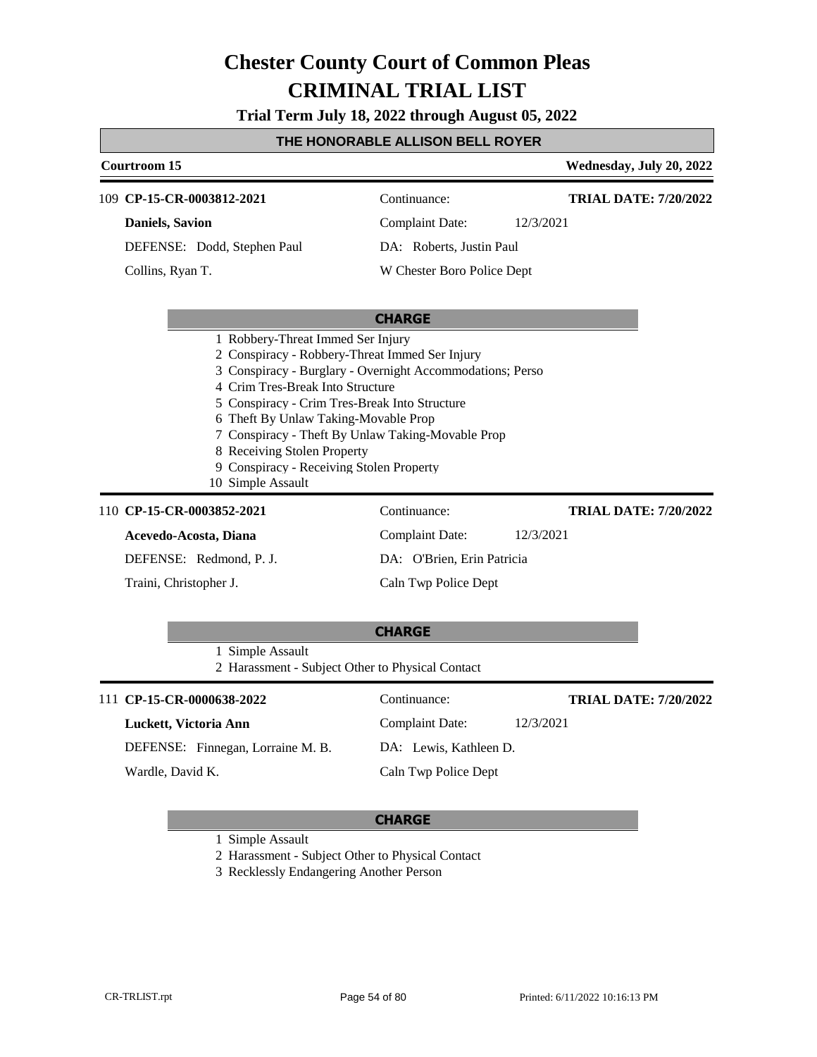**Trial Term July 18, 2022 through August 05, 2022**

### **THE HONORABLE ALLISON BELL ROYER**

| Courtroom 15                                                                                                                                                                                                                                                                                                                                                                                                                       |                            | Wednesday, July 20, 2022     |  |  |
|------------------------------------------------------------------------------------------------------------------------------------------------------------------------------------------------------------------------------------------------------------------------------------------------------------------------------------------------------------------------------------------------------------------------------------|----------------------------|------------------------------|--|--|
| 109 CP-15-CR-0003812-2021                                                                                                                                                                                                                                                                                                                                                                                                          | Continuance:               | <b>TRIAL DATE: 7/20/2022</b> |  |  |
| <b>Daniels</b> , Savion                                                                                                                                                                                                                                                                                                                                                                                                            | <b>Complaint Date:</b>     | 12/3/2021                    |  |  |
| DEFENSE: Dodd, Stephen Paul                                                                                                                                                                                                                                                                                                                                                                                                        | DA: Roberts, Justin Paul   |                              |  |  |
| Collins, Ryan T.                                                                                                                                                                                                                                                                                                                                                                                                                   | W Chester Boro Police Dept |                              |  |  |
|                                                                                                                                                                                                                                                                                                                                                                                                                                    | <b>CHARGE</b>              |                              |  |  |
| 1 Robbery-Threat Immed Ser Injury<br>2 Conspiracy - Robbery-Threat Immed Ser Injury<br>3 Conspiracy - Burglary - Overnight Accommodations; Perso<br>4 Crim Tres-Break Into Structure<br>5 Conspiracy - Crim Tres-Break Into Structure<br>6 Theft By Unlaw Taking-Movable Prop<br>7 Conspiracy - Theft By Unlaw Taking-Movable Prop<br>8 Receiving Stolen Property<br>9 Conspiracy - Receiving Stolen Property<br>10 Simple Assault |                            |                              |  |  |
| 110 CP-15-CR-0003852-2021                                                                                                                                                                                                                                                                                                                                                                                                          | Continuance:               | <b>TRIAL DATE: 7/20/2022</b> |  |  |
| Acevedo-Acosta, Diana                                                                                                                                                                                                                                                                                                                                                                                                              | <b>Complaint Date:</b>     | 12/3/2021                    |  |  |
| DEFENSE: Redmond, P. J.                                                                                                                                                                                                                                                                                                                                                                                                            | DA: O'Brien, Erin Patricia |                              |  |  |
| Traini, Christopher J.                                                                                                                                                                                                                                                                                                                                                                                                             | Caln Twp Police Dept       |                              |  |  |
|                                                                                                                                                                                                                                                                                                                                                                                                                                    | <b>CHARGE</b>              |                              |  |  |
| 1 Simple Assault<br>2 Harassment - Subject Other to Physical Contact                                                                                                                                                                                                                                                                                                                                                               |                            |                              |  |  |
| 111 CP-15-CR-0000638-2022                                                                                                                                                                                                                                                                                                                                                                                                          | Continuance:               | <b>TRIAL DATE: 7/20/2022</b> |  |  |
| Luckett, Victoria Ann                                                                                                                                                                                                                                                                                                                                                                                                              | <b>Complaint Date:</b>     | 12/3/2021                    |  |  |
| DEFENSE: Finnegan, Lorraine M. B.                                                                                                                                                                                                                                                                                                                                                                                                  | DA: Lewis, Kathleen D.     |                              |  |  |
| Wardle, David K.                                                                                                                                                                                                                                                                                                                                                                                                                   | Caln Twp Police Dept       |                              |  |  |

#### **CHARGE**

1 Simple Assault

2 Harassment - Subject Other to Physical Contact

3 Recklessly Endangering Another Person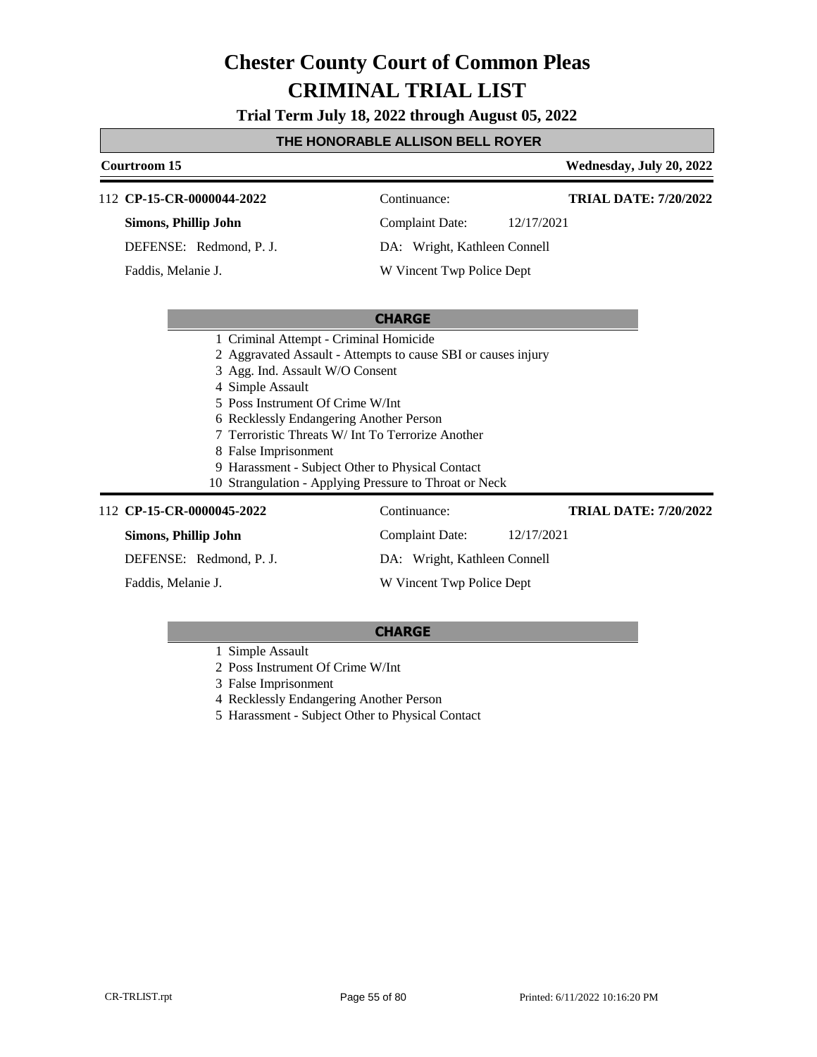**Trial Term July 18, 2022 through August 05, 2022**

### **THE HONORABLE ALLISON BELL ROYER**

| Courtroom 15                                                                                                                                                                                         |                                                                                                                                                                                                                                  | Wednesday, July 20, 2022     |
|------------------------------------------------------------------------------------------------------------------------------------------------------------------------------------------------------|----------------------------------------------------------------------------------------------------------------------------------------------------------------------------------------------------------------------------------|------------------------------|
| 112 CP-15-CR-0000044-2022                                                                                                                                                                            | Continuance:                                                                                                                                                                                                                     | <b>TRIAL DATE: 7/20/2022</b> |
| Simons, Phillip John                                                                                                                                                                                 | 12/17/2021<br><b>Complaint Date:</b>                                                                                                                                                                                             |                              |
| DEFENSE: Redmond, P. J.                                                                                                                                                                              | DA: Wright, Kathleen Connell                                                                                                                                                                                                     |                              |
| Faddis, Melanie J.                                                                                                                                                                                   | W Vincent Twp Police Dept                                                                                                                                                                                                        |                              |
|                                                                                                                                                                                                      | <b>CHARGE</b>                                                                                                                                                                                                                    |                              |
| 1 Criminal Attempt - Criminal Homicide<br>3 Agg. Ind. Assault W/O Consent<br>4 Simple Assault<br>5 Poss Instrument Of Crime W/Int<br>6 Recklessly Endangering Another Person<br>8 False Imprisonment | 2 Aggravated Assault - Attempts to cause SBI or causes injury<br>7 Terroristic Threats W/ Int To Terrorize Another<br>9 Harassment - Subject Other to Physical Contact<br>10 Strangulation - Applying Pressure to Throat or Neck |                              |
| 112 CP-15-CR-0000045-2022                                                                                                                                                                            | Continuance:                                                                                                                                                                                                                     | <b>TRIAL DATE: 7/20/2022</b> |
| Simons, Phillip John                                                                                                                                                                                 | <b>Complaint Date:</b><br>12/17/2021                                                                                                                                                                                             |                              |
| DEFENSE: Redmond, P. J.                                                                                                                                                                              | DA: Wright, Kathleen Connell                                                                                                                                                                                                     |                              |

Faddis, Melanie J.

**CHARGE**

W Vincent Twp Police Dept

- 1 Simple Assault
- 2 Poss Instrument Of Crime W/Int
- 3 False Imprisonment
- 4 Recklessly Endangering Another Person
- 5 Harassment Subject Other to Physical Contact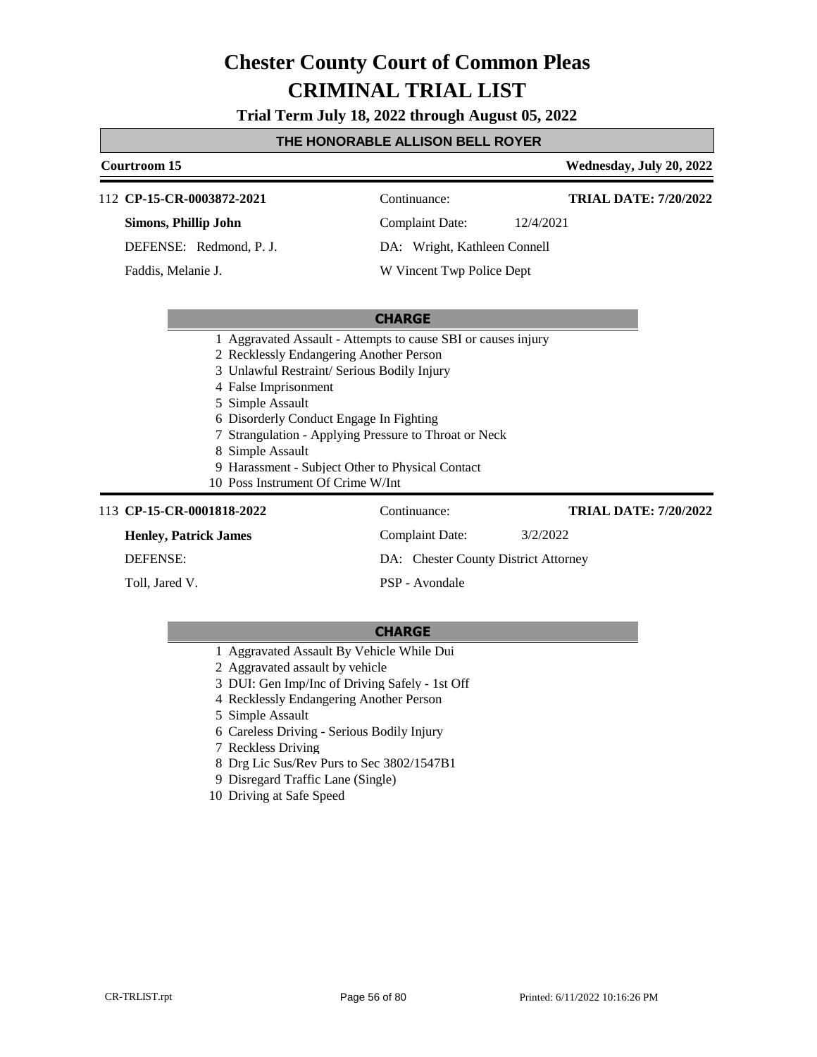**Trial Term July 18, 2022 through August 05, 2022**

#### **THE HONORABLE ALLISON BELL ROYER**

### **Courtroom 15 Wednesday, July 20, 2022 CHARGE** 112 **CP-15-CR-0003872-2021** Continuance: **Simons, Phillip John** DEFENSE: Redmond, P. J. Complaint Date: 12/4/2021 DA: Wright, Kathleen Connell W Vincent Twp Police Dept **TRIAL DATE: 7/20/2022** Faddis, Melanie J. 1 Aggravated Assault - Attempts to cause SBI or causes injury 2 Recklessly Endangering Another Person 3 Unlawful Restraint/ Serious Bodily Injury 4 False Imprisonment 5 Simple Assault 6 Disorderly Conduct Engage In Fighting 7 Strangulation - Applying Pressure to Throat or Neck 8 Simple Assault 9 Harassment - Subject Other to Physical Contact 10 Poss Instrument Of Crime W/Int 113 **CP-15-CR-0001818-2022** Continuance: **Henley, Patrick James** DEFENSE: Complaint Date: 3/2/2022 DA: Chester County District Attorney **TRIAL DATE: 7/20/2022**

Toll, Jared V.

PSP - Avondale

- 1 Aggravated Assault By Vehicle While Dui
- 2 Aggravated assault by vehicle
- 3 DUI: Gen Imp/Inc of Driving Safely 1st Off
- 4 Recklessly Endangering Another Person
- 5 Simple Assault
- 6 Careless Driving Serious Bodily Injury
- 7 Reckless Driving
- 8 Drg Lic Sus/Rev Purs to Sec 3802/1547B1
- 9 Disregard Traffic Lane (Single)
- 10 Driving at Safe Speed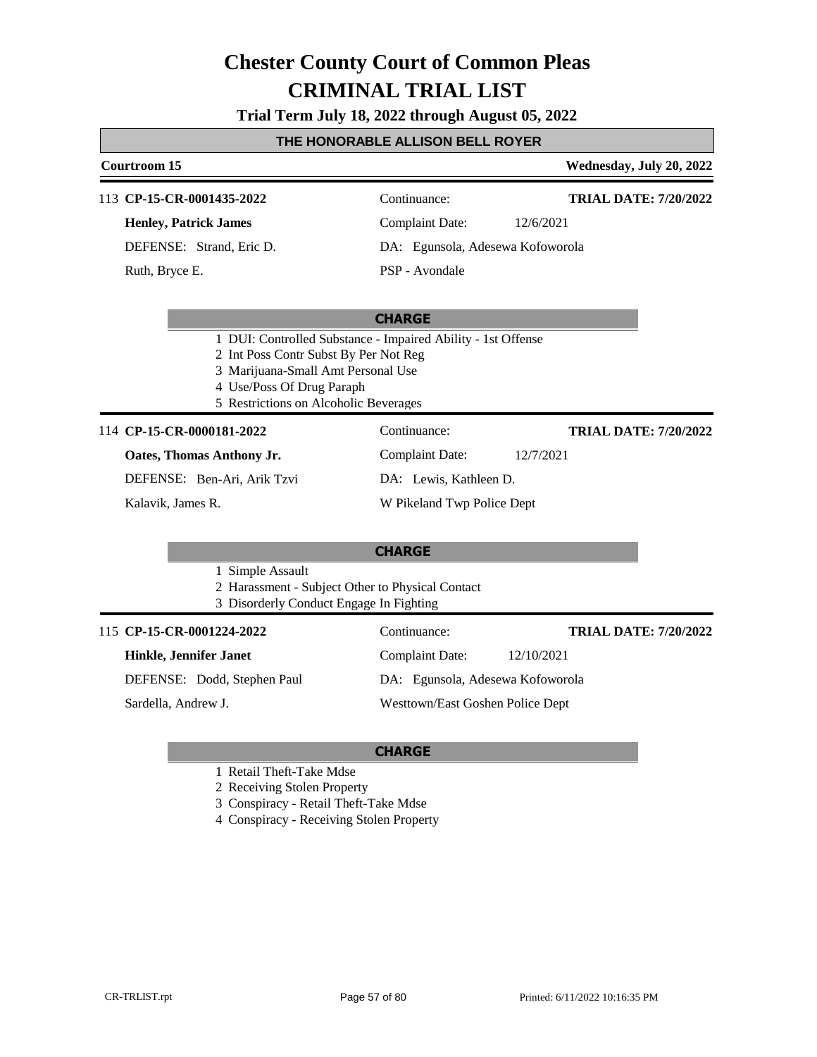**Trial Term July 18, 2022 through August 05, 2022**

### **THE HONORABLE ALLISON BELL ROYER Courtroom 15 Wednesday, July 20, 2022**

#### **CHARGE** 113 **CP-15-CR-0001435-2022** Continuance: **Henley, Patrick James** DEFENSE: Strand, Eric D. Complaint Date: 12/6/2021 DA: Egunsola, Adesewa Kofoworola PSP - Avondale **TRIAL DATE: 7/20/2022** Ruth, Bryce E. 1 DUI: Controlled Substance - Impaired Ability - 1st Offense 2 Int Poss Contr Subst By Per Not Reg 3 Marijuana-Small Amt Personal Use 4 Use/Poss Of Drug Paraph 5 Restrictions on Alcoholic Beverages 114 **CP-15-CR-0000181-2022** Continuance: **Oates, Thomas Anthony Jr.** DEFENSE: Ben-Ari, Arik Tzvi Complaint Date: 12/7/2021 DA: Lewis, Kathleen D. W Pikeland Twp Police Dept **TRIAL DATE: 7/20/2022** Kalavik, James R.

**CHARGE**

1 Simple Assault

2 Harassment - Subject Other to Physical Contact

3 Disorderly Conduct Engage In Fighting

#### 115 **CP-15-CR-0001224-2022** Continuance:

#### **Hinkle, Jennifer Janet**

DEFENSE: Dodd, Stephen Paul

Sardella, Andrew J.

DA: Egunsola, Adesewa Kofoworola Westtown/East Goshen Police Dept

Complaint Date: 12/10/2021

#### **CHARGE**

1 Retail Theft-Take Mdse

2 Receiving Stolen Property

3 Conspiracy - Retail Theft-Take Mdse

4 Conspiracy - Receiving Stolen Property

**TRIAL DATE: 7/20/2022**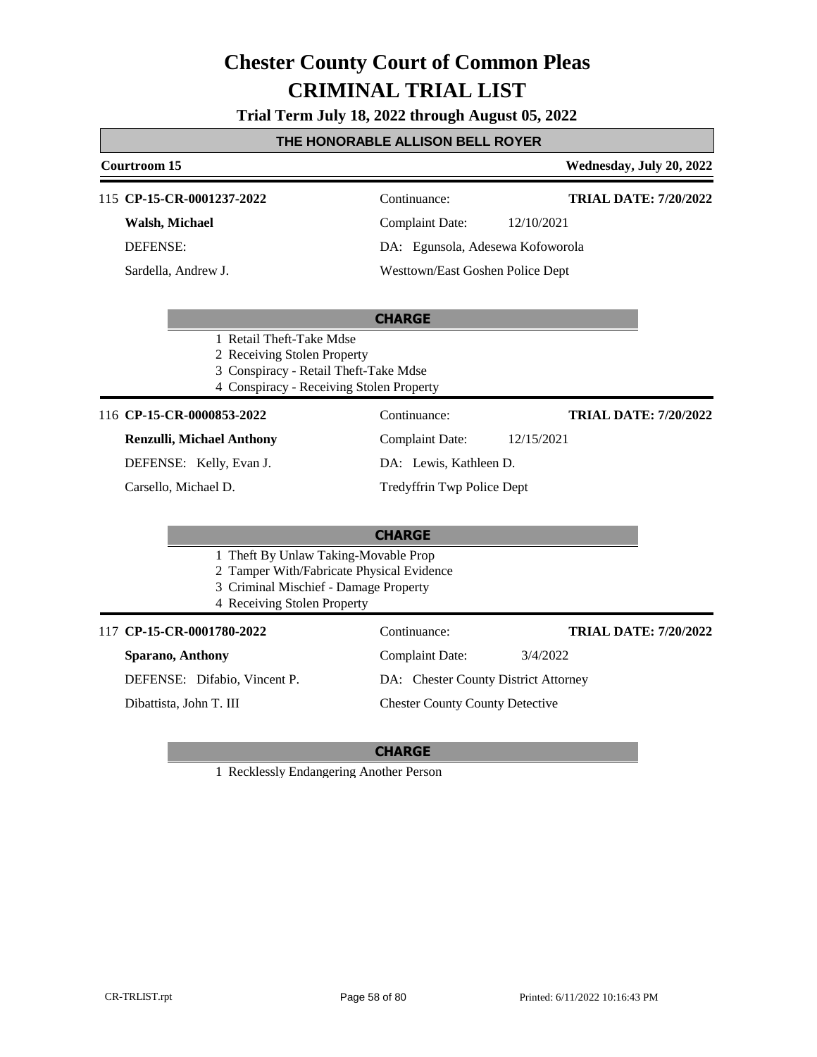**Trial Term July 18, 2022 through August 05, 2022**

### **THE HONORABLE ALLISON BELL ROYER**

| Courtroom 15                                                                                                                                              |                                      | Wednesday, July 20, 2022     |
|-----------------------------------------------------------------------------------------------------------------------------------------------------------|--------------------------------------|------------------------------|
| 115 CP-15-CR-0001237-2022                                                                                                                                 | Continuance:                         | <b>TRIAL DATE: 7/20/2022</b> |
| Walsh, Michael                                                                                                                                            | <b>Complaint Date:</b>               | 12/10/2021                   |
| <b>DEFENSE:</b>                                                                                                                                           | DA: Egunsola, Adesewa Kofoworola     |                              |
| Sardella, Andrew J.                                                                                                                                       | Westtown/East Goshen Police Dept     |                              |
|                                                                                                                                                           | <b>CHARGE</b>                        |                              |
| 1 Retail Theft-Take Mdse<br>2 Receiving Stolen Property<br>3 Conspiracy - Retail Theft-Take Mdse<br>4 Conspiracy - Receiving Stolen Property              |                                      |                              |
| 116 CP-15-CR-0000853-2022                                                                                                                                 | Continuance:                         | <b>TRIAL DATE: 7/20/2022</b> |
| <b>Renzulli, Michael Anthony</b>                                                                                                                          | <b>Complaint Date:</b>               | 12/15/2021                   |
| DEFENSE: Kelly, Evan J.                                                                                                                                   | DA: Lewis, Kathleen D.               |                              |
| Carsello, Michael D.                                                                                                                                      | Tredyffrin Twp Police Dept           |                              |
|                                                                                                                                                           | <b>CHARGE</b>                        |                              |
| 1 Theft By Unlaw Taking-Movable Prop<br>2 Tamper With/Fabricate Physical Evidence<br>3 Criminal Mischief - Damage Property<br>4 Receiving Stolen Property |                                      |                              |
| 117 CP-15-CR-0001780-2022                                                                                                                                 | Continuance:                         | <b>TRIAL DATE: 7/20/2022</b> |
| Sparano, Anthony                                                                                                                                          | <b>Complaint Date:</b>               | 3/4/2022                     |
| DEFENSE: Difabio, Vincent P.                                                                                                                              | DA: Chester County District Attorney |                              |

Dibattista, John T. III

### **CHARGE**

Chester County County Detective

1 Recklessly Endangering Another Person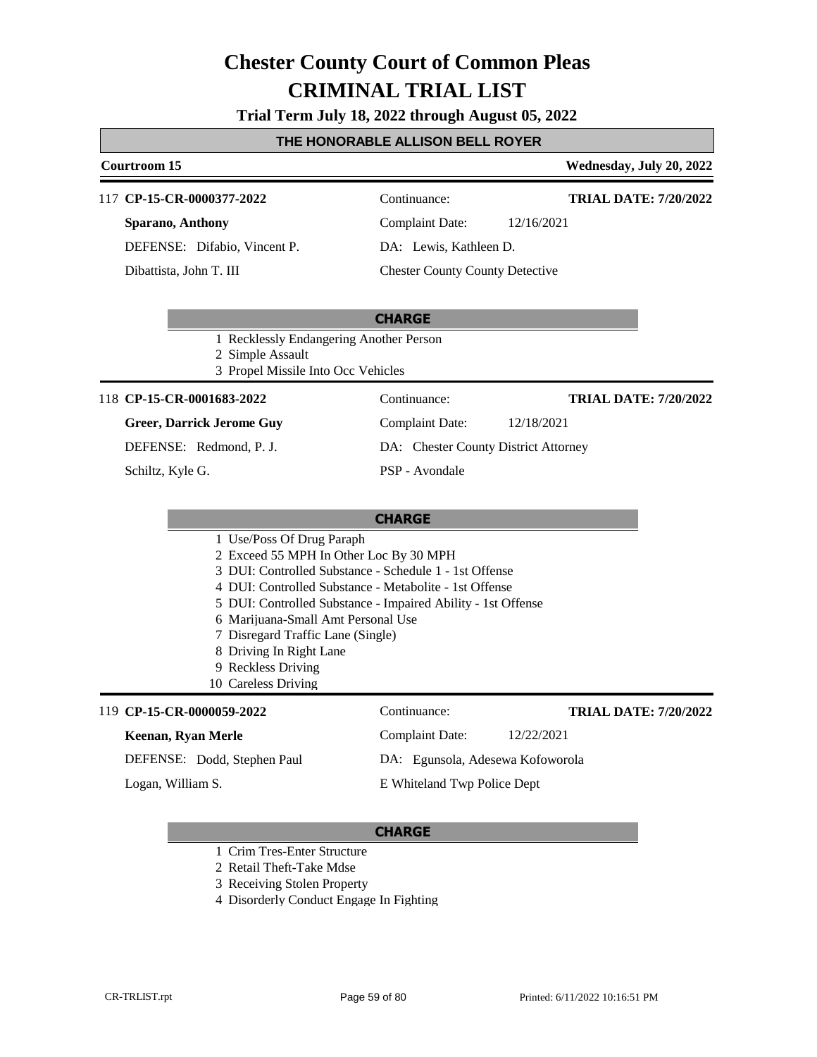#### **Trial Term July 18, 2022 through August 05, 2022**

#### **THE HONORABLE ALLISON BELL ROYER**

### **Courtroom 15 Wednesday, July 20, 2022**

#### 117 **CP-15-CR-0000377-2022** Continuance:

**Sparano, Anthony** DEFENSE: Difabio, Vincent P. Dibattista, John T. III

Complaint Date: 12/16/2021

DA: Lewis, Kathleen D.

Chester County County Detective

### **CHARGE**

1 Recklessly Endangering Another Person

2 Simple Assault

3 Propel Missile Into Occ Vehicles

#### 118 **CP-15-CR-0001683-2022** Continuance:

#### **Greer, Darrick Jerome Guy**

DEFENSE: Redmond, P. J.

Schiltz, Kyle G.

**TRIAL DATE: 7/20/2022**

**TRIAL DATE: 7/20/2022**

### Complaint Date: 12/18/2021 DA: Chester County District Attorney

PSP - Avondale

#### **CHARGE**

- 1 Use/Poss Of Drug Paraph
- 2 Exceed 55 MPH In Other Loc By 30 MPH
- 3 DUI: Controlled Substance Schedule 1 1st Offense
- 4 DUI: Controlled Substance Metabolite 1st Offense
- 5 DUI: Controlled Substance Impaired Ability 1st Offense
- 6 Marijuana-Small Amt Personal Use
- 7 Disregard Traffic Lane (Single)
- 8 Driving In Right Lane
- 9 Reckless Driving
- 10 Careless Driving

#### 119 **CP-15-CR-0000059-2022** Continuance:

#### **Keenan, Ryan Merle**

DEFENSE: Dodd, Stephen Paul

Logan, William S.

DA: Egunsola, Adesewa Kofoworola E Whiteland Twp Police Dept

#### **CHARGE**

- 1 Crim Tres-Enter Structure
- 2 Retail Theft-Take Mdse
- 3 Receiving Stolen Property
- 4 Disorderly Conduct Engage In Fighting

Complaint Date: 12/22/2021

**TRIAL DATE: 7/20/2022**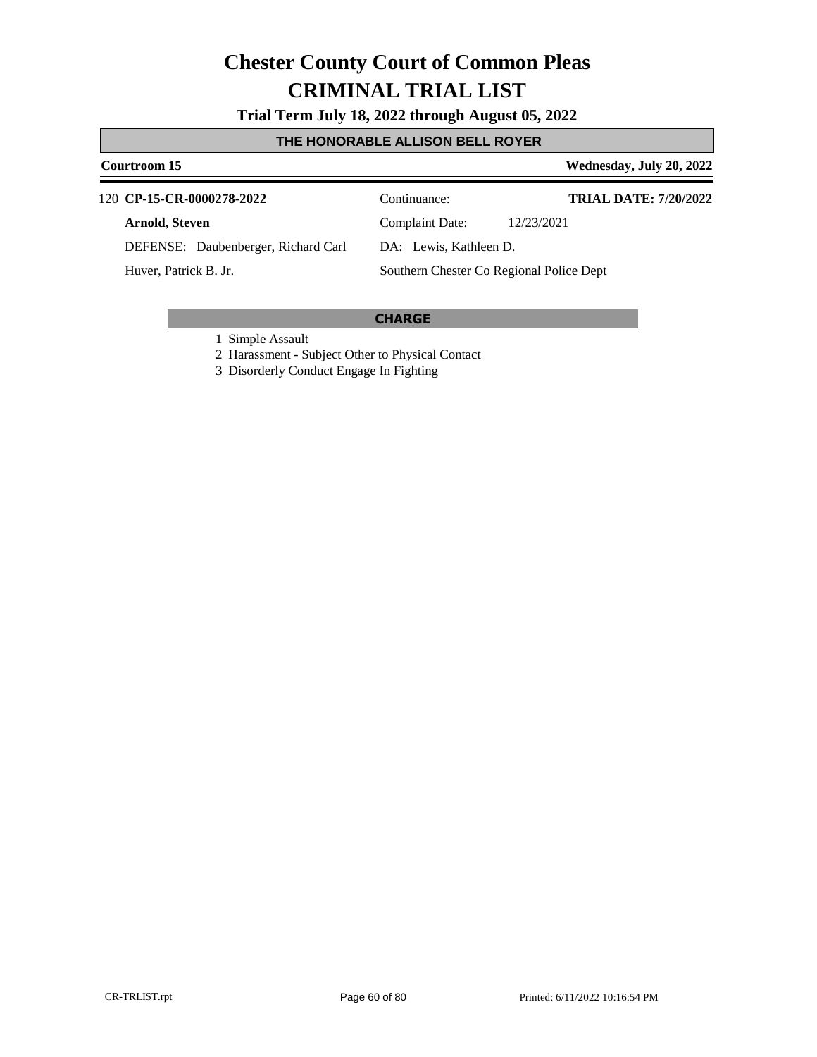**Trial Term July 18, 2022 through August 05, 2022**

### **THE HONORABLE ALLISON BELL ROYER**

#### **Courtroom 15 Wednesday, July 20, 2022 CP-15-CR-0000278-2022** 120 Continuance: **Arnold, Steven** DEFENSE: Daubenberger, Richard Carl Complaint Date: 12/23/2021 DA: Lewis, Kathleen D. Southern Chester Co Regional Police Dept **TRIAL DATE: 7/20/2022** Huver, Patrick B. Jr.

#### **CHARGE**

1 Simple Assault

2 Harassment - Subject Other to Physical Contact

3 Disorderly Conduct Engage In Fighting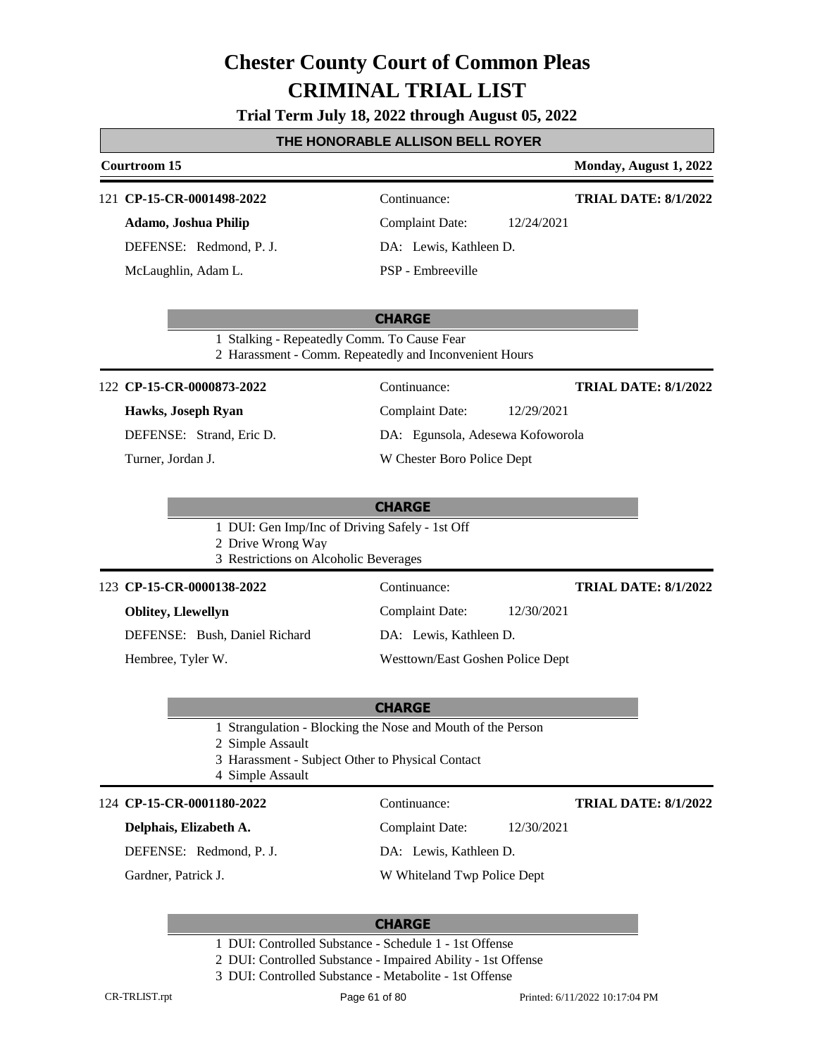**Trial Term July 18, 2022 through August 05, 2022**

#### **THE HONORABLE ALLISON BELL ROYER**

### **Courtroom 15 Monday, August 1, 2022 CHARGE** 121 **CP-15-CR-0001498-2022** Continuance: **Adamo, Joshua Philip** DEFENSE: Redmond, P. J. Complaint Date: 12/24/2021 DA: Lewis, Kathleen D. PSP - Embreeville **TRIAL DATE: 8/1/2022** McLaughlin, Adam L. 1 Stalking - Repeatedly Comm. To Cause Fear 2 Harassment - Comm. Repeatedly and Inconvenient Hours **CHARGE** 122 **CP-15-CR-0000873-2022** Continuance: **Hawks, Joseph Ryan** DEFENSE: Strand, Eric D. Complaint Date: 12/29/2021 DA: Egunsola, Adesewa Kofoworola W Chester Boro Police Dept **TRIAL DATE: 8/1/2022** Turner, Jordan J. 1 DUI: Gen Imp/Inc of Driving Safely - 1st Off 2 Drive Wrong Way 3 Restrictions on Alcoholic Beverages **CHARGE CP-15-CR-0000138-2022** 123 Continuance: **Oblitey, Llewellyn** DEFENSE: Bush, Daniel Richard Complaint Date: 12/30/2021 DA: Lewis, Kathleen D. Westtown/East Goshen Police Dept **TRIAL DATE: 8/1/2022** Hembree, Tyler W. 1 Strangulation - Blocking the Nose and Mouth of the Person 2 Simple Assault 3 Harassment - Subject Other to Physical Contact 4 Simple Assault 124 **CP-15-CR-0001180-2022** Continuance: **Delphais, Elizabeth A.**

DEFENSE: Redmond, P. J.

Gardner, Patrick J.

**TRIAL DATE: 8/1/2022**

Complaint Date: 12/30/2021

DA: Lewis, Kathleen D.

W Whiteland Twp Police Dept

- 1 DUI: Controlled Substance Schedule 1 1st Offense
- 2 DUI: Controlled Substance Impaired Ability 1st Offense
- 3 DUI: Controlled Substance Metabolite 1st Offense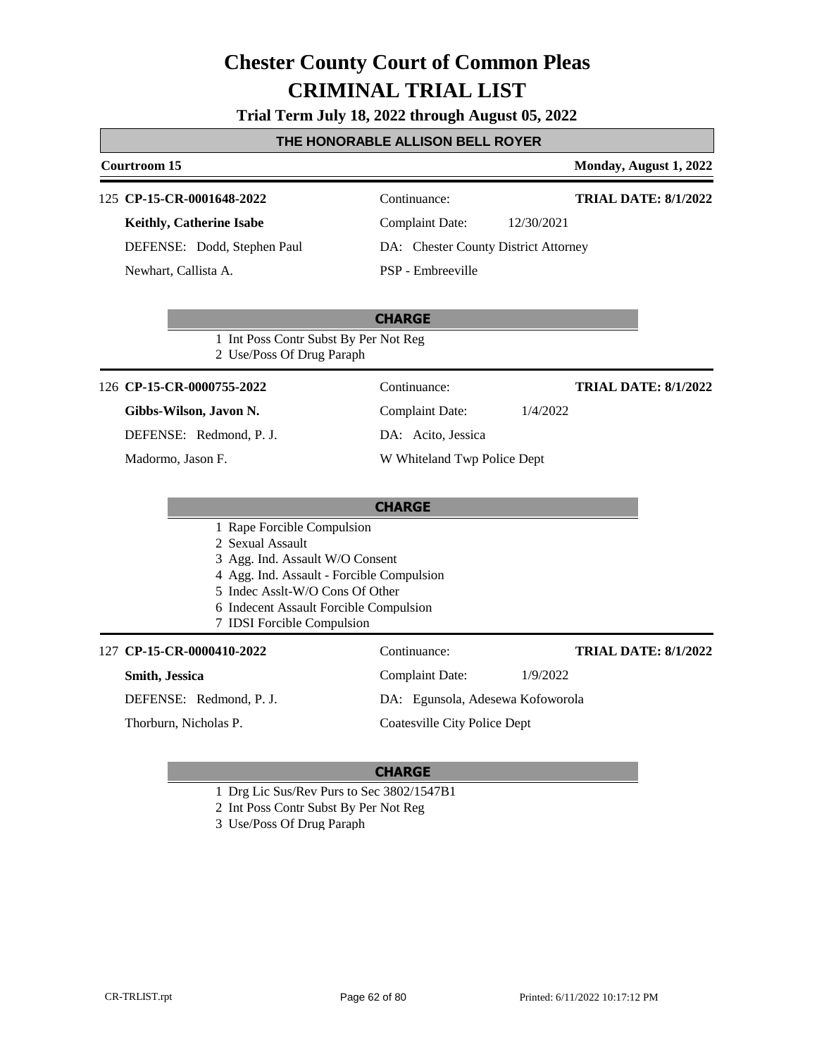**Trial Term July 18, 2022 through August 05, 2022**

### **THE HONORABLE ALLISON BELL ROYER**

|                                                                                                                                                                                                                                           | Courtroom 15                                                       |                                      |            | Monday, August 1, 2022      |
|-------------------------------------------------------------------------------------------------------------------------------------------------------------------------------------------------------------------------------------------|--------------------------------------------------------------------|--------------------------------------|------------|-----------------------------|
|                                                                                                                                                                                                                                           | 125 CP-15-CR-0001648-2022                                          | Continuance:                         |            | <b>TRIAL DATE: 8/1/2022</b> |
|                                                                                                                                                                                                                                           | <b>Keithly, Catherine Isabe</b>                                    | <b>Complaint Date:</b>               | 12/30/2021 |                             |
|                                                                                                                                                                                                                                           | DEFENSE: Dodd, Stephen Paul                                        | DA: Chester County District Attorney |            |                             |
|                                                                                                                                                                                                                                           | Newhart, Callista A.                                               | PSP - Embreeville                    |            |                             |
|                                                                                                                                                                                                                                           |                                                                    | <b>CHARGE</b>                        |            |                             |
|                                                                                                                                                                                                                                           | 1 Int Poss Contr Subst By Per Not Reg<br>2 Use/Poss Of Drug Paraph |                                      |            |                             |
|                                                                                                                                                                                                                                           | 126 CP-15-CR-0000755-2022                                          | Continuance:                         |            | <b>TRIAL DATE: 8/1/2022</b> |
|                                                                                                                                                                                                                                           | Gibbs-Wilson, Javon N.                                             | <b>Complaint Date:</b>               | 1/4/2022   |                             |
|                                                                                                                                                                                                                                           | DEFENSE: Redmond, P. J.                                            | DA: Acito, Jessica                   |            |                             |
|                                                                                                                                                                                                                                           | Madormo, Jason F.                                                  | W Whiteland Twp Police Dept          |            |                             |
|                                                                                                                                                                                                                                           |                                                                    | <b>CHARGE</b>                        |            |                             |
| 1 Rape Forcible Compulsion<br>2 Sexual Assault<br>3 Agg. Ind. Assault W/O Consent<br>4 Agg. Ind. Assault - Forcible Compulsion<br>5 Indec Asslt-W/O Cons Of Other<br>6 Indecent Assault Forcible Compulsion<br>7 IDSI Forcible Compulsion |                                                                    |                                      |            |                             |
|                                                                                                                                                                                                                                           | 127 CP-15-CR-0000410-2022                                          | Continuance:                         |            | <b>TRIAL DATE: 8/1/2022</b> |
|                                                                                                                                                                                                                                           | Smith, Jessica                                                     | <b>Complaint Date:</b>               | 1/9/2022   |                             |
|                                                                                                                                                                                                                                           | DEFENSE: Redmond, P. J.                                            | DA: Egunsola, Adesewa Kofoworola     |            |                             |
|                                                                                                                                                                                                                                           | Thorburn, Nicholas P.                                              | Coatesville City Police Dept         |            |                             |

- 1 Drg Lic Sus/Rev Purs to Sec 3802/1547B1
- 2 Int Poss Contr Subst By Per Not Reg
- 3 Use/Poss Of Drug Paraph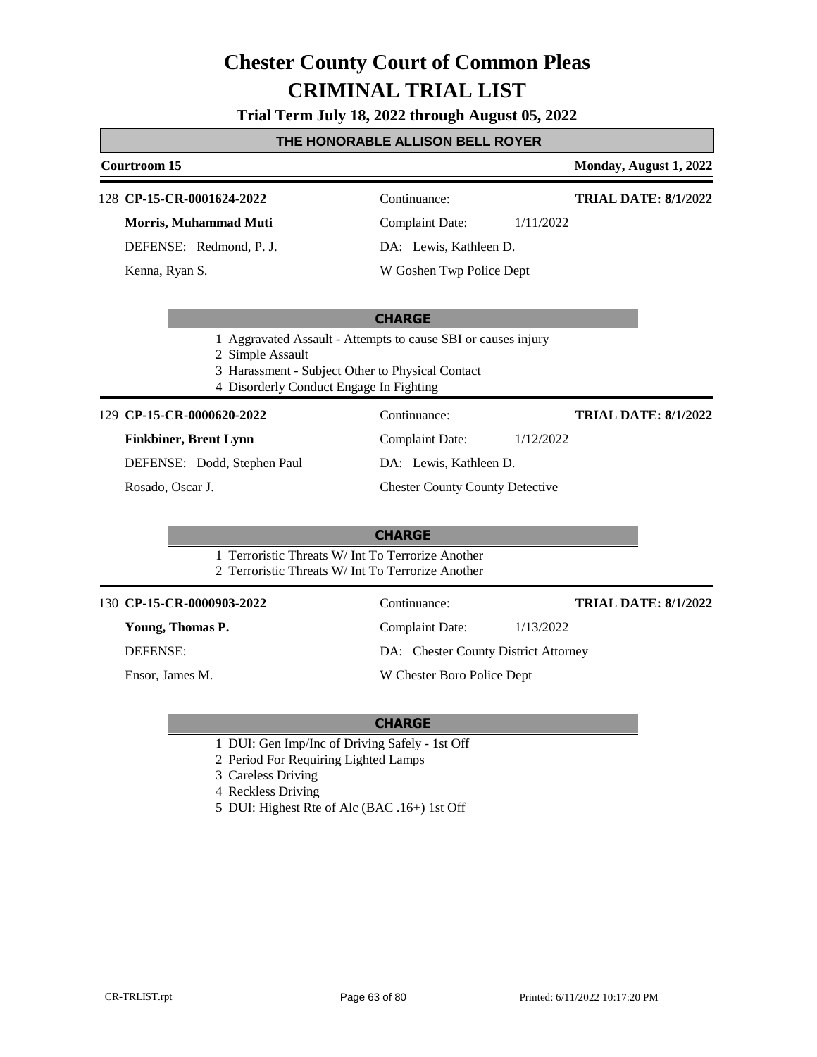**Trial Term July 18, 2022 through August 05, 2022**

#### **THE HONORABLE ALLISON BELL ROYER**

## **Courtroom 15 Monday, August 1, 2022 CP-15-CR-0001624-2022** 128 Continuance: **TRIAL DATE: 8/1/2022**

**Morris, Muhammad Muti**

DEFENSE: Redmond, P. J.

Kenna, Ryan S.

Complaint Date: 1/11/2022

DA: Lewis, Kathleen D.

W Goshen Twp Police Dept

#### **CHARGE**

1 Aggravated Assault - Attempts to cause SBI or causes injury

2 Simple Assault

- 3 Harassment Subject Other to Physical Contact
- 4 Disorderly Conduct Engage In Fighting

#### **CP-15-CR-0000620-2022** 129 Continuance:

### **Finkbiner, Brent Lynn**

DEFENSE: Dodd, Stephen Paul

Rosado, Oscar J.

DA: Lewis, Kathleen D. Chester County County Detective

Complaint Date: 1/12/2022

### **CHARGE**

- 1 Terroristic Threats W/ Int To Terrorize Another
- 2 Terroristic Threats W/ Int To Terrorize Another

#### **CP-15-CR-0000903-2022** 130 Continuance:

**Young, Thomas P.**

DEFENSE:

Ensor, James M.

DA: Chester County District Attorney

W Chester Boro Police Dept

#### **CHARGE**

- 1 DUI: Gen Imp/Inc of Driving Safely 1st Off
- 2 Period For Requiring Lighted Lamps
- 3 Careless Driving
- 4 Reckless Driving
- 5 DUI: Highest Rte of Alc (BAC .16+) 1st Off

Complaint Date: 1/13/2022 **TRIAL DATE: 8/1/2022**

**TRIAL DATE: 8/1/2022**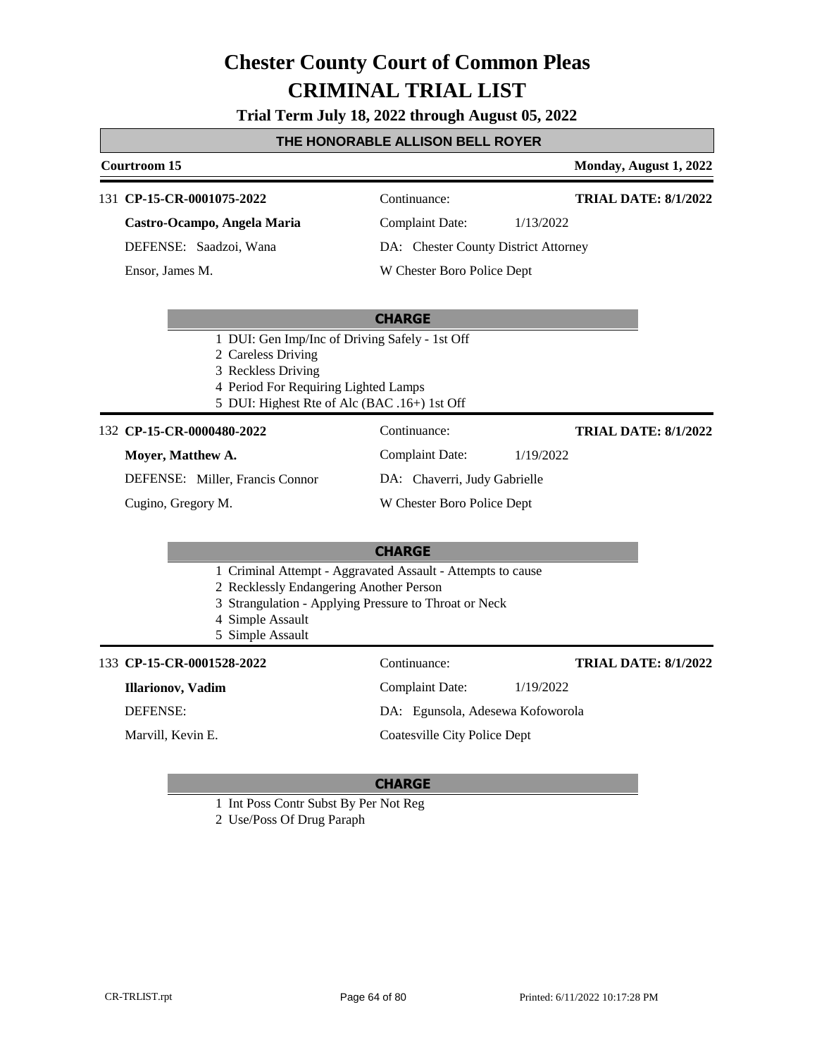**Trial Term July 18, 2022 through August 05, 2022**

#### **THE HONORABLE ALLISON BELL ROYER**

#### **Courtroom 15 Monday, August 1, 2022**

**TRIAL DATE: 8/1/2022**

#### 131 **CP-15-CR-0001075-2022** Continuance:

**Castro-Ocampo, Angela Maria**

DEFENSE: Saadzoi, Wana

Ensor, James M.

Complaint Date: 1/13/2022

DA: Chester County District Attorney

Complaint Date: 1/19/2022

DA: Chaverri, Judy Gabrielle W Chester Boro Police Dept

W Chester Boro Police Dept

#### **CHARGE**

- 1 DUI: Gen Imp/Inc of Driving Safely 1st Off
- 2 Careless Driving
- 3 Reckless Driving
- 4 Period For Requiring Lighted Lamps
- 5 DUI: Highest Rte of Alc (BAC .16+) 1st Off

#### **CP-15-CR-0000480-2022** 132 Continuance:

#### **Moyer, Matthew A.**

DEFENSE: Miller, Francis Connor

Cugino, Gregory M.

#### **CHARGE**

- 1 Criminal Attempt Aggravated Assault Attempts to cause
- 2 Recklessly Endangering Another Person
- 3 Strangulation Applying Pressure to Throat or Neck
- 4 Simple Assault
- 5 Simple Assault

#### 133 **CP-15-CR-0001528-2022** Continuance:

**Illarionov, Vadim**

DEFENSE:

Marvill, Kevin E.

**TRIAL DATE: 8/1/2022**

**TRIAL DATE: 8/1/2022**

Coatesville City Police Dept

Complaint Date: 1/19/2022 DA: Egunsola, Adesewa Kofoworola

- 1 Int Poss Contr Subst By Per Not Reg
- 2 Use/Poss Of Drug Paraph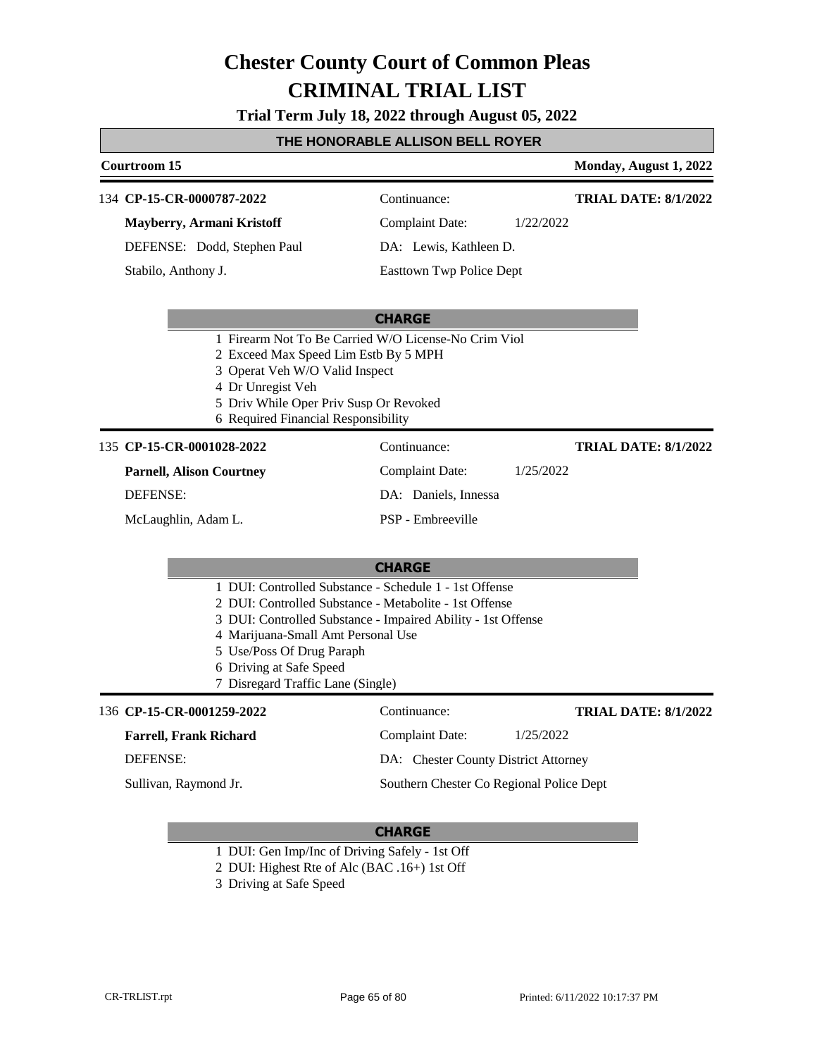**Trial Term July 18, 2022 through August 05, 2022**

#### **THE HONORABLE ALLISON BELL ROYER**

### **Courtroom 15 Monday, August 1, 2022 CHARGE** 134 **CP-15-CR-0000787-2022** Continuance: **Mayberry, Armani Kristoff** DEFENSE: Dodd, Stephen Paul Complaint Date: 1/22/2022 DA: Lewis, Kathleen D. Easttown Twp Police Dept **TRIAL DATE: 8/1/2022** Stabilo, Anthony J. 1 Firearm Not To Be Carried W/O License-No Crim Viol 2 Exceed Max Speed Lim Estb By 5 MPH 3 Operat Veh W/O Valid Inspect 4 Dr Unregist Veh 5 Driv While Oper Priv Susp Or Revoked 6 Required Financial Responsibility **CHARGE** 135 **CP-15-CR-0001028-2022** Continuance: **Parnell, Alison Courtney** DEFENSE: Complaint Date: 1/25/2022 DA: Daniels, Innessa PSP - Embreeville **TRIAL DATE: 8/1/2022** McLaughlin, Adam L. 1 DUI: Controlled Substance - Schedule 1 - 1st Offense 2 DUI: Controlled Substance - Metabolite - 1st Offense 3 DUI: Controlled Substance - Impaired Ability - 1st Offense 4 Marijuana-Small Amt Personal Use 5 Use/Poss Of Drug Paraph 6 Driving at Safe Speed 7 Disregard Traffic Lane (Single) 136 **CP-15-CR-0001259-2022** Continuance: **Farrell, Frank Richard** DEFENSE: Complaint Date: 1/25/2022 DA: Chester County District Attorney Southern Chester Co Regional Police Dept **TRIAL DATE: 8/1/2022** Sullivan, Raymond Jr.

- 1 DUI: Gen Imp/Inc of Driving Safely 1st Off
- 2 DUI: Highest Rte of Alc (BAC .16+) 1st Off
- 3 Driving at Safe Speed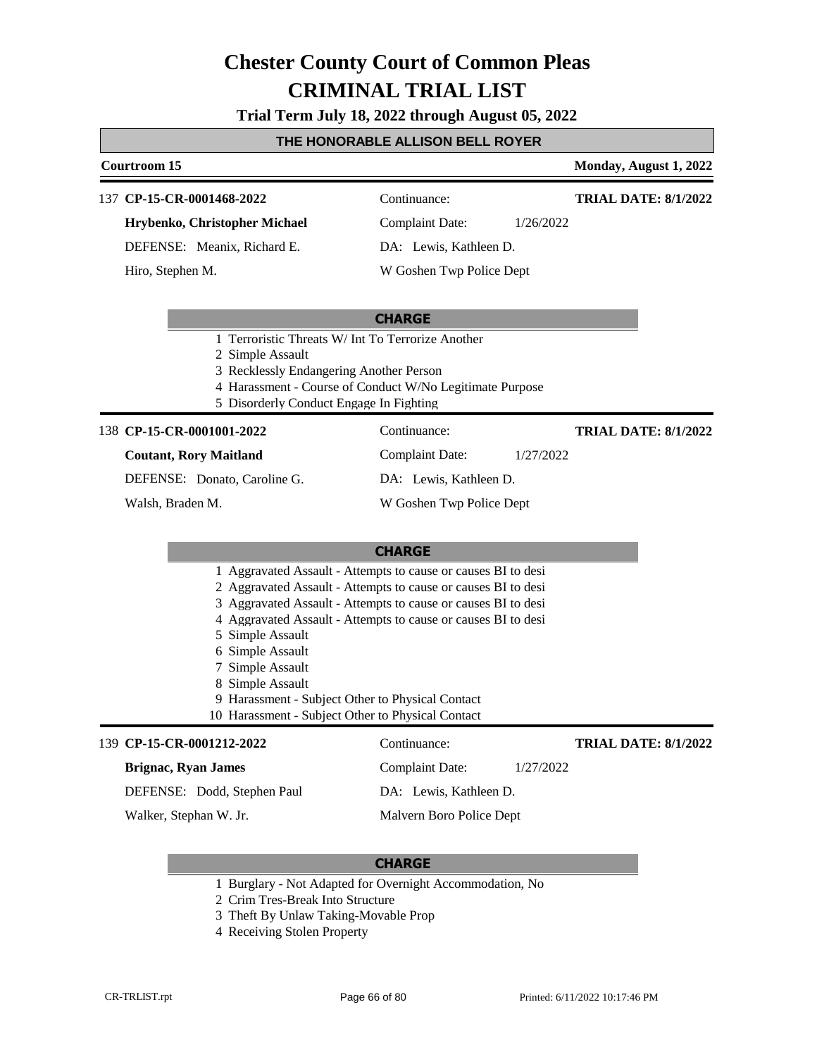#### **Trial Term July 18, 2022 through August 05, 2022**

#### **THE HONORABLE ALLISON BELL ROYER**

#### **Courtroom 15 Monday, August 1, 2022**

**TRIAL DATE: 8/1/2022**

**TRIAL DATE: 8/1/2022**

137 **CP-15-CR-0001468-2022** Continuance:

**Hrybenko, Christopher Michael** DEFENSE: Meanix, Richard E.

Hiro, Stephen M.

Complaint Date: 1/26/2022

DA: Lewis, Kathleen D.

W Goshen Twp Police Dept

#### **CHARGE**

1 Terroristic Threats W/ Int To Terrorize Another

2 Simple Assault

- 3 Recklessly Endangering Another Person
- 4 Harassment Course of Conduct W/No Legitimate Purpose
- 5 Disorderly Conduct Engage In Fighting

#### 138 **CP-15-CR-0001001-2022** Continuance:

#### **Coutant, Rory Maitland**

DEFENSE: Donato, Caroline G.

Walsh, Braden M.

#### **CHARGE**

- 1 Aggravated Assault Attempts to cause or causes BI to desi
- 2 Aggravated Assault Attempts to cause or causes BI to desi
- 3 Aggravated Assault Attempts to cause or causes BI to desi
- 4 Aggravated Assault Attempts to cause or causes BI to desi
- 5 Simple Assault
- 6 Simple Assault
- 7 Simple Assault
- 8 Simple Assault
- 9 Harassment Subject Other to Physical Contact
- 10 Harassment Subject Other to Physical Contact

#### **CP-15-CR-0001212-2022** 139 Continuance:

#### **Brignac, Ryan James**

DEFENSE: Dodd, Stephen Paul

Walker, Stephan W. Jr.

#### **CHARGE**

- 1 Burglary Not Adapted for Overnight Accommodation, No
- 2 Crim Tres-Break Into Structure
- 3 Theft By Unlaw Taking-Movable Prop
- 4 Receiving Stolen Property

DA: Lewis, Kathleen D. W Goshen Twp Police Dept

Complaint Date: 1/27/2022

**TRIAL DATE: 8/1/2022**

Complaint Date: 1/27/2022

DA: Lewis, Kathleen D.

Malvern Boro Police Dept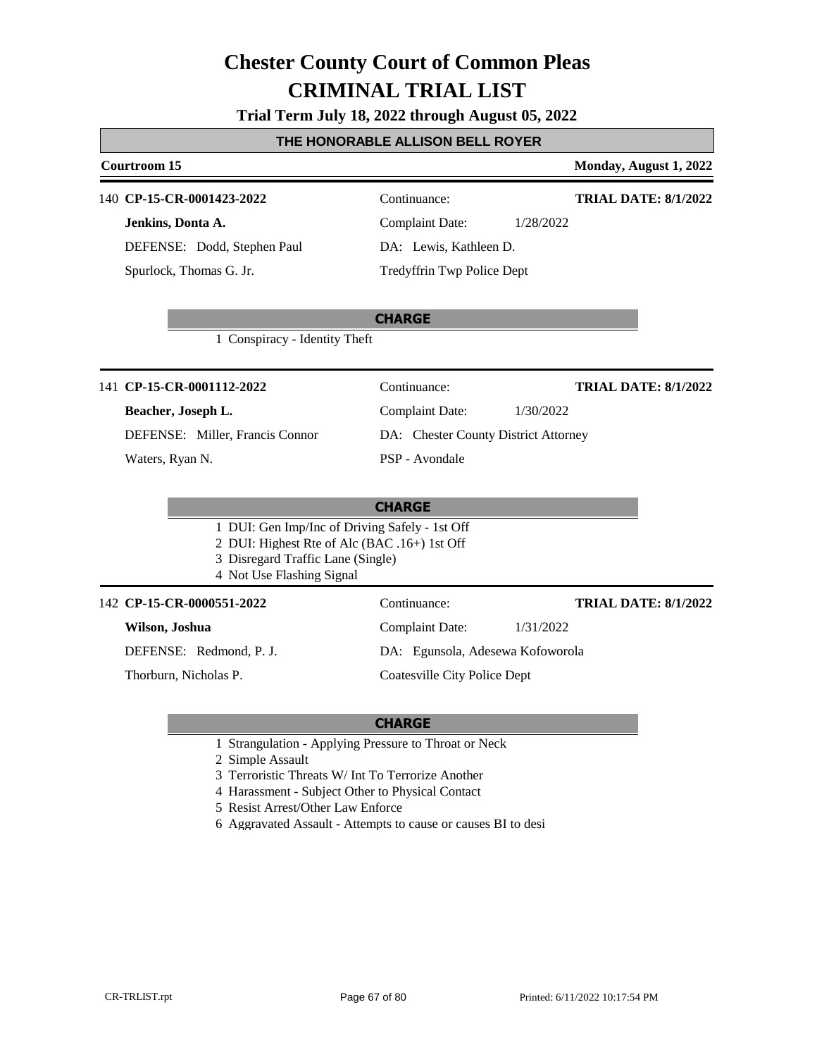### **Trial Term July 18, 2022 through August 05, 2022**

### **THE HONORABLE ALLISON BELL ROYER**

#### **Courtroom 15 Monday, August 1, 2022**

### **CP-15-CR-0001423-2022** 140 Continuance:

**Jenkins, Donta A.** DEFENSE: Dodd, Stephen Paul Spurlock, Thomas G. Jr.

### **TRIAL DATE: 8/1/2022**

Complaint Date: 1/28/2022 DA: Lewis, Kathleen D. Tredyffrin Twp Police Dept

#### **CHARGE**

1 Conspiracy - Identity Theft

### 141 **CP-15-CR-0001112-2022** Continuance:

### **Beacher, Joseph L.**

DEFENSE: Miller, Francis Connor

Waters, Ryan N.

# Complaint Date: 1/30/2022

**TRIAL DATE: 8/1/2022**

**TRIAL DATE: 8/1/2022**

DA: Chester County District Attorney

PSP - Avondale

### **CHARGE**

- 1 DUI: Gen Imp/Inc of Driving Safely 1st Off
- 2 DUI: Highest Rte of Alc (BAC .16+) 1st Off
- 3 Disregard Traffic Lane (Single)
- 4 Not Use Flashing Signal

### 142 **CP-15-CR-0000551-2022** Continuance:

### **Wilson, Joshua**

DEFENSE: Redmond, P. J.

Thorburn, Nicholas P.

Complaint Date: 1/31/2022

DA: Egunsola, Adesewa Kofoworola

Coatesville City Police Dept

- 1 Strangulation Applying Pressure to Throat or Neck
- 2 Simple Assault
- 3 Terroristic Threats W/ Int To Terrorize Another
- 4 Harassment Subject Other to Physical Contact
- 5 Resist Arrest/Other Law Enforce
- 6 Aggravated Assault Attempts to cause or causes BI to desi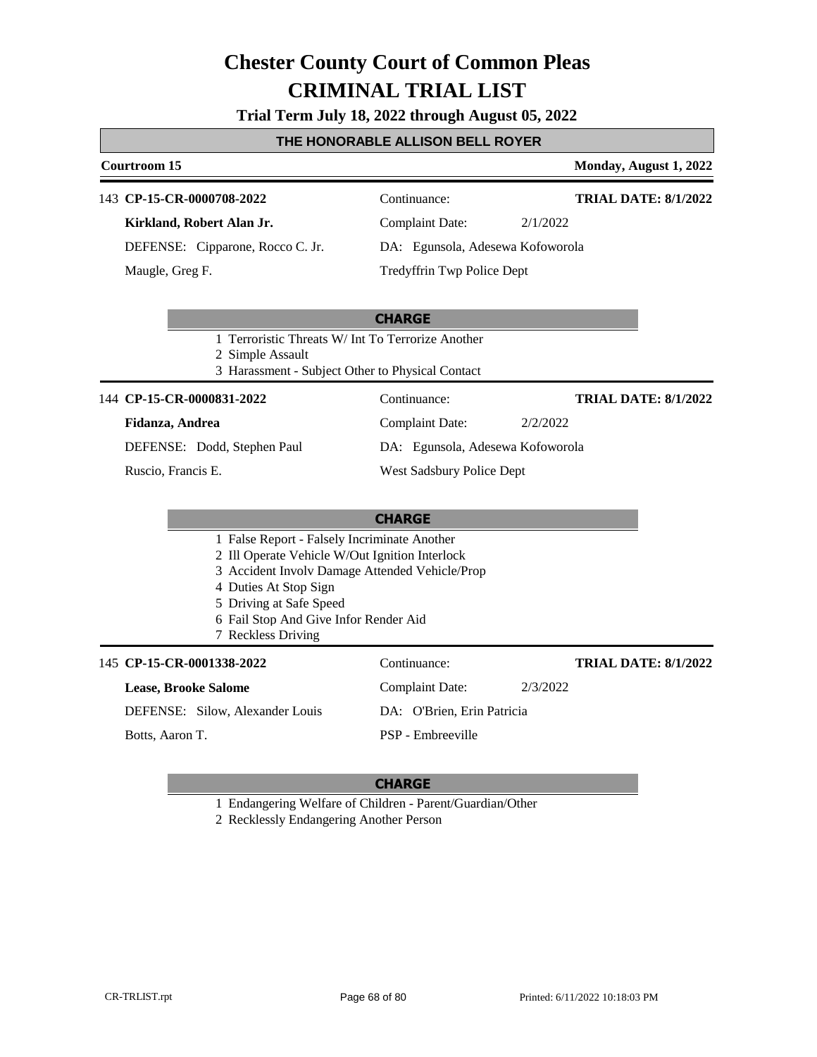### **Trial Term July 18, 2022 through August 05, 2022**

### **THE HONORABLE ALLISON BELL ROYER**

### **Courtroom 15 Monday, August 1, 2022**

### 143 **CP-15-CR-0000708-2022** Continuance:

**Kirkland, Robert Alan Jr.** DEFENSE: Cipparone, Rocco C. Jr. Maugle, Greg F.

# Complaint Date: 2/1/2022

**TRIAL DATE: 8/1/2022**

DA: Egunsola, Adesewa Kofoworola

Tredyffrin Twp Police Dept

|                                                  | <b>CHARGE</b>                                    |                      |
|--------------------------------------------------|--------------------------------------------------|----------------------|
|                                                  | 1 Terroristic Threats W/Int To Terrorize Another |                      |
| 2 Simple Assault                                 |                                                  |                      |
| 3 Harassment - Subject Other to Physical Contact |                                                  |                      |
| 144 CP-15-CR-0000831-2022                        | Continuance:                                     | TRIAL DATE: 8/1/2022 |
| Fidanza, Andrea                                  | Complaint Date:                                  | 2/2/2022             |
| DEFENSE: Dodd, Stephen Paul                      | DA: Egunsola, Adesewa Kofoworola                 |                      |
| Ruscio, Francis E.                               | West Sadsbury Police Dept                        |                      |

|                                                                                                                                                                                                                                                                     | <b>CHARGE</b>              |          |                             |
|---------------------------------------------------------------------------------------------------------------------------------------------------------------------------------------------------------------------------------------------------------------------|----------------------------|----------|-----------------------------|
| 1 False Report - Falsely Incriminate Another<br>2 Ill Operate Vehicle W/Out Ignition Interlock<br>3 Accident Involv Damage Attended Vehicle/Prop<br>4 Duties At Stop Sign<br>5 Driving at Safe Speed<br>6 Fail Stop And Give Infor Render Aid<br>7 Reckless Driving |                            |          |                             |
| 145 CP-15-CR-0001338-2022                                                                                                                                                                                                                                           | Continuance:               |          | <b>TRIAL DATE: 8/1/2022</b> |
| <b>Lease, Brooke Salome</b>                                                                                                                                                                                                                                         | Complaint Date:            | 2/3/2022 |                             |
| DEFENSE: Silow, Alexander Louis                                                                                                                                                                                                                                     | DA: O'Brien, Erin Patricia |          |                             |
| Botts, Aaron T.                                                                                                                                                                                                                                                     | <b>PSP</b> - Embreeville   |          |                             |

### **CHARGE**

1 Endangering Welfare of Children - Parent/Guardian/Other

2 Recklessly Endangering Another Person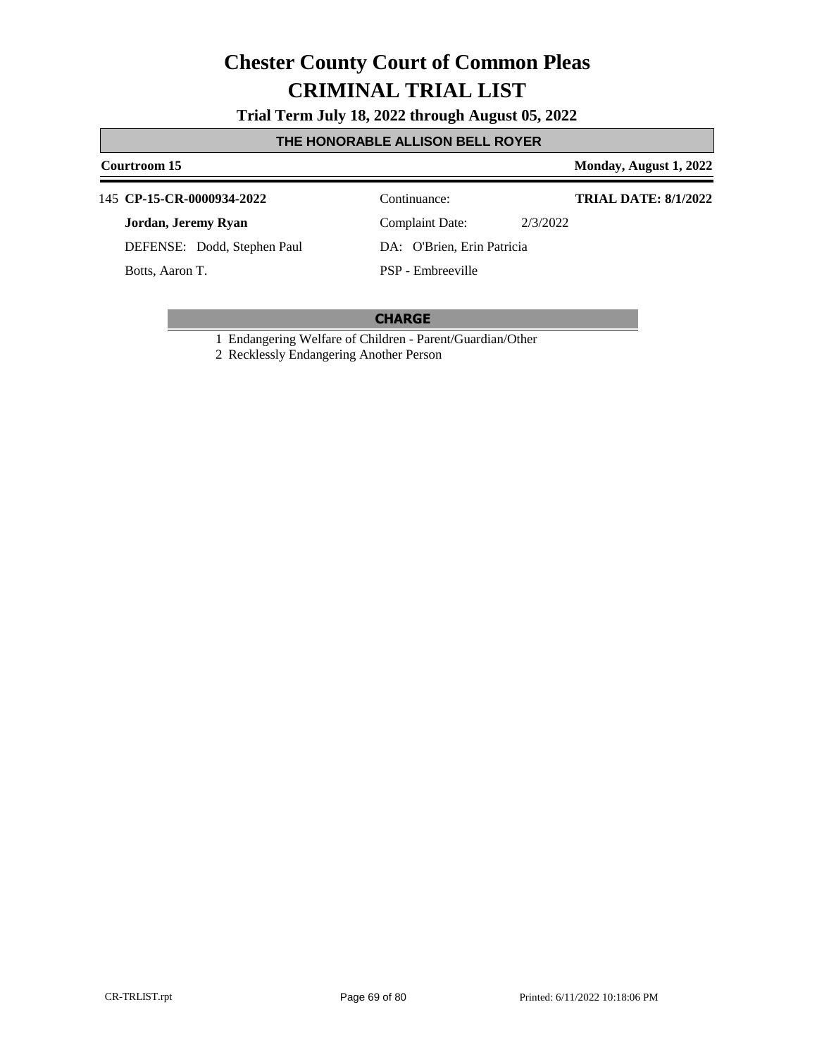**Trial Term July 18, 2022 through August 05, 2022**

### **THE HONORABLE ALLISON BELL ROYER**

### **Courtroom 15 Monday, August 1, 2022**

### 145 **CP-15-CR-0000934-2022** Continuance:

**Jordan, Jeremy Ryan**

DEFENSE: Dodd, Stephen Paul

Botts, Aaron T.

Complaint Date: 2/3/2022

**TRIAL DATE: 8/1/2022**

PSP - Embreeville

DA: O'Brien, Erin Patricia

### **CHARGE**

1 Endangering Welfare of Children - Parent/Guardian/Other

2 Recklessly Endangering Another Person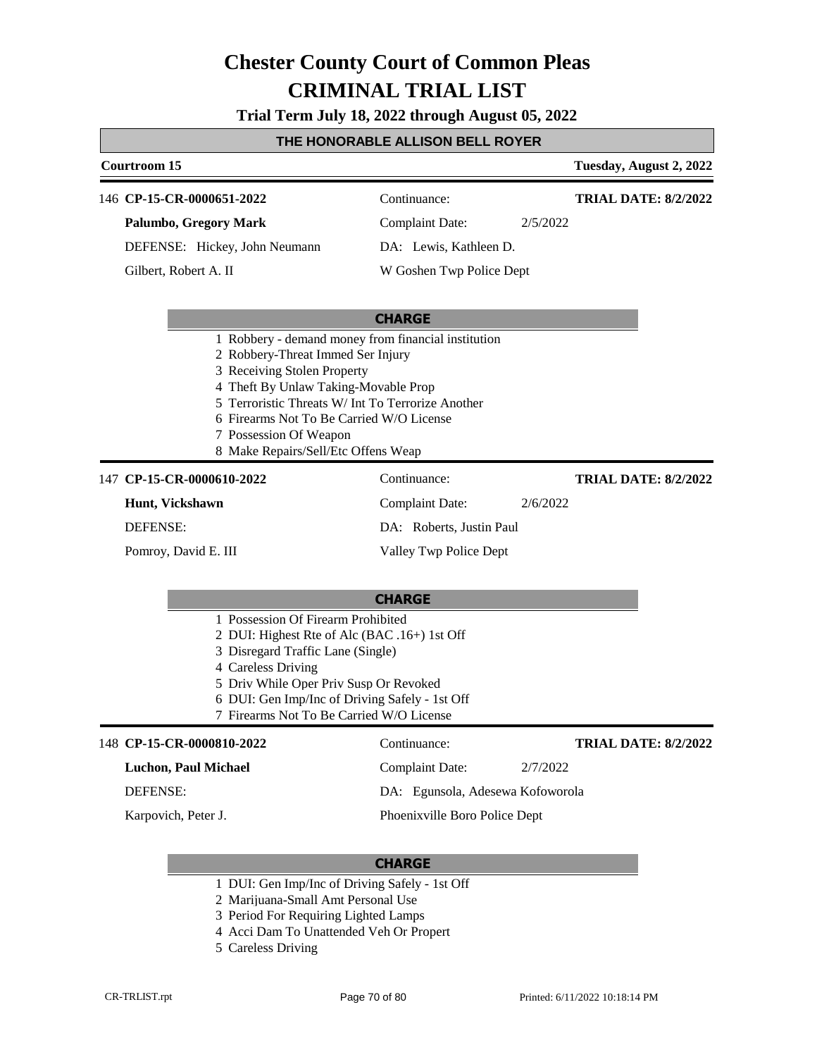**Trial Term July 18, 2022 through August 05, 2022**

### **THE HONORABLE ALLISON BELL ROYER**

### **Courtroom 15 Tuesday, August 2, 2022 CHARGE** 146 **CP-15-CR-0000651-2022** Continuance: **Palumbo, Gregory Mark** DEFENSE: Hickey, John Neumann Complaint Date: 2/5/2022 DA: Lewis, Kathleen D. W Goshen Twp Police Dept **TRIAL DATE: 8/2/2022** Gilbert, Robert A. II 1 Robbery - demand money from financial institution 2 Robbery-Threat Immed Ser Injury 3 Receiving Stolen Property 4 Theft By Unlaw Taking-Movable Prop 5 Terroristic Threats W/ Int To Terrorize Another 6 Firearms Not To Be Carried W/O License 7 Possession Of Weapon 8 Make Repairs/Sell/Etc Offens Weap **CHARGE** 147 **CP-15-CR-0000610-2022** Continuance: **Hunt, Vickshawn** DEFENSE: Complaint Date: 2/6/2022 DA: Roberts, Justin Paul Valley Twp Police Dept **TRIAL DATE: 8/2/2022** Pomroy, David E. III 1 Possession Of Firearm Prohibited 2 DUI: Highest Rte of Alc (BAC .16+) 1st Off 3 Disregard Traffic Lane (Single) 4 Careless Driving 5 Driv While Oper Priv Susp Or Revoked

- 6 DUI: Gen Imp/Inc of Driving Safely 1st Off
- 7 Firearms Not To Be Carried W/O License

#### 148 **CP-15-CR-0000810-2022** Continuance: **Luchon, Paul Michael** DEFENSE: Complaint Date: 2/7/2022 DA: Egunsola, Adesewa Kofoworola Phoenixville Boro Police Dept **TRIAL DATE: 8/2/2022** Karpovich, Peter J.

- 1 DUI: Gen Imp/Inc of Driving Safely 1st Off
- 2 Marijuana-Small Amt Personal Use
- 3 Period For Requiring Lighted Lamps
- 4 Acci Dam To Unattended Veh Or Propert
- 5 Careless Driving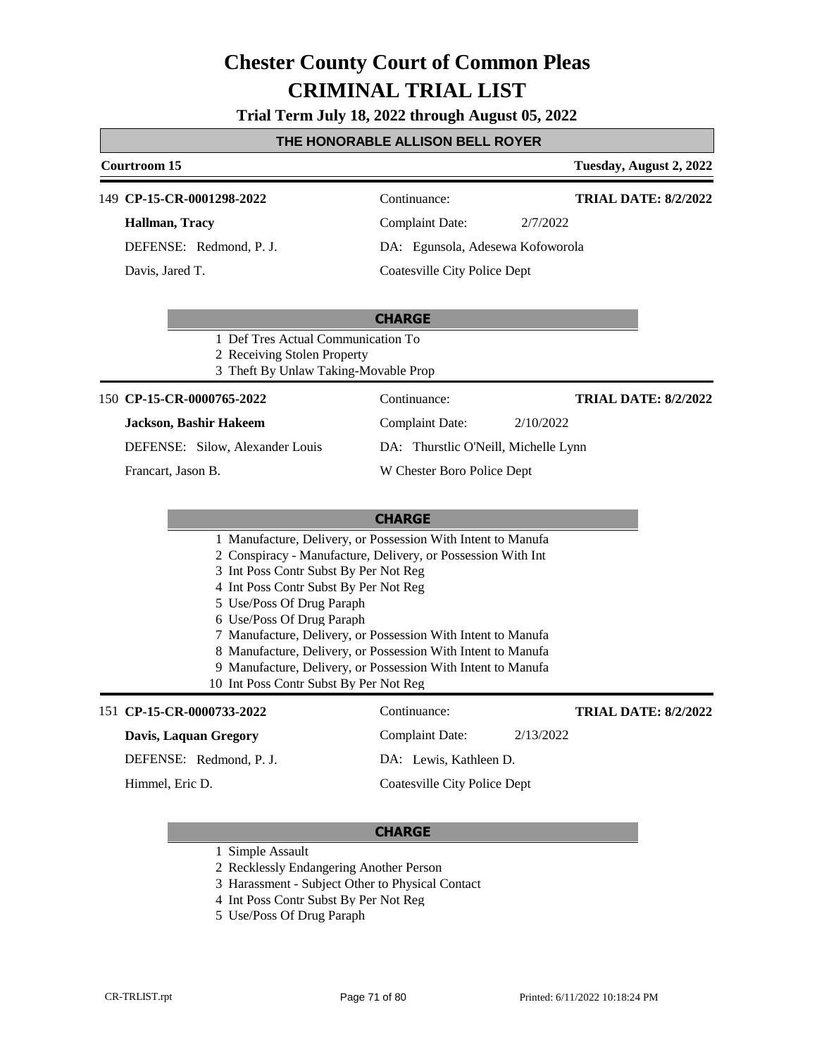**Trial Term July 18, 2022 through August 05, 2022**

### **THE HONORABLE ALLISON BELL ROYER**

| Courtroom 15              |                                  | Tuesday, August 2, 2022     |
|---------------------------|----------------------------------|-----------------------------|
| 149 CP-15-CR-0001298-2022 | Continuance:                     | <b>TRIAL DATE: 8/2/2022</b> |
| Hallman, Tracy            | Complaint Date:                  | 2/7/2022                    |
| DEFENSE: Redmond, P. J.   | DA: Egunsola, Adesewa Kofoworola |                             |
| Davis, Jared T.           | Coatesville City Police Dept     |                             |
|                           |                                  |                             |

|                             |                                        | <b>CHARGE</b>                        |           |                             |
|-----------------------------|----------------------------------------|--------------------------------------|-----------|-----------------------------|
|                             | 1 Def Tres Actual Communication To     |                                      |           |                             |
| 2 Receiving Stolen Property |                                        |                                      |           |                             |
|                             | 3 Theft By Unlaw Taking-Movable Prop   |                                      |           |                             |
|                             | 150 CP-15-CR-0000765-2022              | Continuance:                         |           | <b>TRIAL DATE: 8/2/2022</b> |
|                             | <b>Jackson, Bashir Hakeem</b>          | Complaint Date:                      | 2/10/2022 |                             |
|                             | <b>DEFENSE:</b> Silow, Alexander Louis | DA: Thurstlic O'Neill, Michelle Lynn |           |                             |

W Chester Boro Police Dept

Francart, Jason B.

#### **CHARGE**

- 1 Manufacture, Delivery, or Possession With Intent to Manufa
- 2 Conspiracy Manufacture, Delivery, or Possession With Int
- 3 Int Poss Contr Subst By Per Not Reg
- 4 Int Poss Contr Subst By Per Not Reg
- 5 Use/Poss Of Drug Paraph
- 6 Use/Poss Of Drug Paraph
- 7 Manufacture, Delivery, or Possession With Intent to Manufa
- 8 Manufacture, Delivery, or Possession With Intent to Manufa
- 9 Manufacture, Delivery, or Possession With Intent to Manufa
- 10 Int Poss Contr Subst By Per Not Reg

### 151 **CP-15-CR-0000733-2022** Continuance:

### **Davis, Laquan Gregory**

DEFENSE: Redmond, P. J.

Himmel, Eric D.

## Complaint Date: 2/13/2022

**TRIAL DATE: 8/2/2022**

Coatesville City Police Dept

DA: Lewis, Kathleen D.

- 1 Simple Assault
- 2 Recklessly Endangering Another Person
- 3 Harassment Subject Other to Physical Contact
- 4 Int Poss Contr Subst By Per Not Reg
- 5 Use/Poss Of Drug Paraph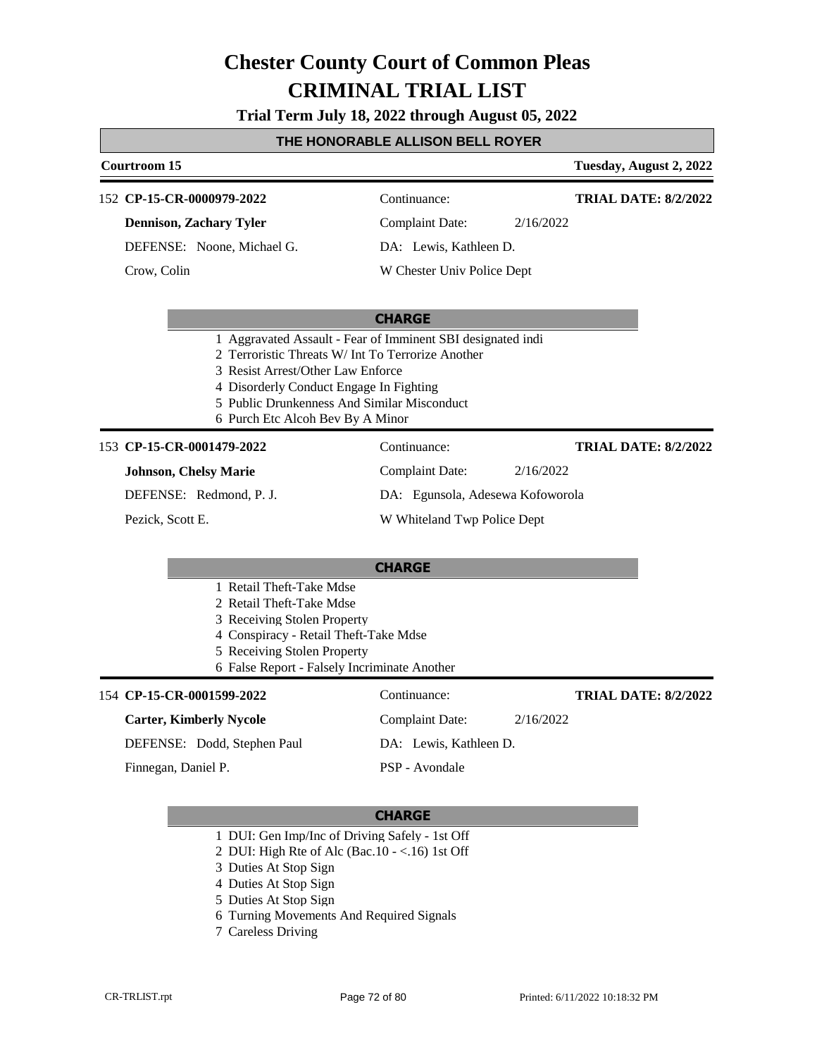**Trial Term July 18, 2022 through August 05, 2022**

### **THE HONORABLE ALLISON BELL ROYER**

### **Courtroom 15 Tuesday, August 2, 2022 CHARGE CP-15-CR-0000979-2022** 152 Continuance: **Dennison, Zachary Tyler** DEFENSE: Noone, Michael G. Complaint Date: 2/16/2022 DA: Lewis, Kathleen D. W Chester Univ Police Dept **TRIAL DATE: 8/2/2022** Crow, Colin 1 Aggravated Assault - Fear of Imminent SBI designated indi 2 Terroristic Threats W/ Int To Terrorize Another 3 Resist Arrest/Other Law Enforce 4 Disorderly Conduct Engage In Fighting 5 Public Drunkenness And Similar Misconduct 6 Purch Etc Alcoh Bev By A Minor **CHARGE** 153 **CP-15-CR-0001479-2022** Continuance: **Johnson, Chelsy Marie** DEFENSE: Redmond, P. J. Complaint Date: 2/16/2022 DA: Egunsola, Adesewa Kofoworola W Whiteland Twp Police Dept **TRIAL DATE: 8/2/2022** Pezick, Scott E. 1 Retail Theft-Take Mdse 2 Retail Theft-Take Mdse 3 Receiving Stolen Property 4 Conspiracy - Retail Theft-Take Mdse 5 Receiving Stolen Property 6 False Report - Falsely Incriminate Another **CP-15-CR-0001599-2022** 154 Continuance: **Carter, Kimberly Nycole** DEFENSE: Dodd, Stephen Paul Complaint Date: 2/16/2022 DA: Lewis, Kathleen D. PSP - Avondale **TRIAL DATE: 8/2/2022** Finnegan, Daniel P.

- 1 DUI: Gen Imp/Inc of Driving Safely 1st Off
- 2 DUI: High Rte of Alc (Bac.10 <.16) 1st Off
- 3 Duties At Stop Sign
- 4 Duties At Stop Sign
- 5 Duties At Stop Sign
- 6 Turning Movements And Required Signals
- 7 Careless Driving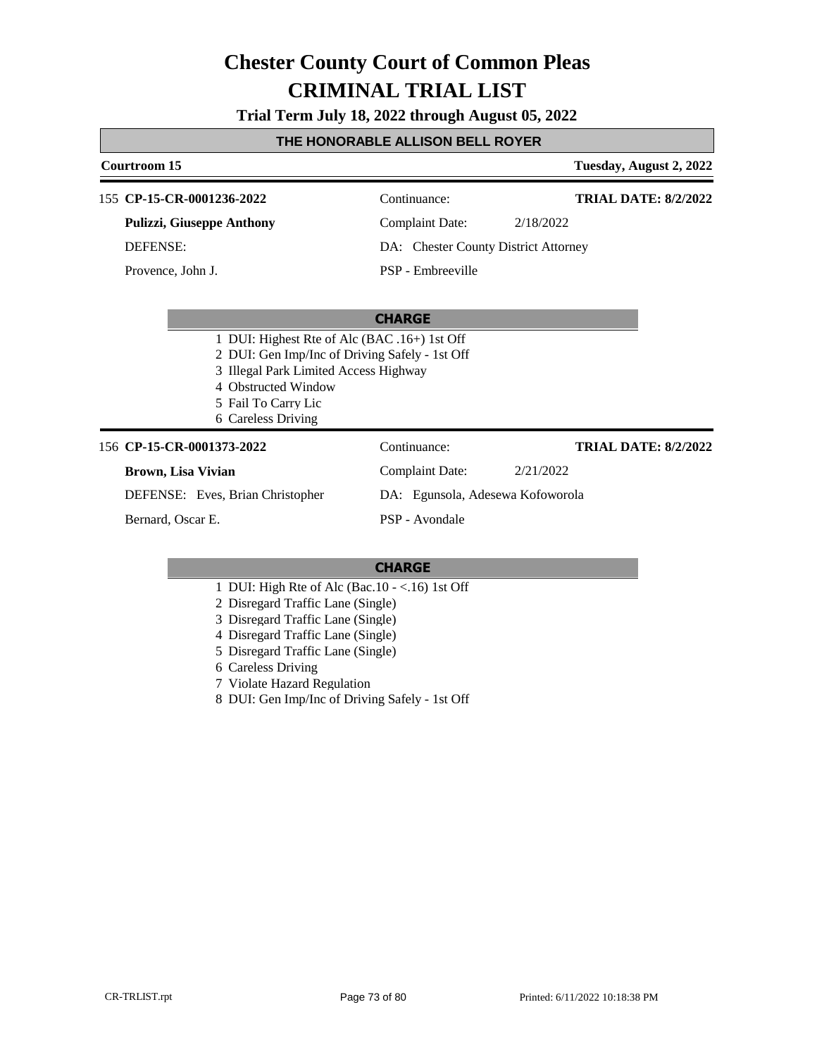**Trial Term July 18, 2022 through August 05, 2022**

### **THE HONORABLE ALLISON BELL ROYER**

### **Courtroom 15 Tuesday, August 2, 2022 CHARGE** 155 **CP-15-CR-0001236-2022** Continuance: **Pulizzi, Giuseppe Anthony** DEFENSE: Complaint Date: 2/18/2022 DA: Chester County District Attorney PSP - Embreeville **TRIAL DATE: 8/2/2022** Provence, John J. 1 DUI: Highest Rte of Alc (BAC .16+) 1st Off 2 DUI: Gen Imp/Inc of Driving Safely - 1st Off 3 Illegal Park Limited Access Highway 4 Obstructed Window 5 Fail To Carry Lic 6 Careless Driving 156 **CP-15-CR-0001373-2022** Continuance: **Brown, Lisa Vivian** DEFENSE: Eves, Brian Christopher Complaint Date: 2/21/2022 DA: Egunsola, Adesewa Kofoworola PSP - Avondale **TRIAL DATE: 8/2/2022** Bernard, Oscar E.

- 1 DUI: High Rte of Alc (Bac.10 <.16) 1st Off
- 2 Disregard Traffic Lane (Single)
- 3 Disregard Traffic Lane (Single)
- 4 Disregard Traffic Lane (Single)
- 5 Disregard Traffic Lane (Single)
- 6 Careless Driving
- 7 Violate Hazard Regulation
- 8 DUI: Gen Imp/Inc of Driving Safely 1st Off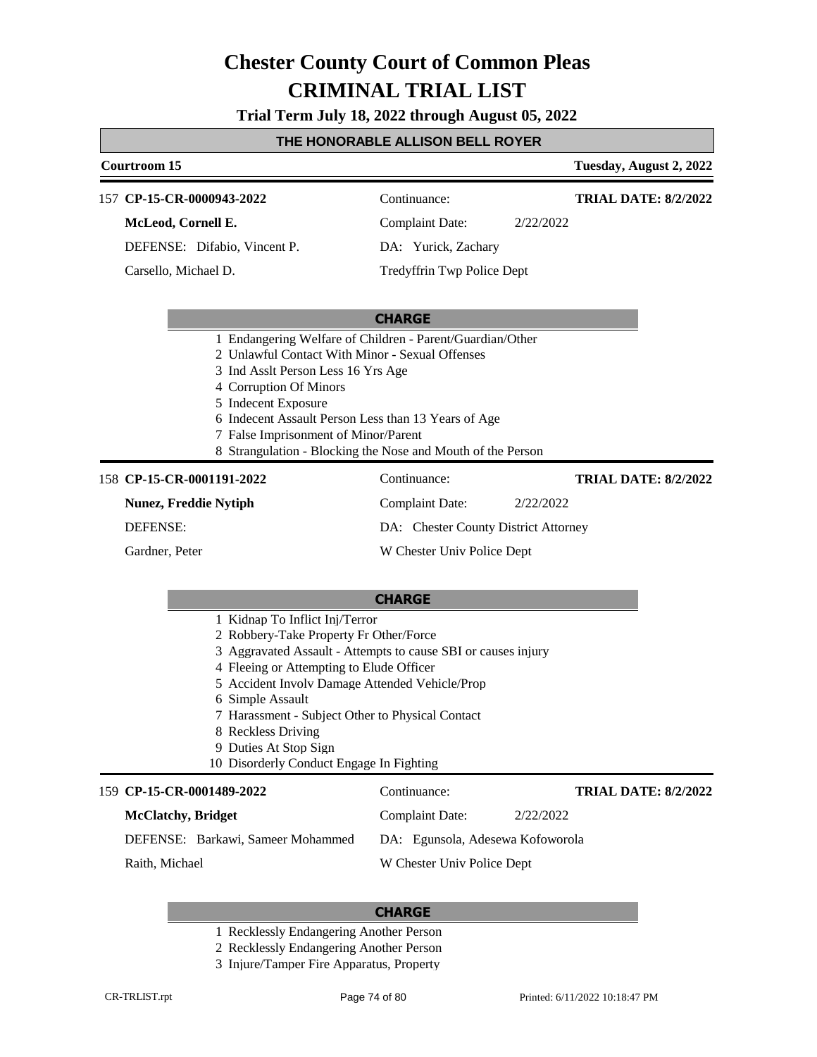**Trial Term July 18, 2022 through August 05, 2022**

### **THE HONORABLE ALLISON BELL ROYER**

### **Courtroom 15 Tuesday, August 2, 2022** 157 **CP-15-CR-0000943-2022** Continuance: **McLeod, Cornell E.** DEFENSE: Difabio, Vincent P. Complaint Date: 2/22/2022 DA: Yurick, Zachary Tredyffrin Twp Police Dept **TRIAL DATE: 8/2/2022** Carsello, Michael D.

#### **CHARGE**

- 1 Endangering Welfare of Children Parent/Guardian/Other
- 2 Unlawful Contact With Minor Sexual Offenses
- 3 Ind Asslt Person Less 16 Yrs Age
- 4 Corruption Of Minors
- 5 Indecent Exposure
- 6 Indecent Assault Person Less than 13 Years of Age
- 7 False Imprisonment of Minor/Parent
- 8 Strangulation Blocking the Nose and Mouth of the Person

#### 158 **CP-15-CR-0001191-2022** Continuance:

**Nunez, Freddie Nytiph**

DEFENSE:

Gardner, Peter

Complaint Date: 2/22/2022 DA: Chester County District Attorney

W Chester Univ Police Dept

#### **CHARGE**

- 1 Kidnap To Inflict Inj/Terror
- 2 Robbery-Take Property Fr Other/Force
- 3 Aggravated Assault Attempts to cause SBI or causes injury
- 4 Fleeing or Attempting to Elude Officer
- 5 Accident Involv Damage Attended Vehicle/Prop
- 6 Simple Assault
- 7 Harassment Subject Other to Physical Contact
- 8 Reckless Driving
- 9 Duties At Stop Sign
- 10 Disorderly Conduct Engage In Fighting

#### **CP-15-CR-0001489-2022** 159 Continuance: **McClatchy, Bridget** DEFENSE: Barkawi, Sameer Mohammed Complaint Date: 2/22/2022 DA: Egunsola, Adesewa Kofoworola W Chester Univ Police Dept Raith, Michael

#### **CHARGE**

- 1 Recklessly Endangering Another Person
- 2 Recklessly Endangering Another Person
- 3 Injure/Tamper Fire Apparatus, Property
- - **TRIAL DATE: 8/2/2022**

**TRIAL DATE: 8/2/2022**

- 
-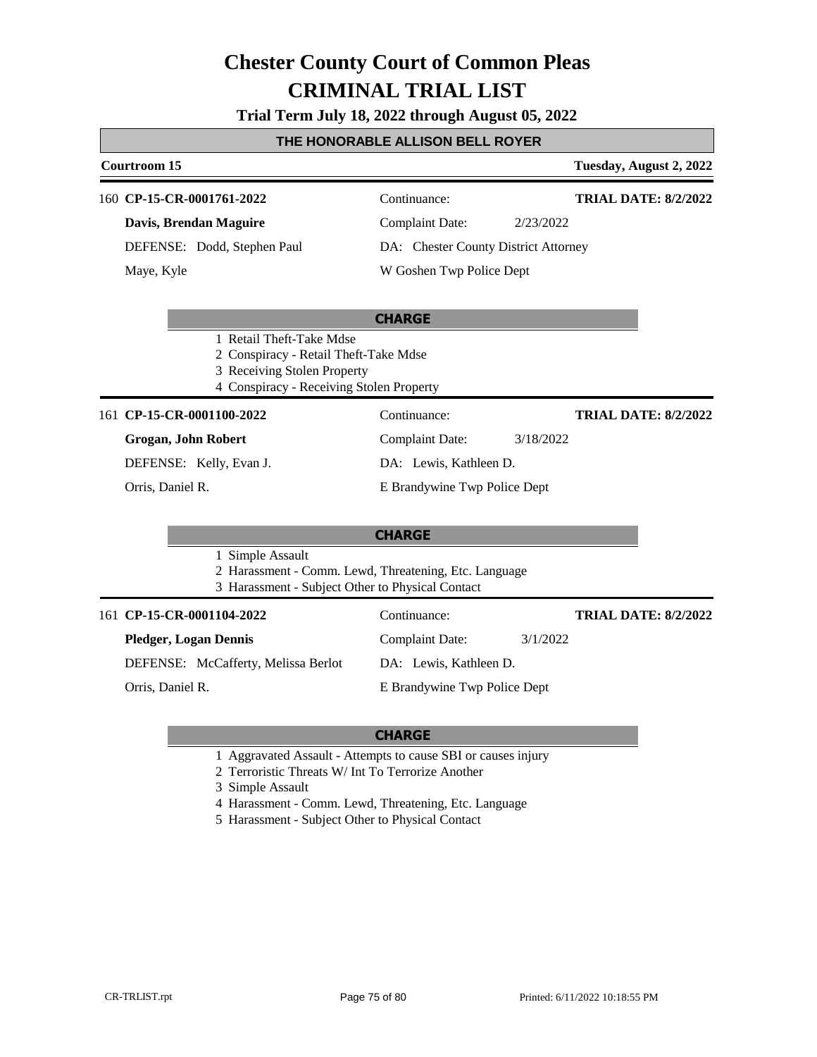### **Trial Term July 18, 2022 through August 05, 2022**

### **THE HONORABLE ALLISON BELL ROYER**

### **Courtroom 15 Tuesday, August 2, 2022 CHARGE** 160 **CP-15-CR-0001761-2022** Continuance: **Davis, Brendan Maguire** DEFENSE: Dodd, Stephen Paul Complaint Date: 2/23/2022 DA: Chester County District Attorney W Goshen Twp Police Dept **TRIAL DATE: 8/2/2022** Maye, Kyle 1 Retail Theft-Take Mdse 2 Conspiracy - Retail Theft-Take Mdse 3 Receiving Stolen Property 4 Conspiracy - Receiving Stolen Property **CHARGE** 161 **CP-15-CR-0001100-2022** Continuance: **Grogan, John Robert** DEFENSE: Kelly, Evan J. Complaint Date: 3/18/2022 DA: Lewis, Kathleen D. E Brandywine Twp Police Dept **TRIAL DATE: 8/2/2022** Orris, Daniel R. 1 Simple Assault 2 Harassment - Comm. Lewd, Threatening, Etc. Language 3 Harassment - Subject Other to Physical Contact

| 161 CP-15-CR-0001104-2022           | Continuance:                 | <b>TRIAL DATE: 8/2/2022</b> |
|-------------------------------------|------------------------------|-----------------------------|
| <b>Pledger, Logan Dennis</b>        | 3/1/2022<br>Complaint Date:  |                             |
| DEFENSE: McCafferty, Melissa Berlot | DA: Lewis, Kathleen D.       |                             |
| Orris, Daniel R.                    | E Brandywine Twp Police Dept |                             |
|                                     |                              |                             |

### **CHARGE**

- 1 Aggravated Assault Attempts to cause SBI or causes injury
- 2 Terroristic Threats W/ Int To Terrorize Another

3 Simple Assault

- 4 Harassment Comm. Lewd, Threatening, Etc. Language
- 5 Harassment Subject Other to Physical Contact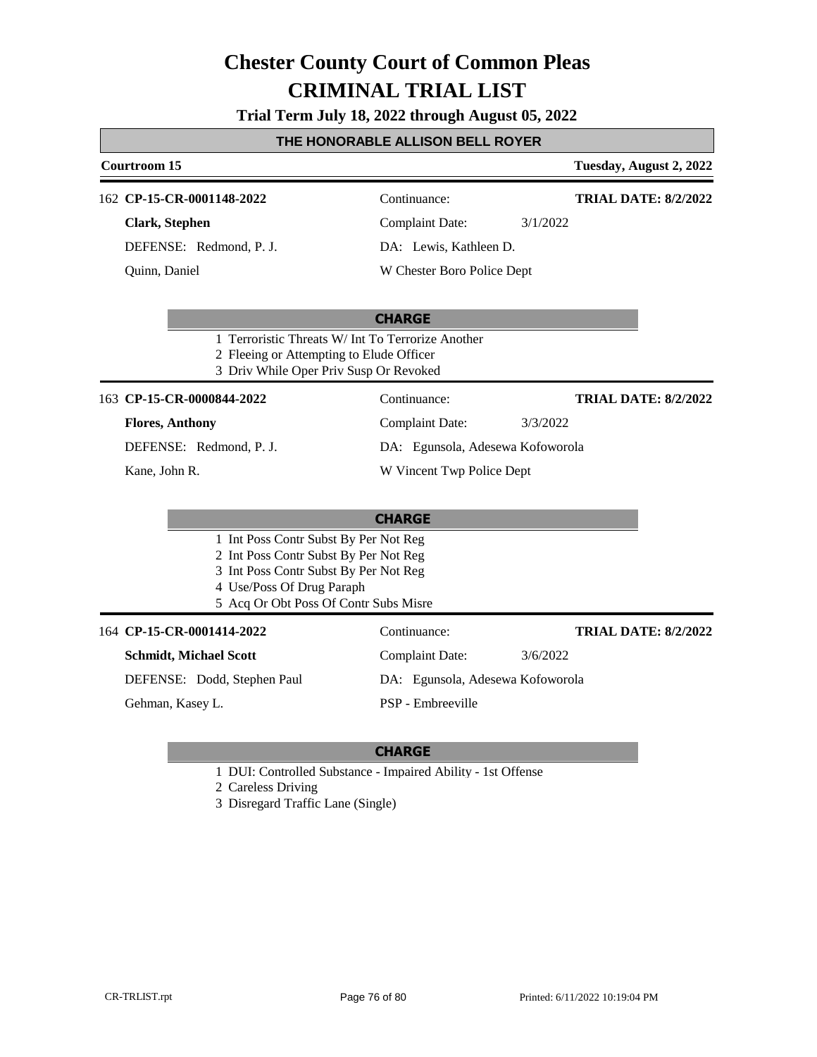### **Trial Term July 18, 2022 through August 05, 2022**

### **THE HONORABLE ALLISON BELL ROYER**

| Courtroom 15                                                                       |                                                                    | Tuesday, August 2, 2022     |
|------------------------------------------------------------------------------------|--------------------------------------------------------------------|-----------------------------|
| 162 CP-15-CR-0001148-2022                                                          | Continuance:                                                       | <b>TRIAL DATE: 8/2/2022</b> |
| Clark, Stephen                                                                     | Complaint Date:                                                    | 3/1/2022                    |
| DEFENSE: Redmond, P. J.                                                            | DA: Lewis, Kathleen D.                                             |                             |
| Quinn, Daniel                                                                      | W Chester Boro Police Dept                                         |                             |
| 2 Fleeing or Attempting to Elude Officer<br>3 Driv While Oper Priv Susp Or Revoked | <b>CHARGE</b><br>1 Terroristic Threats W/ Int To Terrorize Another |                             |
| 163 CP-15-CR-0000844-2022                                                          | Continuance:                                                       | <b>TRIAL DATE: 8/2/2022</b> |
| <b>Flores, Anthony</b>                                                             | <b>Complaint Date:</b>                                             | 3/3/2022                    |
| DEFENSE: Redmond, P. J.                                                            | DA: Egunsola, Adesewa Kofoworola                                   |                             |
| Kane, John R.                                                                      | W Vincent Twp Police Dept                                          |                             |
|                                                                                    |                                                                    |                             |

|                                       |                                       | <b>CHARGE</b>                    |          |                             |
|---------------------------------------|---------------------------------------|----------------------------------|----------|-----------------------------|
| 1 Int Poss Contr Subst By Per Not Reg |                                       |                                  |          |                             |
| 2 Int Poss Contr Subst By Per Not Reg |                                       |                                  |          |                             |
| 3 Int Poss Contr Subst By Per Not Reg |                                       |                                  |          |                             |
|                                       | 4 Use/Poss Of Drug Paraph             |                                  |          |                             |
|                                       | 5 Acq Or Obt Poss Of Contr Subs Misre |                                  |          |                             |
|                                       |                                       |                                  |          |                             |
|                                       | 164 CP-15-CR-0001414-2022             | Continuance:                     |          | <b>TRIAL DATE: 8/2/2022</b> |
|                                       | <b>Schmidt, Michael Scott</b>         | Complaint Date:                  | 3/6/2022 |                             |
|                                       | DEFENSE: Dodd, Stephen Paul           | DA: Egunsola, Adesewa Kofoworola |          |                             |

### **CHARGE**

1 DUI: Controlled Substance - Impaired Ability - 1st Offense

2 Careless Driving

3 Disregard Traffic Lane (Single)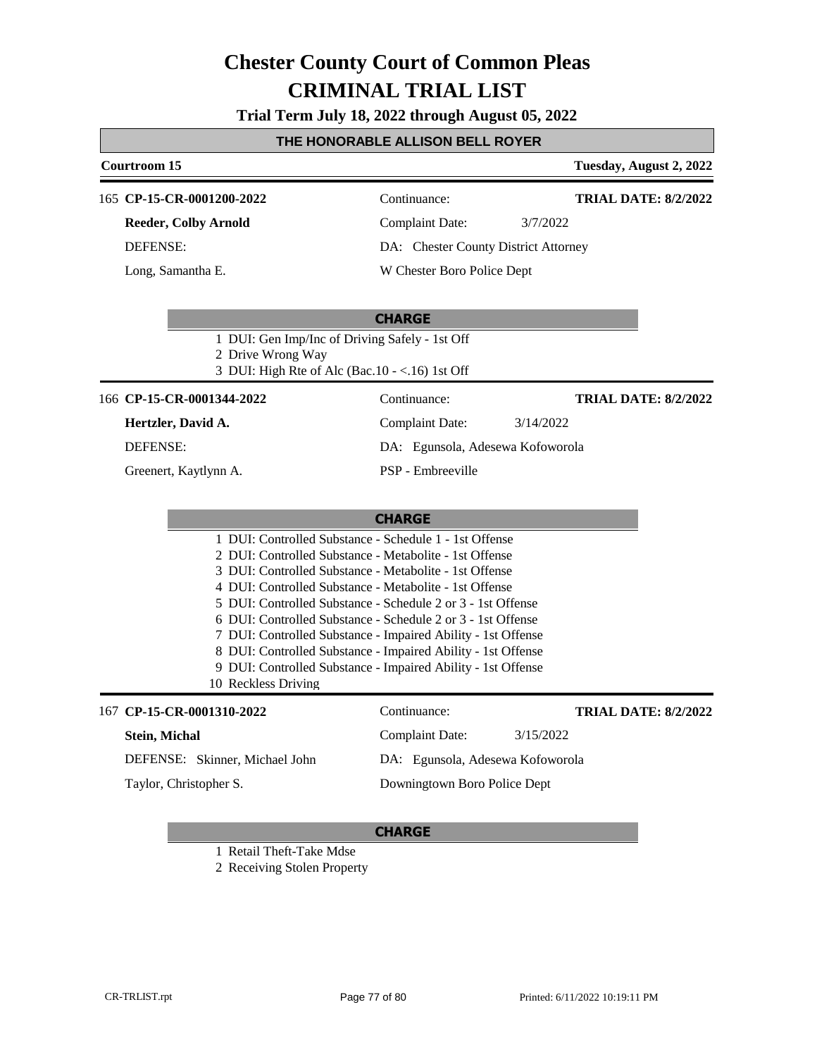**Trial Term July 18, 2022 through August 05, 2022**

| THE HONORABLE ALLISON BELL ROYER                                                                                                                                                                  |                                                                                                                                                                                                                                                                                                                                                                                      |                             |  |
|---------------------------------------------------------------------------------------------------------------------------------------------------------------------------------------------------|--------------------------------------------------------------------------------------------------------------------------------------------------------------------------------------------------------------------------------------------------------------------------------------------------------------------------------------------------------------------------------------|-----------------------------|--|
| Courtroom 15                                                                                                                                                                                      |                                                                                                                                                                                                                                                                                                                                                                                      | Tuesday, August 2, 2022     |  |
| 165 CP-15-CR-0001200-2022                                                                                                                                                                         | Continuance:                                                                                                                                                                                                                                                                                                                                                                         | <b>TRIAL DATE: 8/2/2022</b> |  |
| <b>Reeder, Colby Arnold</b><br><b>DEFENSE:</b>                                                                                                                                                    | <b>Complaint Date:</b><br>3/7/2022<br>DA: Chester County District Attorney                                                                                                                                                                                                                                                                                                           |                             |  |
| Long, Samantha E.                                                                                                                                                                                 | W Chester Boro Police Dept                                                                                                                                                                                                                                                                                                                                                           |                             |  |
|                                                                                                                                                                                                   |                                                                                                                                                                                                                                                                                                                                                                                      |                             |  |
| 1 DUI: Gen Imp/Inc of Driving Safely - 1st Off<br>2 Drive Wrong Way<br>3 DUI: High Rte of Alc (Bac.10 - <.16) 1st Off                                                                             | <b>CHARGE</b>                                                                                                                                                                                                                                                                                                                                                                        |                             |  |
| 166 CP-15-CR-0001344-2022                                                                                                                                                                         | Continuance:                                                                                                                                                                                                                                                                                                                                                                         | <b>TRIAL DATE: 8/2/2022</b> |  |
| Hertzler, David A.                                                                                                                                                                                | <b>Complaint Date:</b><br>3/14/2022                                                                                                                                                                                                                                                                                                                                                  |                             |  |
| <b>DEFENSE:</b>                                                                                                                                                                                   | DA: Egunsola, Adesewa Kofoworola                                                                                                                                                                                                                                                                                                                                                     |                             |  |
| Greenert, Kaytlynn A.                                                                                                                                                                             | PSP - Embreeville                                                                                                                                                                                                                                                                                                                                                                    |                             |  |
|                                                                                                                                                                                                   |                                                                                                                                                                                                                                                                                                                                                                                      |                             |  |
|                                                                                                                                                                                                   | <b>CHARGE</b>                                                                                                                                                                                                                                                                                                                                                                        |                             |  |
| 2 DUI: Controlled Substance - Metabolite - 1st Offense<br>3 DUI: Controlled Substance - Metabolite - 1st Offense<br>4 DUI: Controlled Substance - Metabolite - 1st Offense<br>10 Reckless Driving | 1 DUI: Controlled Substance - Schedule 1 - 1st Offense<br>5 DUI: Controlled Substance - Schedule 2 or 3 - 1st Offense<br>6 DUI: Controlled Substance - Schedule 2 or 3 - 1st Offense<br>7 DUI: Controlled Substance - Impaired Ability - 1st Offense<br>8 DUI: Controlled Substance - Impaired Ability - 1st Offense<br>9 DUI: Controlled Substance - Impaired Ability - 1st Offense |                             |  |
| 167 CP-15-CR-0001310-2022                                                                                                                                                                         | Continuance:                                                                                                                                                                                                                                                                                                                                                                         | <b>TRIAL DATE: 8/2/2022</b> |  |
| Stein, Michal                                                                                                                                                                                     | <b>Complaint Date:</b><br>3/15/2022                                                                                                                                                                                                                                                                                                                                                  |                             |  |
| DEFENSE: Skinner, Michael John                                                                                                                                                                    | DA: Egunsola, Adesewa Kofoworola                                                                                                                                                                                                                                                                                                                                                     |                             |  |
| Taylor, Christopher S.                                                                                                                                                                            | Downingtown Boro Police Dept                                                                                                                                                                                                                                                                                                                                                         |                             |  |
|                                                                                                                                                                                                   | <b>CHARGE</b>                                                                                                                                                                                                                                                                                                                                                                        |                             |  |

- 1 Retail Theft-Take Mdse
- 2 Receiving Stolen Property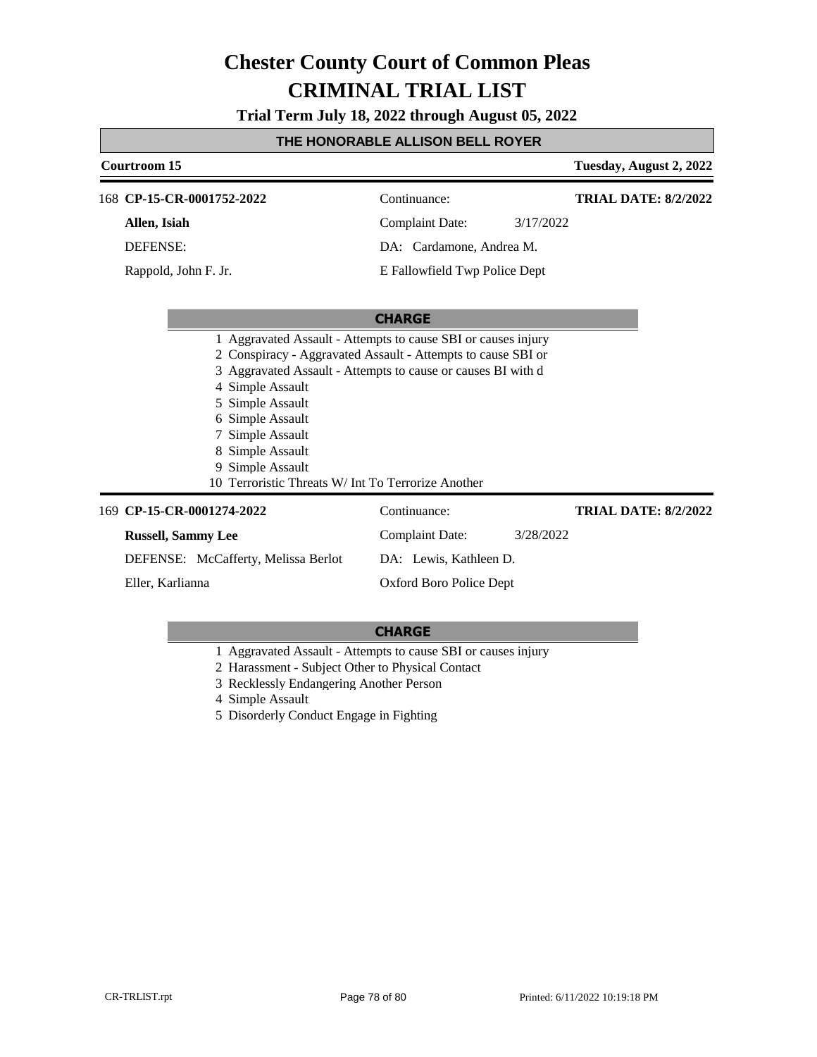**Trial Term July 18, 2022 through August 05, 2022**

### **THE HONORABLE ALLISON BELL ROYER**

| Courtroom 15                                                                                                                                                                                                                                                                                      |                               |           | Tuesday, August 2, 2022     |
|---------------------------------------------------------------------------------------------------------------------------------------------------------------------------------------------------------------------------------------------------------------------------------------------------|-------------------------------|-----------|-----------------------------|
| 168 CP-15-CR-0001752-2022                                                                                                                                                                                                                                                                         | Continuance:                  |           | <b>TRIAL DATE: 8/2/2022</b> |
| Allen, Isiah                                                                                                                                                                                                                                                                                      | <b>Complaint Date:</b>        | 3/17/2022 |                             |
| <b>DEFENSE:</b>                                                                                                                                                                                                                                                                                   | DA: Cardamone, Andrea M.      |           |                             |
| Rappold, John F. Jr.                                                                                                                                                                                                                                                                              | E Fallowfield Twp Police Dept |           |                             |
|                                                                                                                                                                                                                                                                                                   |                               |           |                             |
|                                                                                                                                                                                                                                                                                                   | <b>CHARGE</b>                 |           |                             |
| 2 Conspiracy - Aggravated Assault - Attempts to cause SBI or<br>Aggravated Assault - Attempts to cause or causes BI with d<br>Simple Assault<br>4<br>Simple Assault<br>Simple Assault<br>Simple Assault<br>Simple Assault<br>Simple Assault<br>10 Terroristic Threats W/ Int To Terrorize Another |                               |           |                             |
| 169 CP-15-CR-0001274-2022                                                                                                                                                                                                                                                                         | Continuance:                  |           | <b>TRIAL DATE: 8/2/2022</b> |
| <b>Russell, Sammy Lee</b>                                                                                                                                                                                                                                                                         | <b>Complaint Date:</b>        | 3/28/2022 |                             |
| DEFENSE: McCafferty, Melissa Berlot                                                                                                                                                                                                                                                               | DA: Lewis, Kathleen D.        |           |                             |
| Eller, Karlianna                                                                                                                                                                                                                                                                                  | Oxford Boro Police Dept       |           |                             |

- 1 Aggravated Assault Attempts to cause SBI or causes injury
- 2 Harassment Subject Other to Physical Contact
- 3 Recklessly Endangering Another Person
- 4 Simple Assault
- 5 Disorderly Conduct Engage in Fighting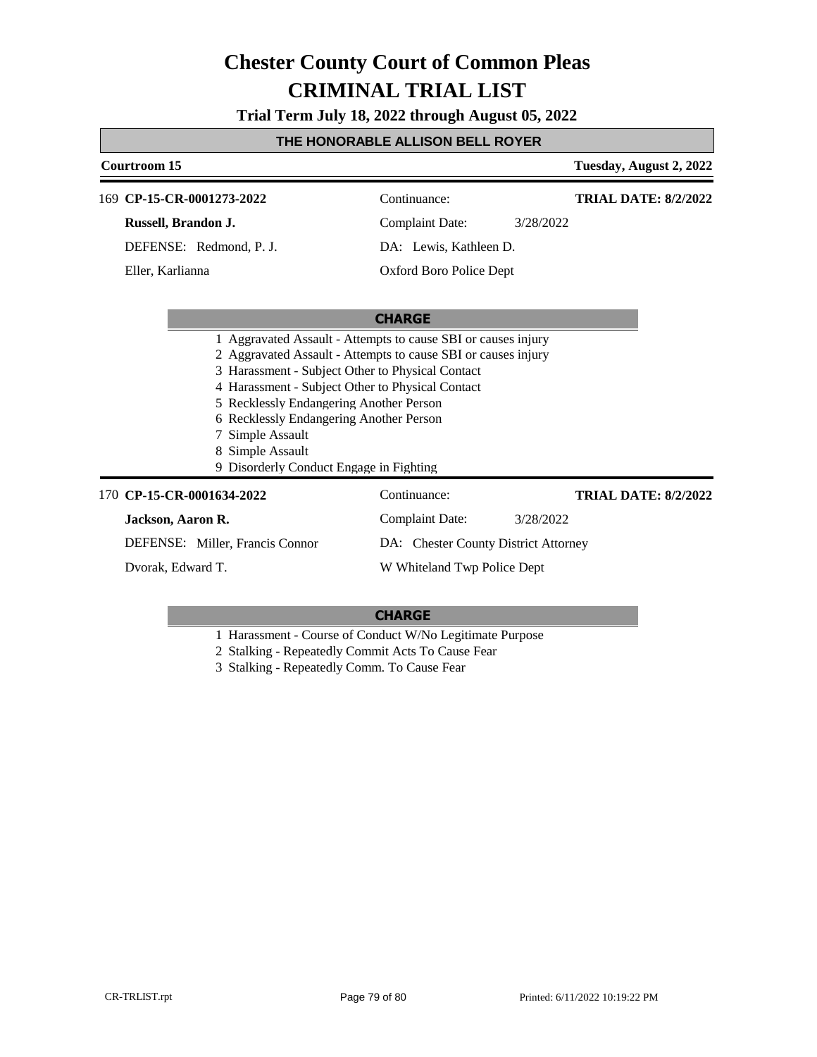**Trial Term July 18, 2022 through August 05, 2022**

### **THE HONORABLE ALLISON BELL ROYER**

| Courtroom 15        |                                                                                                                                                                                                                                                                                                                                                                                                                 |                                      |           | Tuesday, August 2, 2022     |
|---------------------|-----------------------------------------------------------------------------------------------------------------------------------------------------------------------------------------------------------------------------------------------------------------------------------------------------------------------------------------------------------------------------------------------------------------|--------------------------------------|-----------|-----------------------------|
|                     | 169 CP-15-CR-0001273-2022                                                                                                                                                                                                                                                                                                                                                                                       | Continuance:                         |           | <b>TRIAL DATE: 8/2/2022</b> |
| Russell, Brandon J. |                                                                                                                                                                                                                                                                                                                                                                                                                 | <b>Complaint Date:</b>               | 3/28/2022 |                             |
|                     | DEFENSE: Redmond, P. J.                                                                                                                                                                                                                                                                                                                                                                                         | DA: Lewis, Kathleen D.               |           |                             |
| Eller, Karlianna    |                                                                                                                                                                                                                                                                                                                                                                                                                 | Oxford Boro Police Dept              |           |                             |
|                     |                                                                                                                                                                                                                                                                                                                                                                                                                 | <b>CHARGE</b>                        |           |                             |
|                     | 1 Aggravated Assault - Attempts to cause SBI or causes injury<br>2 Aggravated Assault - Attempts to cause SBI or causes injury<br>3 Harassment - Subject Other to Physical Contact<br>4 Harassment - Subject Other to Physical Contact<br>5 Recklessly Endangering Another Person<br>6 Recklessly Endangering Another Person<br>7 Simple Assault<br>8 Simple Assault<br>9 Disorderly Conduct Engage in Fighting |                                      |           |                             |
|                     | 170 CP-15-CR-0001634-2022                                                                                                                                                                                                                                                                                                                                                                                       | Continuance:                         |           | <b>TRIAL DATE: 8/2/2022</b> |
| Jackson, Aaron R.   |                                                                                                                                                                                                                                                                                                                                                                                                                 | Complaint Date:                      | 3/28/2022 |                             |
|                     | DEFENSE: Miller, Francis Connor                                                                                                                                                                                                                                                                                                                                                                                 | DA: Chester County District Attorney |           |                             |
| Dvorak, Edward T.   |                                                                                                                                                                                                                                                                                                                                                                                                                 | W Whiteland Twp Police Dept          |           |                             |

### **CHARGE**

1 Harassment - Course of Conduct W/No Legitimate Purpose

2 Stalking - Repeatedly Commit Acts To Cause Fear

3 Stalking - Repeatedly Comm. To Cause Fear